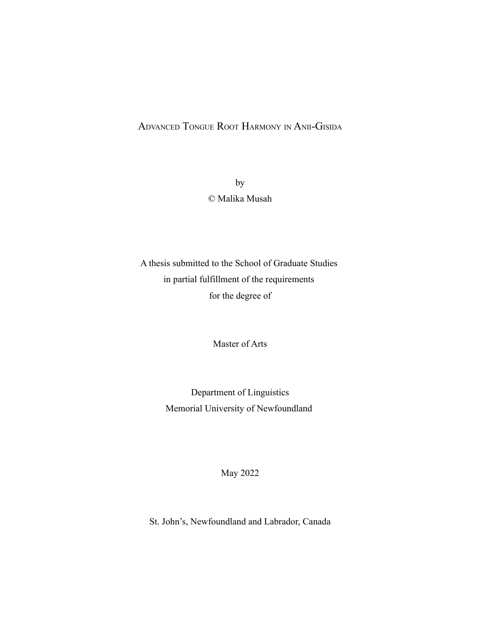# ADVANCED TONGUE ROOT HARMONY IN ANII-GISIDA

by © Malika Musah

A thesis submitted to the School of Graduate Studies in partial fulfillment of the requirements for the degree of

Master of Arts

Department of Linguistics Memorial University of Newfoundland

May 2022

St. John's, Newfoundland and Labrador, Canada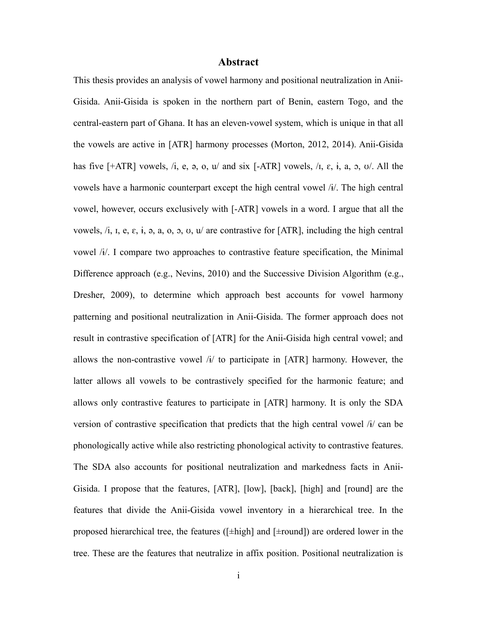# <span id="page-1-0"></span>**Abstract**

This thesis provides an analysis of vowel harmony and positional neutralization in Anii-Gisida. Anii-Gisida is spoken in the northern part of Benin, eastern Togo, and the central-eastern part of Ghana. It has an eleven-vowel system, which is unique in that all the vowels are active in [ATR] harmony processes (Morton, 2012, 2014). Anii-Gisida has five  $[+ATR]$  vowels, /i, e, a, o, u/ and six  $[-ATR]$  vowels, /i,  $\varepsilon$ , i, a,  $\infty$ ,  $\infty$ /. All the vowels have a harmonic counterpart except the high central vowel /ɨ/. The high central vowel, however, occurs exclusively with [-ATR] vowels in a word. I argue that all the vowels,  $\lambda$ ,  $i$ ,  $j$ ,  $k$ ,  $k$ ,  $k$ ,  $k$ ,  $a$ ,  $c$ ,  $c$ ,  $v$ ,  $u$  are contrastive for [ATR], including the high central vowel /ɨ/. I compare two approaches to contrastive feature specification, the Minimal Difference approach (e.g., Nevins, 2010) and the Successive Division Algorithm (e.g., Dresher, 2009), to determine which approach best accounts for vowel harmony patterning and positional neutralization in Anii-Gisida. The former approach does not result in contrastive specification of [ATR] for the Anii-Gisida high central vowel; and allows the non-contrastive vowel  $\frac{1}{4}$  to participate in [ATR] harmony. However, the latter allows all vowels to be contrastively specified for the harmonic feature; and allows only contrastive features to participate in [ATR] harmony. It is only the SDA version of contrastive specification that predicts that the high central vowel /ɨ/ can be phonologically active while also restricting phonological activity to contrastive features. The SDA also accounts for positional neutralization and markedness facts in Anii-Gisida. I propose that the features, [ATR], [low], [back], [high] and [round] are the features that divide the Anii-Gisida vowel inventory in a hierarchical tree. In the proposed hierarchical tree, the features ([±high] and [±round]) are ordered lower in the tree. These are the features that neutralize in affix position. Positional neutralization is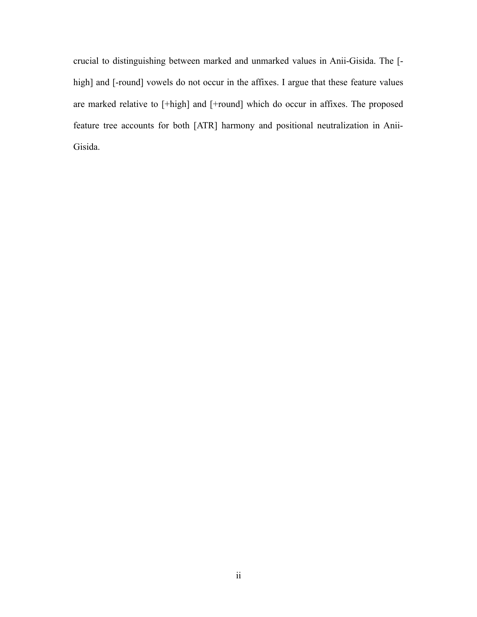crucial to distinguishing between marked and unmarked values in Anii-Gisida. The [ high] and [-round] vowels do not occur in the affixes. I argue that these feature values are marked relative to [+high] and [+round] which do occur in affixes. The proposed feature tree accounts for both [ATR] harmony and positional neutralization in Anii-Gisida.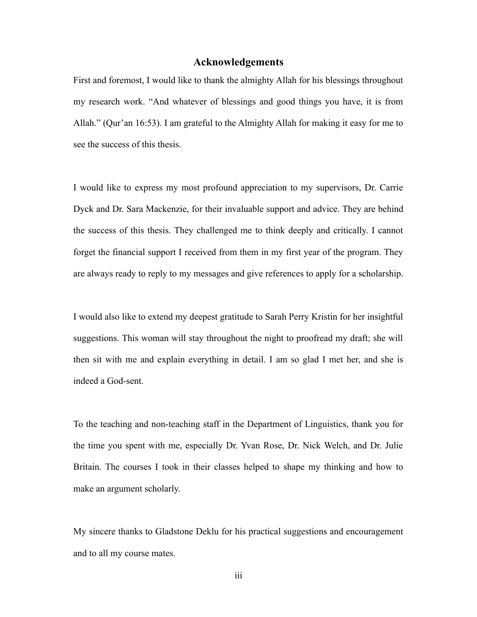# <span id="page-3-0"></span>**Acknowledgements**

First and foremost, I would like to thank the almighty Allah for his blessings throughout my research work. "And whatever of blessings and good things you have, it is from Allah." (Qur'an 16:53). I am grateful to the Almighty Allah for making it easy for me to see the success of this thesis.

I would like to express my most profound appreciation to my supervisors, Dr. Carrie Dyck and Dr. Sara Mackenzie, for their invaluable support and advice. They are behind the success of this thesis. They challenged me to think deeply and critically. I cannot forget the financial support I received from them in my first year of the program. They are always ready to reply to my messages and give references to apply for a scholarship.

I would also like to extend my deepest gratitude to Sarah Perry Kristin for her insightful suggestions. This woman will stay throughout the night to proofread my draft; she will then sit with me and explain everything in detail. I am so glad I met her, and she is indeed a God-sent.

To the teaching and non-teaching staff in the Department of Linguistics, thank you for the time you spent with me, especially Dr. Yvan Rose, Dr. Nick Welch, and Dr. Julie Britain. The courses I took in their classes helped to shape my thinking and how to make an argument scholarly.

My sincere thanks to Gladstone Deklu for his practical suggestions and encouragement and to all my course mates.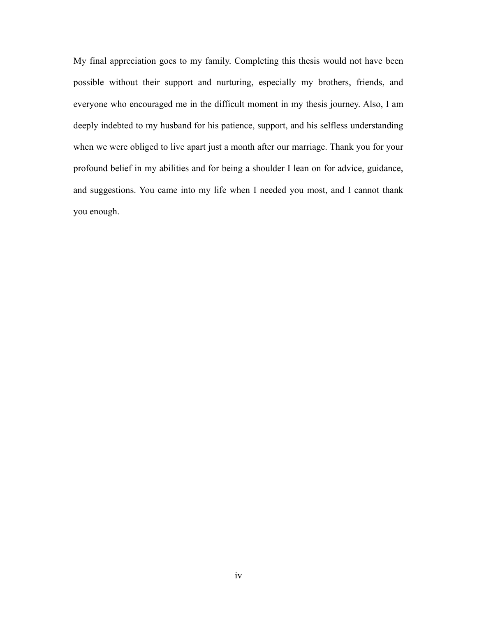My final appreciation goes to my family. Completing this thesis would not have been possible without their support and nurturing, especially my brothers, friends, and everyone who encouraged me in the difficult moment in my thesis journey. Also, I am deeply indebted to my husband for his patience, support, and his selfless understanding when we were obliged to live apart just a month after our marriage. Thank you for your profound belief in my abilities and for being a shoulder I lean on for advice, guidance, and suggestions. You came into my life when I needed you most, and I cannot thank you enough.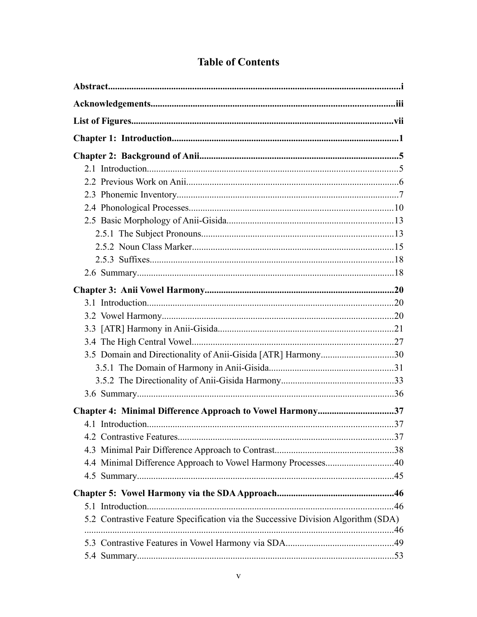| 3.5 Domain and Directionality of Anii-Gisida [ATR] Harmony30                      |  |
|-----------------------------------------------------------------------------------|--|
|                                                                                   |  |
|                                                                                   |  |
|                                                                                   |  |
| Chapter 4: Minimal Difference Approach to Vowel Harmony37                         |  |
|                                                                                   |  |
|                                                                                   |  |
|                                                                                   |  |
| 4.4 Minimal Difference Approach to Vowel Harmony Processes40                      |  |
|                                                                                   |  |
|                                                                                   |  |
|                                                                                   |  |
| 5.2 Contrastive Feature Specification via the Successive Division Algorithm (SDA) |  |
|                                                                                   |  |
|                                                                                   |  |

# **Table of Contents**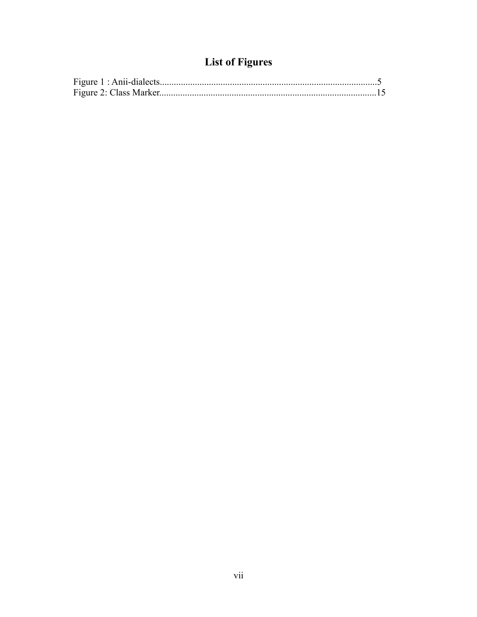# <span id="page-7-0"></span>**List of Figures**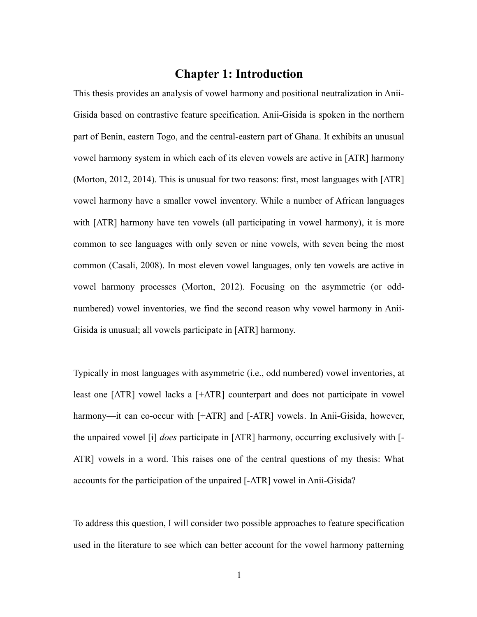# <span id="page-8-0"></span>**Chapter 1: Introduction**

This thesis provides an analysis of vowel harmony and positional neutralization in Anii-Gisida based on contrastive feature specification. Anii-Gisida is spoken in the northern part of Benin, eastern Togo, and the central-eastern part of Ghana. It exhibits an unusual vowel harmony system in which each of its eleven vowels are active in [ATR] harmony (Morton, 2012, 2014). This is unusual for two reasons: first, most languages with [ATR] vowel harmony have a smaller vowel inventory. While a number of African languages with [ATR] harmony have ten vowels (all participating in vowel harmony), it is more common to see languages with only seven or nine vowels, with seven being the most common (Casali, 2008). In most eleven vowel languages, only ten vowels are active in vowel harmony processes (Morton, 2012). Focusing on the asymmetric (or oddnumbered) vowel inventories, we find the second reason why vowel harmony in Anii-Gisida is unusual; all vowels participate in [ATR] harmony.

Typically in most languages with asymmetric (i.e., odd numbered) vowel inventories, at least one [ATR] vowel lacks a [+ATR] counterpart and does not participate in vowel harmony—it can co-occur with [+ATR] and [-ATR] vowels. In Anii-Gisida, however, the unpaired vowel [ɨ] *does* participate in [ATR] harmony, occurring exclusively with [- ATR] vowels in a word. This raises one of the central questions of my thesis: What accounts for the participation of the unpaired [-ATR] vowel in Anii-Gisida?

To address this question, I will consider two possible approaches to feature specification used in the literature to see which can better account for the vowel harmony patterning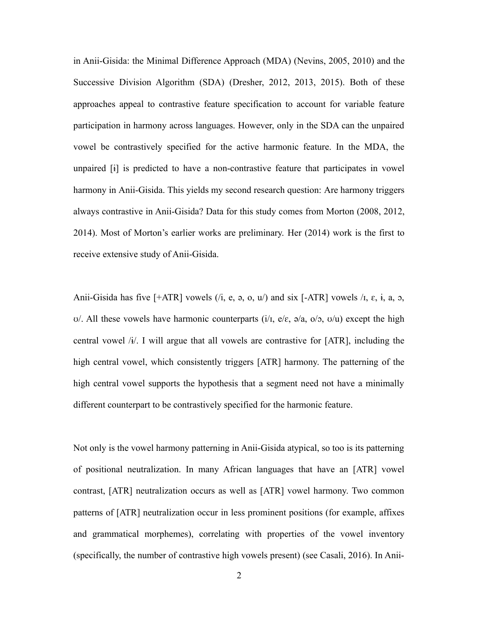in Anii-Gisida: the Minimal Difference Approach (MDA) (Nevins, 2005, 2010) and the Successive Division Algorithm (SDA) (Dresher, 2012, 2013, 2015). Both of these approaches appeal to contrastive feature specification to account for variable feature participation in harmony across languages. However, only in the SDA can the unpaired vowel be contrastively specified for the active harmonic feature. In the MDA, the unpaired [ɨ] is predicted to have a non-contrastive feature that participates in vowel harmony in Anii-Gisida. This yields my second research question: Are harmony triggers always contrastive in Anii-Gisida? Data for this study comes from Morton (2008, 2012, 2014). Most of Morton's earlier works are preliminary. Her (2014) work is the first to receive extensive study of Anii-Gisida.

Anii-Gisida has five  $[+ATR]$  vowels  $(i, e, a, o, u)$  and six  $[-ATR]$  vowels  $\lambda$ ,  $\varepsilon$ ,  $\overline{i}$ ,  $a$ ,  $o$ ,  $\sigma$ . All these vowels have harmonic counterparts (i/i, e/ε,  $\sigma$ /a,  $\sigma$ / $\sigma$ ,  $\sigma$ / $\sigma$ ) except the high central vowel  $/i$ . I will argue that all vowels are contrastive for  $[ATR]$ , including the high central vowel, which consistently triggers [ATR] harmony. The patterning of the high central vowel supports the hypothesis that a segment need not have a minimally different counterpart to be contrastively specified for the harmonic feature.

Not only is the vowel harmony patterning in Anii-Gisida atypical, so too is its patterning of positional neutralization. In many African languages that have an [ATR] vowel contrast, [ATR] neutralization occurs as well as [ATR] vowel harmony. Two common patterns of [ATR] neutralization occur in less prominent positions (for example, affixes and grammatical morphemes), correlating with properties of the vowel inventory (specifically, the number of contrastive high vowels present) (see Casali, 2016). In Anii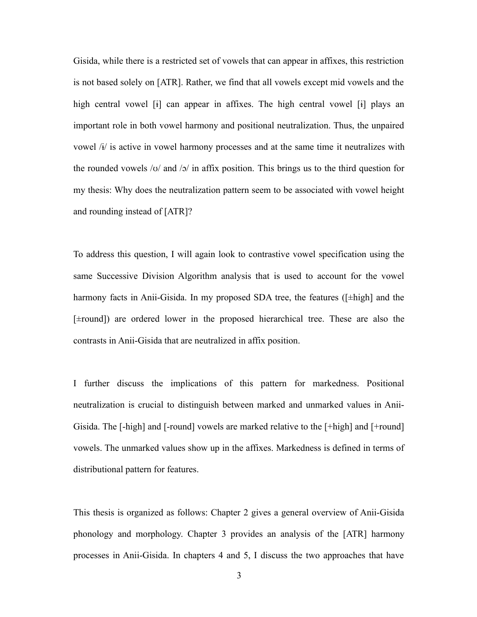Gisida, while there is a restricted set of vowels that can appear in affixes, this restriction is not based solely on [ATR]. Rather, we find that all vowels except mid vowels and the high central vowel  $[i]$  can appear in affixes. The high central vowel  $[i]$  plays an important role in both vowel harmony and positional neutralization. Thus, the unpaired vowel  $\hat{A}$  is active in vowel harmony processes and at the same time it neutralizes with the rounded vowels /ʊ/ and /ɔ/ in affix position. This brings us to the third question for my thesis: Why does the neutralization pattern seem to be associated with vowel height and rounding instead of [ATR]?

To address this question, I will again look to contrastive vowel specification using the same Successive Division Algorithm analysis that is used to account for the vowel harmony facts in Anii-Gisida. In my proposed SDA tree, the features ([ $\pm$ high] and the [±round]) are ordered lower in the proposed hierarchical tree. These are also the contrasts in Anii-Gisida that are neutralized in affix position.

I further discuss the implications of this pattern for markedness. Positional neutralization is crucial to distinguish between marked and unmarked values in Anii-Gisida. The [-high] and [-round] vowels are marked relative to the [+high] and [+round] vowels. The unmarked values show up in the affixes. Markedness is defined in terms of distributional pattern for features.

This thesis is organized as follows: Chapter 2 gives a general overview of Anii-Gisida phonology and morphology. Chapter 3 provides an analysis of the [ATR] harmony processes in Anii-Gisida. In chapters 4 and 5, I discuss the two approaches that have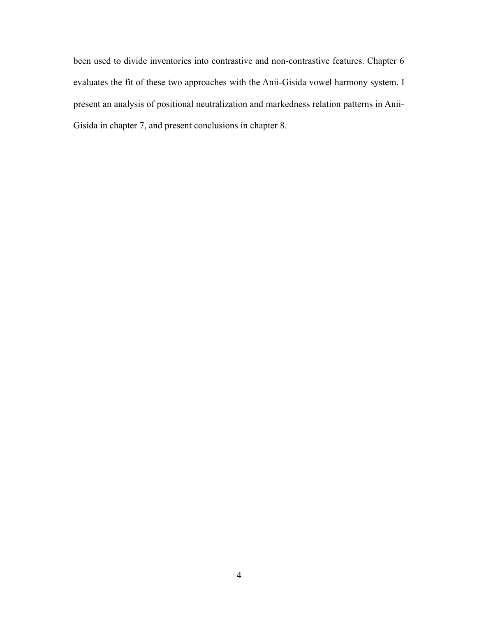been used to divide inventories into contrastive and non-contrastive features. Chapter 6 evaluates the fit of these two approaches with the Anii-Gisida vowel harmony system. I present an analysis of positional neutralization and markedness relation patterns in Anii-Gisida in chapter 7, and present conclusions in chapter 8.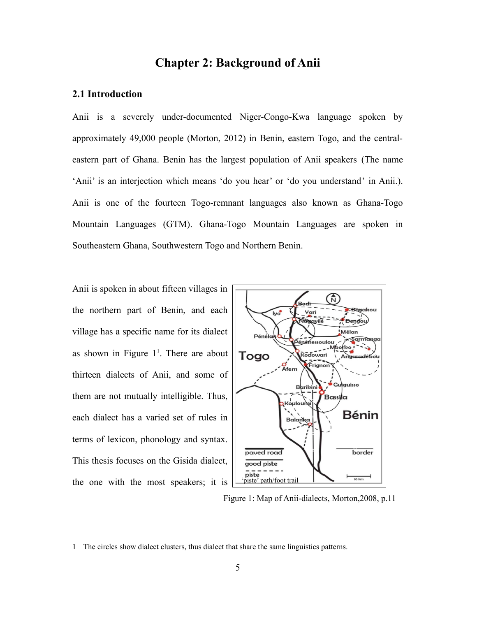# <span id="page-12-1"></span>**Chapter 2: Background of Anii**

### <span id="page-12-0"></span>**2.1 Introduction**

Anii is a severely under-documented Niger-Congo-Kwa language spoken by approximately 49,000 people (Morton, 2012) in Benin, eastern Togo, and the centraleastern part of Ghana. Benin has the largest population of Anii speakers (The name 'Anii' is an interjection which means 'do you hear' or 'do you understand' in Anii.). Anii is one of the fourteen Togo-remnant languages also known as Ghana-Togo Mountain Languages (GTM). Ghana-Togo Mountain Languages are spoken in Southeastern Ghana, Southwestern Togo and Northern Benin.

Anii is spoken in about fifteen villages in the northern part of Benin, and each village has a specific name for its dialect as shown in Figure  $1^1$  $1^1$ . There are about thirteen dialects of Anii, and some of them are not mutually intelligible. Thus, each dialect has a varied set of rules in terms of lexicon, phonology and syntax. This thesis focuses on the Gisida dialect, the one with the most speakers; it is



Figure 1: Map of Anii-dialects, Morton,2008, p.11

<span id="page-12-2"></span><sup>1</sup> The circles show dialect clusters, thus dialect that share the same linguistics patterns.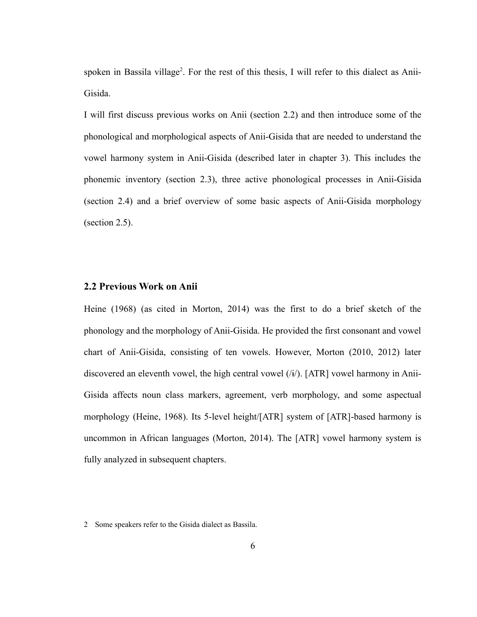spoken in Bassila village<sup>[2](#page-13-1)</sup>. For the rest of this thesis, I will refer to this dialect as Anii-Gisida.

I will first discuss previous works on Anii (section [2.2\)](#page-13-0) and then introduce some of the phonological and morphological aspects of Anii-Gisida that are needed to understand the vowel harmony system in Anii-Gisida (described later in chapter 3). This includes the phonemic inventory (section [2.3](#page-14-0)), three active phonological processes in Anii-Gisida (section [2.4](#page-17-0)) and a brief overview of some basic aspects of Anii-Gisida morphology (section [2.5\)](#page-20-1).

### <span id="page-13-0"></span>**2.2 Previous Work on Anii**

Heine (1968) (as cited in Morton, 2014) was the first to do a brief sketch of the phonology and the morphology of Anii-Gisida. He provided the first consonant and vowel chart of Anii-Gisida, consisting of ten vowels. However, Morton (2010, 2012) later discovered an eleventh vowel, the high central vowel  $(i)$ . [ATR] vowel harmony in Anii-Gisida affects noun class markers, agreement, verb morphology, and some aspectual morphology (Heine, 1968). Its 5-level height/[ATR] system of [ATR]-based harmony is uncommon in African languages (Morton, 2014). The [ATR] vowel harmony system is fully analyzed in subsequent chapters.

<span id="page-13-1"></span><sup>2</sup> Some speakers refer to the Gisida dialect as Bassila.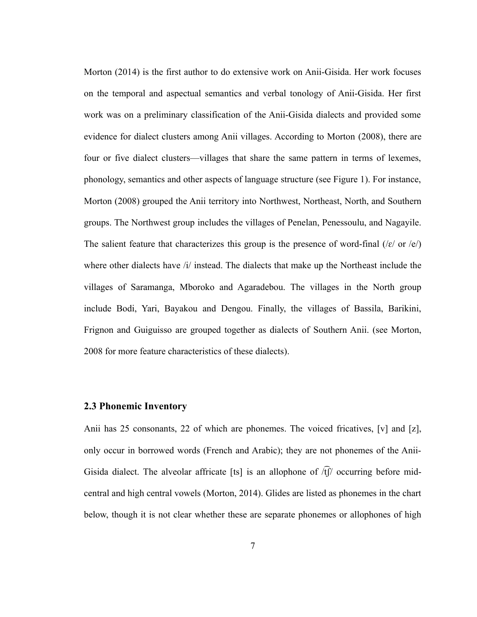Morton (2014) is the first author to do extensive work on Anii-Gisida. Her work focuses on the temporal and aspectual semantics and verbal tonology of Anii-Gisida. Her first work was on a preliminary classification of the Anii-Gisida dialects and provided some evidence for dialect clusters among Anii villages. According to Morton (2008), there are four or five dialect clusters—villages that share the same pattern in terms of lexemes, phonology, semantics and other aspects of language structure (see Figure 1). For instance, Morton (2008) grouped the Anii territory into Northwest, Northeast, North, and Southern groups. The Northwest group includes the villages of Penelan, Penessoulu, and Nagayile. The salient feature that characterizes this group is the presence of word-final ( $\ell \epsilon / \text{ or } \ell$ ) where other dialects have  $\frac{1}{l}$  instead. The dialects that make up the Northeast include the villages of Saramanga, Mboroko and Agaradebou. The villages in the North group include Bodi, Yari, Bayakou and Dengou. Finally, the villages of Bassila, Barikini, Frignon and Guiguisso are grouped together as dialects of Southern Anii. (see Morton, 2008 for more feature characteristics of these dialects).

### <span id="page-14-0"></span>**2.3 Phonemic Inventory**

Anii has 25 consonants, 22 of which are phonemes. The voiced fricatives, [v] and [z], only occur in borrowed words (French and Arabic); they are not phonemes of the Anii-Gisida dialect. The alveolar affricate [ts] is an allophone of  $\widehat{f}$  / $\widehat{f}$  occurring before midcentral and high central vowels (Morton, 2014). Glides are listed as phonemes in the chart below, though it is not clear whether these are separate phonemes or allophones of high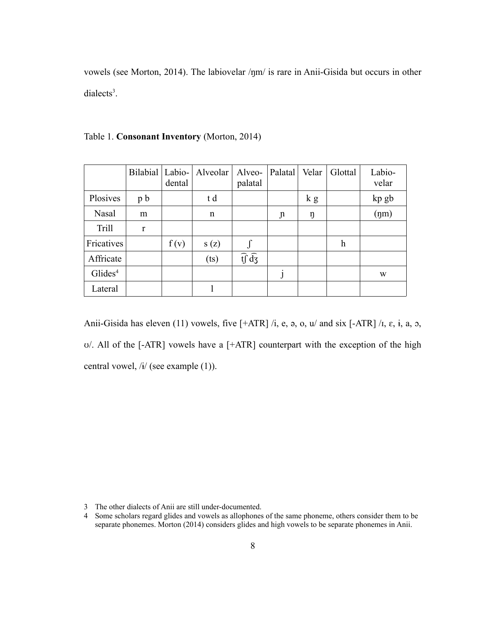vowels (see Morton, 2014). The labiovelar /ŋm/ is rare in Anii-Gisida but occurs in other  $dialects<sup>3</sup>$  $dialects<sup>3</sup>$  $dialects<sup>3</sup>$ .

|                     | Bilabial Labio- | dental | Alveolar | Alveo-<br>palatal             | Palatal        | Velar | Glottal | Labio-<br>velar |
|---------------------|-----------------|--------|----------|-------------------------------|----------------|-------|---------|-----------------|
| Plosives            | p <sub>b</sub>  |        | t d      |                               |                | k g   |         | kp gb           |
| Nasal               | m               |        | n        |                               | $\mathfrak{p}$ | ŋ     |         | $(\text{nm})$   |
| <b>Trill</b>        | r               |        |          |                               |                |       |         |                 |
| Fricatives          |                 | f(v)   | s(z)     |                               |                |       | h       |                 |
| Affricate           |                 |        | (ts)     | $\widehat{tf}$ $\widehat{dg}$ |                |       |         |                 |
| Glides <sup>4</sup> |                 |        |          |                               |                |       |         | W               |
| Lateral             |                 |        |          |                               |                |       |         |                 |

Table 1. **Consonant Inventory** (Morton, 2014)

Anii-Gisida has eleven (11) vowels, five  $[+ATR] / i$ , e, a, o, u/ and six  $[-ATR] / i$ ,  $\varepsilon$ ,  $i$ ,  $a$ ,  $o$ , ʊ/. All of the [-ATR] vowels have a [+ATR] counterpart with the exception of the high central vowel, /ɨ/ (see example [\(1\)\)](#page-16-0).

<span id="page-15-0"></span><sup>3</sup> The other dialects of Anii are still under-documented.

<span id="page-15-1"></span><sup>4</sup> Some scholars regard glides and vowels as allophones of the same phoneme, others consider them to be separate phonemes. Morton (2014) considers glides and high vowels to be separate phonemes in Anii.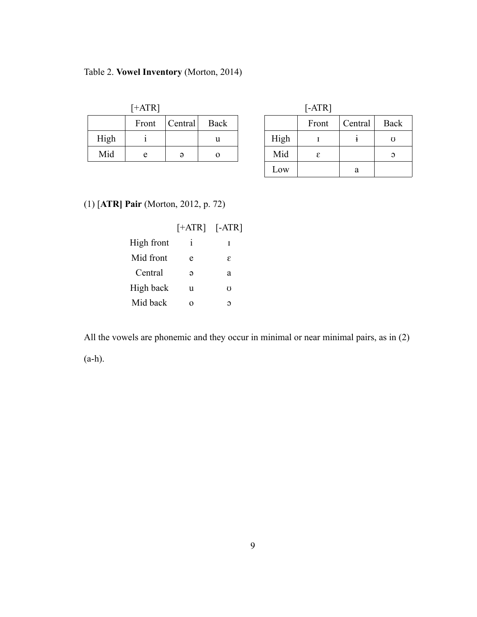# Table 2. **Vowel Inventory** (Morton, 2014)

| $[+ATR]$ |      |       |         |      | $[-ATR]$ |       |         |               |
|----------|------|-------|---------|------|----------|-------|---------|---------------|
|          |      | Front | Central | Back |          | Front | Central | Bao           |
|          | High |       |         | u    | High     |       |         | U             |
|          | Mid  | e     | Э       |      | Mid      | ε     |         | $\mathcal{O}$ |
|          |      |       |         |      |          |       |         |               |

| +ATR] |          |      |      | $[-ATR]$ |         |               |
|-------|----------|------|------|----------|---------|---------------|
| Front | Central  | Back |      | Front    | Central | Back          |
|       |          | u    | High |          |         | Ω             |
| e     | $\Theta$ | O    | Mid  | ε        |         | $\mathcal{O}$ |
|       |          |      | Low  |          | a       |               |

# <span id="page-16-0"></span>(1) [**ATR] Pair** (Morton, 2012, p. 72)

|            | $[+ATR]$ $[-ATR]$ |    |
|------------|-------------------|----|
| High front | $\mathbf{1}$      | I  |
| Mid front  | e                 | ε  |
| Central    | Э                 | a  |
| High back  | u                 | 75 |
| Mid back   |                   | ∩  |

All the vowels are phonemic and they occur in minimal or near minimal pairs, as in [\(2\)](#page-17-3)

([a](#page-17-2)[-h](#page-17-1)).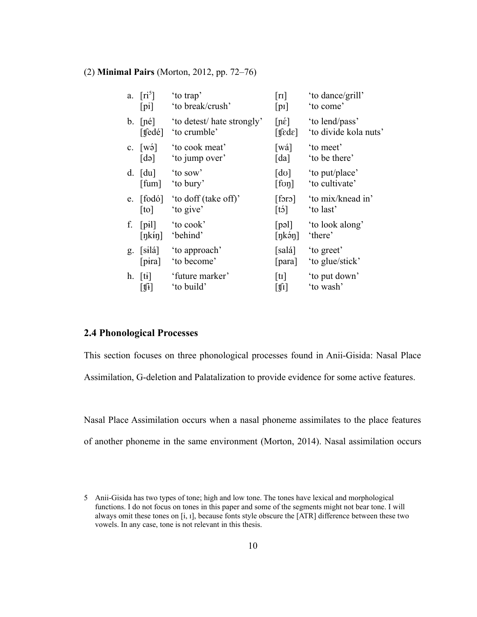#### <span id="page-17-3"></span>(2) **Minimal Pairs** (Morton, 2012, pp. 72–76)

<span id="page-17-5"></span><span id="page-17-2"></span>

| a.             | $\lceil r i^5 \rceil$                 | 'to trap'                                | $\lceil r \rceil$                  | 'to dance/grill'               |
|----------------|---------------------------------------|------------------------------------------|------------------------------------|--------------------------------|
|                | $[p_i]$                               | 'to break/crush'                         | $[p_1]$                            | 'to come'                      |
|                | $b.$ [né]                             | 'to detest/ hate strongly'               | $[n\acute{\epsilon}]$              | 'to lend/pass'                 |
|                | [t $\text{f}$ edé]                    | 'to crumble'                             | $[$ tfede]                         | 'to divide kola nuts'          |
| $\mathbf{c}$ . | $\lceil w \circ \rceil$               | 'to cook meat'                           | [wá]                               | 'to meet'                      |
|                | $\lceil d \rceil$                     | 'to jump over'                           | [da]                               | 'to be there'                  |
|                | $d. \quad [du]$                       | 'to sow'                                 | $\lceil d\sigma \rceil$            | 'to put/place'                 |
|                | [fum]                                 | 'to bury'                                | [for]                              | 'to cultivate'                 |
| e.             | $\lceil \text{to} \rceil$             | [fodó] 'to doff (take off)'<br>'to give' | [for]<br>$[t\dot{o}]$              | 'to mix/knead in'<br>'to last' |
| f.             | $[p_1]$                               | 'to cook'                                | [p <sub>9</sub> ]                  | 'to look along'                |
|                | [nk in]                               | 'behind'                                 | $[nk\acute{o}n]$                   | 'there'                        |
| g.             | [silá]                                | 'to approach'                            | [salá]                             | 'to greet'                     |
|                | $[\text{pira}]$                       | 'to become'                              | [para]                             | 'to glue/stick'                |
| h.             | $[t_1]$                               | 'future marker'                          | $\lceil \text{tr} \rceil$          | 'to put down'                  |
|                | $\left\lceil \mathbf{1} \right\rceil$ | 'to build'                               | $\lfloor \sharp \mathrm{i} \rceil$ | 'to wash'                      |

# <span id="page-17-1"></span><span id="page-17-0"></span>**2.4 Phonological Processes**

This section focuses on three phonological processes found in Anii-Gisida: Nasal Place Assimilation, G-deletion and Palatalization to provide evidence for some active features.

Nasal Place Assimilation occurs when a nasal phoneme assimilates to the place features of another phoneme in the same environment (Morton, 2014). Nasal assimilation occurs

<span id="page-17-4"></span><sup>5</sup> Anii-Gisida has two types of tone; high and low tone. The tones have lexical and morphological functions. I do not focus on tones in this paper and some of the segments might not bear tone. I will always omit these tones on [i, ɪ], because fonts style obscure the [ATR] difference between these two vowels. In any case, tone is not relevant in this thesis.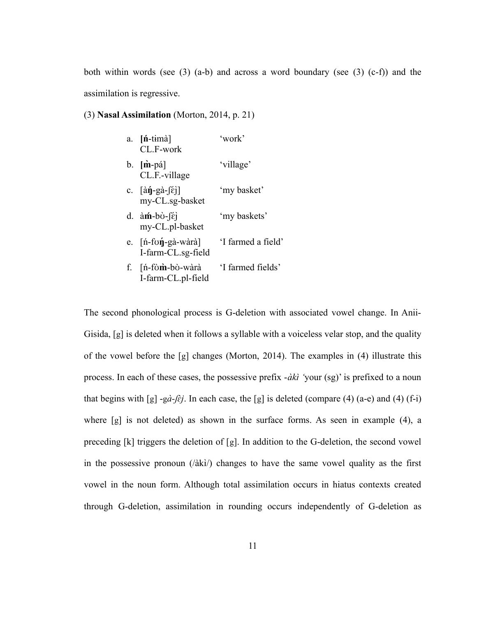both within words (see  $(3)$  ([a](#page-18-3)[-b](#page-17-5)) and a[c](#page-18-1)ross a word boundary (see  $(3)$  (c[-f](#page-18-0))) and the assimilation is regressive.

## <span id="page-18-2"></span>(3) **Nasal Assimilation** (Morton, 2014, p. 21)

<span id="page-18-3"></span><span id="page-18-1"></span>

|    | a. $[n-time]$<br>CL.F-work                                                         | 'work'             |
|----|------------------------------------------------------------------------------------|--------------------|
|    | $b.$ $[\dot{m}$ -pá]<br>CL.F.-village                                              | 'village'          |
|    | c. $\left[\hat{a}\hat{\eta} - g\hat{a} - \hat{\epsilon}\right]$<br>my-CL.sg-basket | 'my basket'        |
|    | d. $\hat{a}$ m - $\hat{b}$ . $\hat{c}$<br>my-CL.pl-basket                          | 'my baskets'       |
|    | e. [ń-fʊ <b>ή</b> -gà-wàrà]<br>I-farm-CL.sg-field                                  | 'I farmed a field' |
| f. | $[n$ -fòm-bò-wàrà<br>I-farm-CL.pl-field                                            | 'I farmed fields'  |

<span id="page-18-0"></span>The second phonological process is G-deletion with associated vowel change. In Anii-Gisida, [g] is deleted when it follows a syllable with a voiceless velar stop, and the quality of the vowel before the [g] changes (Morton, 2014). The examples in [\(4\)](#page-19-0) illustrate this process. In each of these cases, the possessive prefix -*àkì* 'your (sg)' is prefixed to a noun that begins with [g] -g*à-ʃɛ̀ j*. In each case, the [g] is deleted (compare [\(4\)](#page-19-0) ([a](#page-19-4)[-e\)](#page-19-3) and [\(4\)](#page-19-0) ([f-](#page-19-2)[i](#page-19-1)) where [g] is not deleted) as shown in the surface forms. As seen in example [\(4\)](#page-19-0), a preceding [k] triggers the deletion of [g]. In addition to the G-deletion, the second vowel in the possessive pronoun (/àkì/) changes to have the same vowel quality as the first vowel in the noun form. Although total assimilation occurs in hiatus contexts created through G-deletion, assimilation in rounding occurs independently of G-deletion as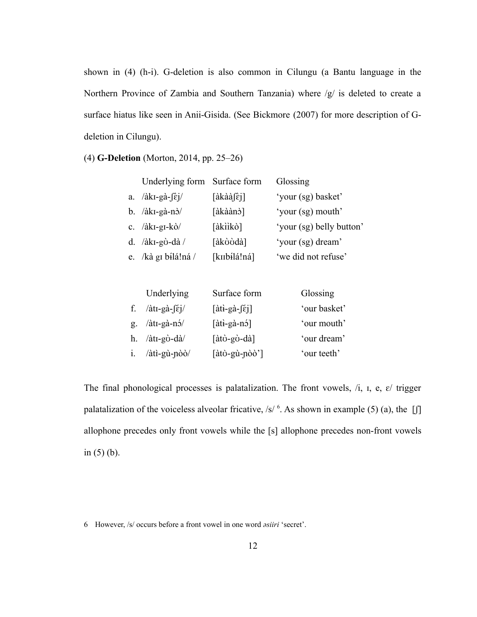shown in [\(4\)](#page-19-0) ([h-](#page-19-5)[i](#page-19-1)). G-deletion is also common in Cilungu (a Bantu language in the Northern Province of Zambia and Southern Tanzania) where /g/ is deleted to create a surface hiatus like seen in Anii-Gisida. (See Bickmore (2007) for more description of Gdeletion in Cilungu).

<span id="page-19-0"></span>(4) **G-Deletion** (Morton, 2014, pp. 25–26)

<span id="page-19-4"></span>

| Underlying form Surface form         |                                                                | Glossing                 |
|--------------------------------------|----------------------------------------------------------------|--------------------------|
| a. $/\hat{a}kI-g\hat{a} - \hat{e}i/$ | $\lceil \hat{a} \hat{k} \hat{a} \hat{a} \rceil \hat{\epsilon}$ | 'your (sg) basket'       |
| b. $/\hat{a}kI-g\hat{a}-n\hat{b}/$   | [àkàànò]                                                       | 'your (sg) mouth'        |
| c. $/λ$ kI-gI- $k\delta/$            | [àkììkò]                                                       | 'your (sg) belly button' |
| d. / $\lambda$ kı-gò-dà/             | [àkòòdà]                                                       | 'your (sg) dream'        |
| e. /kà gi bílá!ná /                  | [kɪɪbɨlá!ná]                                                   | 'we did not refuse'      |

<span id="page-19-5"></span><span id="page-19-3"></span><span id="page-19-2"></span><span id="page-19-1"></span>

| Underlying                                      | Surface form                                                           | Glossing     |
|-------------------------------------------------|------------------------------------------------------------------------|--------------|
| f. $/\hat{a}tI-g\hat{a} - \int \hat{\epsilon}j$ | $\left[\hat{a}\hat{t} + g\hat{a} - \hat{\epsilon}\hat{i}\right]$       | 'our basket' |
| g. $/\hat{a}tI-g\hat{a}-n\hat{b}/$              | $[\hat{a}t\hat{i}-g\hat{a}-n\hat{b}]$                                  | 'our mouth'  |
| h. $\hat{a}tI-g\hat{b}-d\hat{a}$                | $[\hat{a}t\hat{c}$ -g $\hat{c}$ -d $\hat{a}]$                          | 'our dream'  |
| $i.$ /àtì-gù-nòò/                               | $[\hat{a}\hat{t}\hat{0} - g\hat{u} - \hat{n}\hat{0}\hat{0}^{\dagger}]$ | 'our teeth'  |

The final phonological processes is palatalization. The front vowels,  $/i$ ,  $i$ ,  $e$ ,  $e$  trigger p[a](#page-20-4)latalization of the voiceless alveolar fricative, /s/  $<sup>6</sup>$  $<sup>6</sup>$  $<sup>6</sup>$ . As shown in example [\(5\)](#page-20-3) (a), the [f]</sup> allophone precedes only front vowels while the [s] allophone precedes non-front vowels in  $(5)$  [\(b](#page-20-2)).

<span id="page-19-6"></span><sup>6</sup> However, /s/ occurs before a front vowel in one word *ǝsiiri* 'secret'.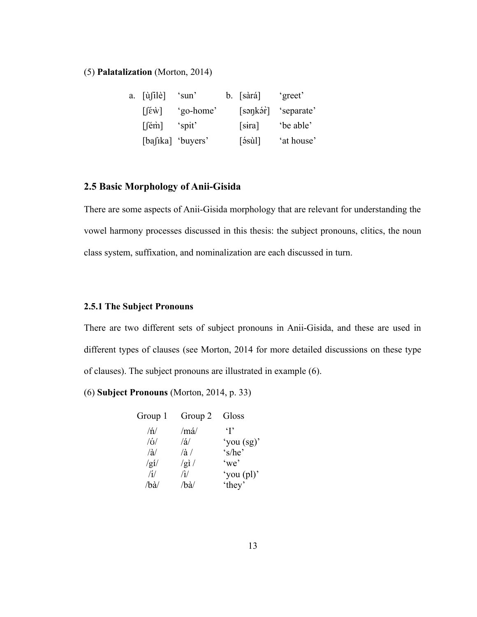<span id="page-20-3"></span>(5) **Palatalization** (Morton, 2014)

<span id="page-20-4"></span><span id="page-20-2"></span>

| a. [ùsilè]                        | 'sun'             | $b.$ [sàrá]                                    | 'greet'    |
|-----------------------------------|-------------------|------------------------------------------------|------------|
| $\lceil \hat{\epsilon w} \rceil$  | 'go-home'         | [sənkər]                                       | 'separate' |
| $\lceil$ [ $\dot{e}$ m $\rceil$ ] | 'spit'            | [sira]                                         | 'be able'  |
|                                   | [bafika] 'buyers' | $\lceil \dot{5} \dot{3} \dot{3} \rceil \rceil$ | 'at house' |

# <span id="page-20-1"></span>**2.5 Basic Morphology of Anii-Gisida**

There are some aspects of Anii-Gisida morphology that are relevant for understanding the vowel harmony processes discussed in this thesis: the subject pronouns, clitics, the noun class system, suffixation, and nominalization are each discussed in turn.

## <span id="page-20-0"></span>**2.5.1 The Subject Pronouns**

There are two different sets of subject pronouns in Anii-Gisida, and these are used in different types of clauses (see Morton, 2014 for more detailed discussions on these type of clauses). The subject pronouns are illustrated in example [\(6\)](#page-20-5).

<span id="page-20-5"></span>(6) **Subject Pronouns** (Morton, 2014, p. 33)

| Group 1             | Group 2       | Gloss        |
|---------------------|---------------|--------------|
| $/\eta/$            | $/m\acute{a}$ | $\cdot$ T    |
| /6/                 | /2/           | 'you $(sg)'$ |
| $\langle a \rangle$ | $/\hat{a}$    | 's/he'       |
| /gI/                | /gl/          | 'we'         |
| /1/                 | /i/           | 'you (pl)'   |
| /ba                 | /ba/          | 'they'       |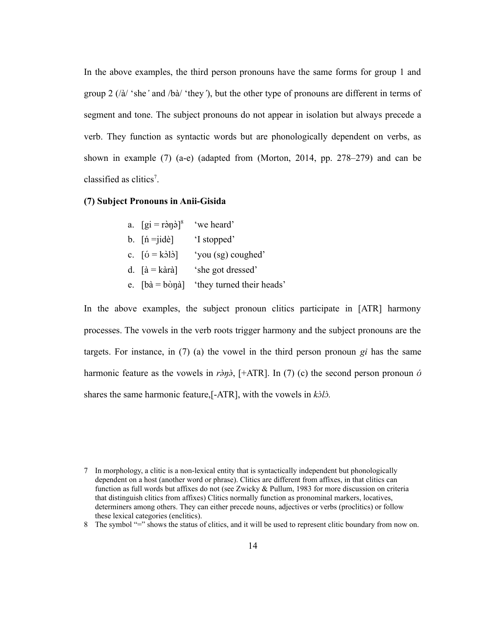In the above examples, the third person pronouns have the same forms for group 1 and group 2 (/à/ 'she*'* and /bà/ 'they*'*), but the other type of pronouns are different in terms of segment and tone. The subject pronouns do not appear in isolation but always precede a verb. They function as syntactic words but are phonologically dependent on verbs, as shown in example [\(7\)](#page-21-1) ([a](#page-21-2)[-e\)](#page-21-3) (adapted from (Morton, 2014, pp. 278–279) and can be classified as clitics<sup>[7](#page-21-4)</sup>.

#### <span id="page-21-1"></span>**(7) Subject Pronouns in Anii-Gisida**

<span id="page-21-2"></span><span id="page-21-0"></span>

| a. $\left[ gi = r \right]$ a, $\left[ 8 \right]$     | 'we heard'                |
|------------------------------------------------------|---------------------------|
| b. $\lceil n = \text{jidè} \rceil$                   | 'I stopped'               |
| c. $\lceil \acute{o} = k \grave{o} \rceil \grave{o}$ | 'you (sg) coughed'        |
| d. $\left[\hat{a} = k\hat{a}\right]$                 | 'she got dressed'         |
| e. $[bà = bònà]$                                     | 'they turned their heads' |
|                                                      |                           |

<span id="page-21-3"></span>In the above examples, the subject pronoun clitics participate in [ATR] harmony processes. The vowels in the verb roots trigger harmony and the subject pronouns are the targets. For instance, in [\(7\)](#page-21-1) [\(a\)](#page-21-2) the vowel in the third person pronoun *gi* has the same harmonic feature as the vowels in  $r\partial y\partial$ , [+ATR]. In [\(7\)](#page-21-1) [\(c](#page-21-0)) the second person pronoun  $\dot{\sigma}$ shares the same harmonic feature,[-ATR], with the vowels in  $k\partial\Omega$ .

<span id="page-21-4"></span><sup>7</sup> In morphology, a clitic is a non-lexical entity that is syntactically independent but phonologically dependent on a host (another word or phrase). Clitics are different from affixes, in that clitics can function as full words but affixes do not (see Zwicky & Pullum, 1983 for more discussion on criteria that distinguish clitics from affixes) Clitics normally function as pronominal markers, locatives, determiners among others. They can either precede nouns, adjectives or verbs (proclitics) or follow these lexical categories (enclitics).

<span id="page-21-5"></span><sup>8</sup> The symbol "=" shows the status of clitics, and it will be used to represent clitic boundary from now on.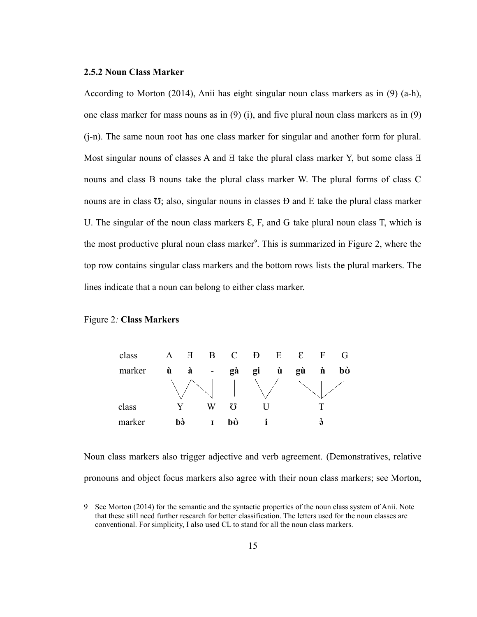#### <span id="page-22-0"></span>**2.5.2 Noun Class Marker**

According to Morton (2014), Anii has eight singular noun class markers as in [\(9\)](#page-23-0) ([a](#page-23-1)[-h](#page-24-3)), one class marker for mass nouns as in [\(9\)](#page-23-0) ([i](#page-24-2)), and five plural noun class markers as in [\(9\)](#page-23-0) ([j](#page-24-1)[-n](#page-24-0)). The same noun root has one class marker for singular and another form for plural. Most singular nouns of classes A and  $\exists$  take the plural class marker Y, but some class  $\exists$ nouns and class B nouns take the plural class marker W. The plural forms of class C nouns are in class  $\overline{O}$ ; also, singular nouns in classes  $D$  and  $E$  take the plural class marker U. The singular of the noun class markers  $\epsilon$ , F, and G take plural noun class T, which is the most productive plural noun class marker<sup>[9](#page-22-1)</sup>. This is summarized in Figure 2, where the top row contains singular class markers and the bottom rows lists the plural markers. The lines indicate that a noun can belong to either class marker.

#### Figure 2*:* **Class Markers**



Noun class markers also trigger adjective and verb agreement. (Demonstratives, relative pronouns and object focus markers also agree with their noun class markers; see Morton,

<span id="page-22-1"></span><sup>9</sup> See Morton (2014) for the semantic and the syntactic properties of the noun class system of Anii. Note that these still need further research for better classification. The letters used for the noun classes are conventional. For simplicity, I also used CL to stand for all the noun class markers.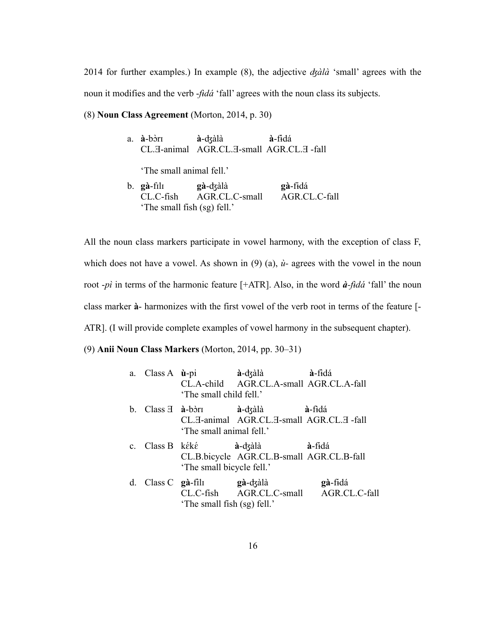2014 for further examples.) In example [\(8\)](#page-23-2), the adjective *ʤàlà* 'small' agrees with the noun it modifies and the verb -*fɨ̀dá* 'fall' agrees with the noun class its subjects.

## <span id="page-23-2"></span>(8) **Noun Class Agreement** (Morton, 2014, p. 30)

| a. <b>à</b> -bòrī           | à-dzàlà                                  | à-fidá        |
|-----------------------------|------------------------------------------|---------------|
|                             | CL.H-animal AGR.CL.H-small AGR.CL.H-fall |               |
| 'The small animal fell.'    |                                          |               |
| b. <b>gà-</b> fil1          | <b>gà-</b> dʒàlà                         | gà-fidá       |
|                             | CL.C-fish AGR.CL.C-small                 | AGR.CL.C-fall |
| 'The small fish (sg) fell.' |                                          |               |

All the noun class markers participate in vowel harmony, with the exception of class F, which does not have a vowel. As shown in  $(9)$  [\(a\)](#page-23-1),  $\dot{u}$ - agrees with the vowel in the noun root -*pì* in terms of the harmonic feature [+ATR]. Also, in the word *à-fɨ̀dá* 'fall' the noun class marker **à**- harmonizes with the first vowel of the verb root in terms of the feature [- ATR]. (I will provide complete examples of vowel harmony in the subsequent chapter).

<span id="page-23-0"></span>(9) **Anii Noun Class Markers** (Morton, 2014, pp. 30–31)

<span id="page-23-1"></span>

|  | 'The small child fell.'                                              | a. Class A ù-pi à-dzàlà à-fidá<br>CL.A-child AGR.CL.A-small AGR.CL.A-fall                            |                                                   |
|--|----------------------------------------------------------------------|------------------------------------------------------------------------------------------------------|---------------------------------------------------|
|  | 'The small animal fell.'                                             | b. Class $\overline{A}$ $\dot{a}$ -bòri $\dot{a}$ -dzàlà<br>CL.H-animal AGR.CL.H-small AGR.CL.H-fall | <b>à-</b> f <del>i</del> dá                       |
|  | 'The small bicycle fell.'                                            | c. Class B kéké <b>à</b> -dzàlà <b>à</b> -fidá<br>CL.B.bicycle AGR.CL.B-small AGR.CL.B-fall          |                                                   |
|  | d. Class $C$ gà-fìli gà-d $\zeta$ àlà<br>'The small fish (sg) fell.' |                                                                                                      | gà-fidá<br>CL.C-fish AGR.CL.C-small AGR.CL.C-fall |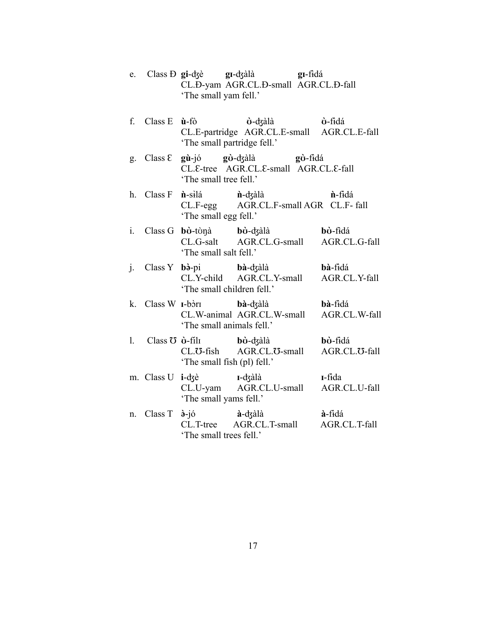- e. Class Ɖ **gi**-ʤè **gɪ**-ʤàlà **gɪ**-fɨd̀ á CL.Ð-yam AGR.CL.Ð-small AGR.CL.Ð-fall 'The small yam fell.'
- f. Class E **ù**-fò **ʊ̀** -ʤàlà **ʊ̀**  $\dot{\mathbf{v}}$ -f<del>i</del>dá CL.E-partridge AGR.CL.E-small AGR.CL.E-fall 'The small partridge fell.'
- g. Class Ɛ **gù**-jó **gʊ̀** -ʤàlà **gʊ̀** gò-fidá CL. ε-tree AGR. CL. ε-small AGR. CL. ε-fall 'The small tree fell.'
- <span id="page-24-3"></span>h. Class F **n**-silá<br>CL.F-egg **n**-dzàlà **n**-fidá AGR.CL.F-small AGR CL.F- fall 'The small egg fell.'
- <span id="page-24-2"></span>i. Class G **bʊ̀** -tʊ̀ŋà **bʊ̀ bò**-dʒàlà<br>
AGR.CL.G-small
AGR.CL.G-fall bò-fidá CL.G-salt AGR.CL.G-small 'The small salt fell.'
- <span id="page-24-1"></span>j. Class Y **bò**-pi<br>CL.Y-child **bà**-dʒàlà **bà**-fɨdá<br>AGR.CL.Y-small AGR.CL.Y-fall AGR.CL.Y-small 'The small children fell.'
- k. Class W **ɪ**-bɔ̀ **bà**-dʒàlà **bà**-fɨdá<br>AGR.CL.W-small AGR.CL.W-fall CL.W-animal AGR.CL.W-small 'The small animals fell.'
- l. Class Ʊ **ʊ̀** -fɪ́ lɪ **bʊ̀** -ʤàlà **bʊ̀ bò-**f<del>i</del>dá<br>AGR.CL.<del>U</del>-fall CL.<del>O</del>-fish AGR.CL.<del>O</del>-small 'The small fish (pl) fell.'
- m. Class U **i**-ʤè **ɪ**-ʤàlà **ɪ**-fɨdà AGR.CL.U-small 'The small yams fell.'
- <span id="page-24-0"></span>n. Class T  $\partial$ <sup>-jó</sup><br>CL.T-tree -jó **à**-ʤàlà **à**-fɨd̀ á AGR.CL.T-small 'The small trees fell.'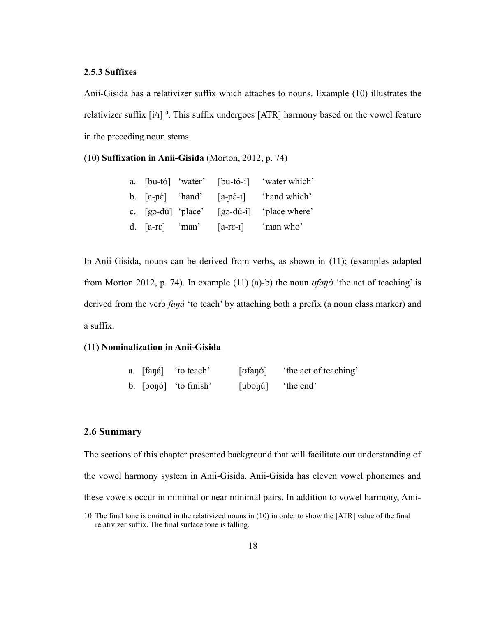### <span id="page-25-1"></span>**2.5.3 Suffixes**

Anii-Gisida has a relativizer suffix which attaches to nouns. Example [\(10\)](#page-25-5) illustrates the relativizer suffix  $[i/1]^{10}$  $[i/1]^{10}$  $[i/1]^{10}$ . This suffix undergoes [ATR] harmony based on the vowel feature in the preceding noun stems.

<span id="page-25-5"></span>(10) **Suffixation in Anii-Gisida** (Morton, 2012, p. 74)

|                                         |  | a. [bu-tó] 'water' [bu-tó-i] 'water which'                               |
|-----------------------------------------|--|--------------------------------------------------------------------------|
|                                         |  | b. $[a-p\acute{\epsilon}]$ 'hand' $[a-p\acute{\epsilon}-1]$ 'hand which' |
| c. $\lceil \text{ga-dú} \rceil$ 'place' |  | $\lceil$ gə-dú-i $\rceil$ 'place where'                                  |
| d. $[a-re]$ 'man'                       |  | $[a-re-I]$ 'man who'                                                     |

In Anii-Gisida, nouns can be derived from verbs, as shown in [\(11\)](#page-25-4); (examples adapted from Morton 2012, p. 74). In example [\(11\)](#page-25-4) ([a](#page-25-3))[-b](#page-25-2)) the noun *ʊfaŋʊ́* 'the act of teaching' is derived from the verb *faŋá* 'to teach' by attaching both a prefix (a noun class marker) and a suffix.

# <span id="page-25-4"></span>(11) **Nominalization in Anii-Gisida**

<span id="page-25-3"></span><span id="page-25-2"></span>

|  | a. [fana] 'to teach'  | [ʊfaŋʊ́]         | the act of teaching' |
|--|-----------------------|------------------|----------------------|
|  | b. [bonó] 'to finish' | [ubonú] the end' |                      |

## <span id="page-25-0"></span>**2.6 Summary**

The sections of this chapter presented background that will facilitate our understanding of the vowel harmony system in Anii-Gisida. Anii-Gisida has eleven vowel phonemes and these vowels occur in minimal or near minimal pairs. In addition to vowel harmony, Anii-10 The final tone is omitted in the relativized nouns in [\(10\)](#page-25-5) in order to show the [ATR] value of the final

<span id="page-25-6"></span>relativizer suffix. The final surface tone is falling.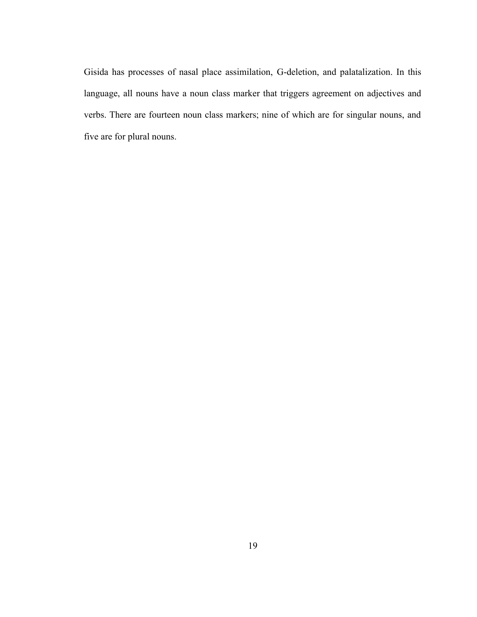Gisida has processes of nasal place assimilation, G-deletion, and palatalization. In this language, all nouns have a noun class marker that triggers agreement on adjectives and verbs. There are fourteen noun class markers; nine of which are for singular nouns, and five are for plural nouns.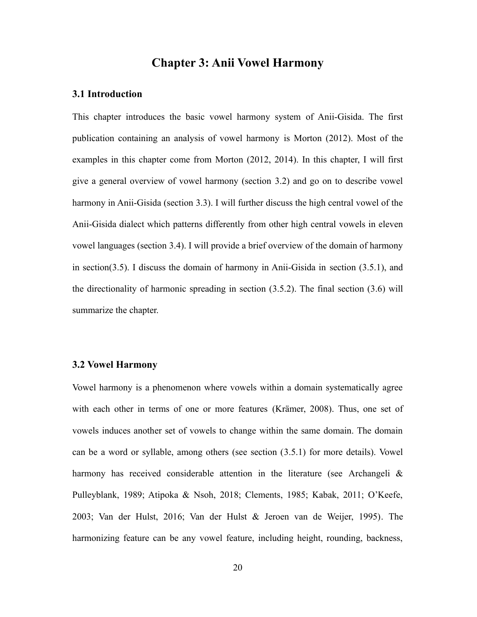# <span id="page-27-1"></span>**Chapter 3: Anii Vowel Harmony**

### <span id="page-27-0"></span>**3.1 Introduction**

This chapter introduces the basic vowel harmony system of Anii-Gisida. The first publication containing an analysis of vowel harmony is Morton (2012). Most of the examples in this chapter come from Morton (2012, 2014). In this chapter, I will first give a general overview of vowel harmony (section [3.2](#page-27-2)) and go on to describe vowel harmony in Anii-Gisida (section [3.3](#page-28-0)). I will further discuss the high central vowel of the Anii-Gisida dialect which patterns differently from other high central vowels in eleven vowel languages (section [3.4](#page-34-0)). I will provide a brief overview of the domain of harmony in section[\(3.5](#page-37-0)). I discuss the domain of harmony in Anii-Gisida in section [\(3.5.1](#page-38-0)), and the directionality of harmonic spreading in section ([3.5.2\)](#page-40-0). The final section ([3.6\)](#page-43-0) will summarize the chapter.

## <span id="page-27-2"></span>**3.2 Vowel Harmony**

Vowel harmony is a phenomenon where vowels within a domain systematically agree with each other in terms of one or more features (Krämer, 2008). Thus, one set of vowels induces another set of vowels to change within the same domain. The domain can be a word or syllable, among others (see section ([3.5.1\)](#page-38-0) for more details). Vowel harmony has received considerable attention in the literature (see Archangeli & Pulleyblank, 1989; Atipoka & Nsoh, 2018; Clements, 1985; Kabak, 2011; O'Keefe, 2003; Van der Hulst, 2016; Van der Hulst & Jeroen van de Weijer, 1995). The harmonizing feature can be any vowel feature, including height, rounding, backness,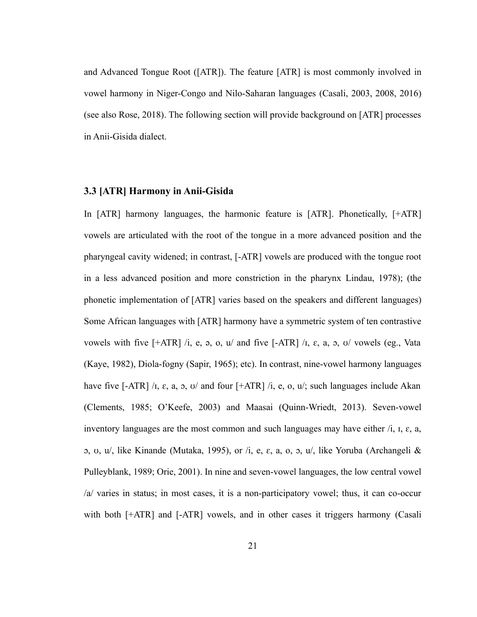and Advanced Tongue Root ([ATR]). The feature [ATR] is most commonly involved in vowel harmony in Niger-Congo and Nilo-Saharan languages (Casali, 2003, 2008, 2016) (see also Rose, 2018). The following section will provide background on [ATR] processes in Anii-Gisida dialect.

### <span id="page-28-0"></span>**3.3 [ATR] Harmony in Anii-Gisida**

In [ATR] harmony languages, the harmonic feature is [ATR]. Phonetically, [+ATR] vowels are articulated with the root of the tongue in a more advanced position and the pharyngeal cavity widened; in contrast, [-ATR] vowels are produced with the tongue root in a less advanced position and more constriction in the pharynx Lindau, 1978); (the phonetic implementation of [ATR] varies based on the speakers and different languages) Some African languages with [ATR] harmony have a symmetric system of ten contrastive vowels with five  $[+ATR]$  /i, e, a, o, u/ and five  $[-ATR]$  /i,  $\varepsilon$ , a,  $\sigma$ ,  $\sigma$ / vowels (eg., Vata (Kaye, 1982), Diola-fogny (Sapir, 1965); etc). In contrast, nine-vowel harmony languages have five  $[-ATR] / I$ ,  $\varepsilon$ ,  $a$ ,  $b$ ,  $c$  and four  $[+ATR] / I$ ,  $e$ ,  $o$ ,  $u$ ; such languages include Akan (Clements, 1985; O'Keefe, 2003) and Maasai (Quinn-Wriedt, 2013). Seven-vowel inventory languages are the most common and such languages may have either /i, ɪ, ɛ, a, ɔ, ʊ, u/, like Kinande (Mutaka, 1995), or /i, e, ɛ, a, o, ɔ, u/, like Yoruba (Archangeli & Pulleyblank, 1989; Orie, 2001). In nine and seven-vowel languages, the low central vowel /a/ varies in status; in most cases, it is a non-participatory vowel; thus, it can co-occur with both  $[+ATR]$  and  $[-ATR]$  vowels, and in other cases it triggers harmony (Casali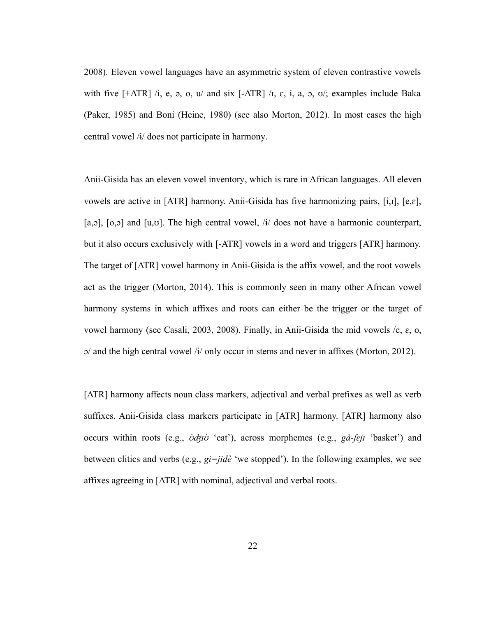2008). Eleven vowel languages have an asymmetric system of eleven contrastive vowels with five  $[+ATR]$  /i, e, a, o, u/ and six  $[-ATR]$  /i,  $\varepsilon$ , i, a, o, o/; examples include Baka (Paker, 1985) and Boni (Heine, 1980) (see also Morton, 2012). In most cases the high central vowel /ɨ/ does not participate in harmony.

Anii-Gisida has an eleven vowel inventory, which is rare in African languages. All eleven vowels are active in [ATR] harmony. Anii-Gisida has five harmonizing pairs, [i,ɪ], [e,ɛ], [a,ə],  $[0,0]$  and  $[u, v]$ . The high central vowel,  $\frac{1}{4}$  does not have a harmonic counterpart, but it also occurs exclusively with [-ATR] vowels in a word and triggers [ATR] harmony. The target of [ATR] vowel harmony in Anii-Gisida is the affix vowel, and the root vowels act as the trigger (Morton, 2014). This is commonly seen in many other African vowel harmony systems in which affixes and roots can either be the trigger or the target of vowel harmony (see Casali, 2003, 2008). Finally, in Anii-Gisida the mid vowels /e, ɛ, o,  $\alpha$ / and the high central vowel / $\dot{\alpha}$ / only occur in stems and never in affixes (Morton, 2012).

[ATR] harmony affects noun class markers, adjectival and verbal prefixes as well as verb suffixes. Anii-Gisida class markers participate in [ATR] harmony. [ATR] harmony also occurs within roots (e.g., *ʊ̀ʤɪʊ̀* 'eat'), across morphemes (e.g., *gà-ʃɛjɪ* 'basket') and between clitics and verbs (e.g., *gi=jidè* 'we stopped'). In the following examples, we see affixes agreeing in [ATR] with nominal, adjectival and verbal roots.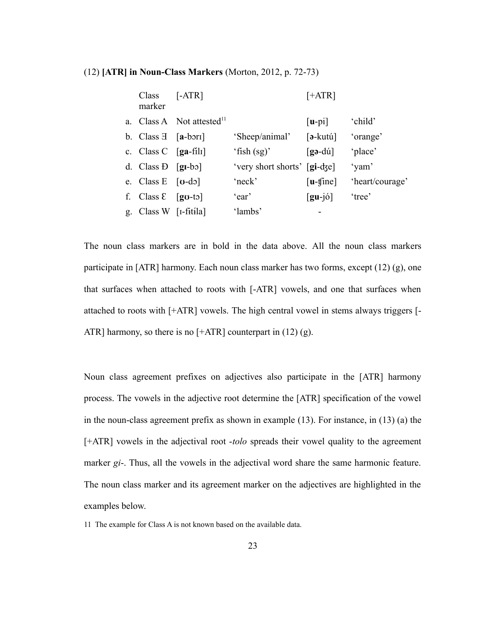#### <span id="page-30-1"></span>(12) **[ATR] in Noun-Class Markers** (Morton, 2012, p. 72-73)

| Class<br>marker                                           | $[-ATR]$                              |                                       | $[+ATR]$                            |                 |
|-----------------------------------------------------------|---------------------------------------|---------------------------------------|-------------------------------------|-----------------|
|                                                           | a. Class A Not attested <sup>11</sup> |                                       | $[u-pi]$                            | 'child'         |
| b. Class $\exists$ [a-bori]                               |                                       | 'Sheep/animal'                        | $\lceil 3 - \text{kutu} \rceil$     | 'orange'        |
| c. Class C $\left[\text{ga-filn}\right]$                  |                                       | 'fish $(sg)$ '                        | $\lceil$ gə-dú]                     | 'place'         |
| d. Class $\overline{D}$ [g <sub>1</sub> -b <sub>2</sub> ] |                                       | 'very short shorts' [ <b>gi-</b> dze] |                                     | 'yam'           |
| e. Class E $[\textbf{u}-d\textbf{o}]$                     |                                       | 'neck'                                | $[u-fine]$                          | 'heart/courage' |
| f. Class $\epsilon$ [go-to]                               |                                       | 'ear'                                 | $\left[\text{gu-}j\acute{o}\right]$ | 'tree'          |
| g. Class W $[I-fit/ia]$                                   |                                       | 'lambs'                               |                                     |                 |

<span id="page-30-0"></span>The noun class markers are in bold in the data above. All the noun class markers participate in [ATR] harmony. Each noun class marker has two forms, except [\(12\)](#page-30-1) ([g\)](#page-30-0), one that surfaces when attached to roots with [-ATR] vowels, and one that surfaces when attached to roots with [+ATR] vowels. The high central vowel in stems always triggers [- ATR] harmony, so there is no  $[+ATR]$  counterpart in [\(12\)](#page-30-1) [\(g](#page-30-0)).

Noun class agreement prefixes on adjectives also participate in the [ATR] harmony process. The vowels in the adjective root determine the [ATR] specification of the vowel in the noun-class agreement prefix as shown in example [\(13\)](#page-31-1). For instance, in [\(13\)](#page-31-1) ([a](#page-31-0)) the [+ATR] vowels in the adjectival root -*tolo* spreads their vowel quality to the agreement marker *gi*-. Thus, all the vowels in the adjectival word share the same harmonic feature. The noun class marker and its agreement marker on the adjectives are highlighted in the examples below.

<span id="page-30-2"></span><sup>11</sup> The example for Class A is not known based on the available data.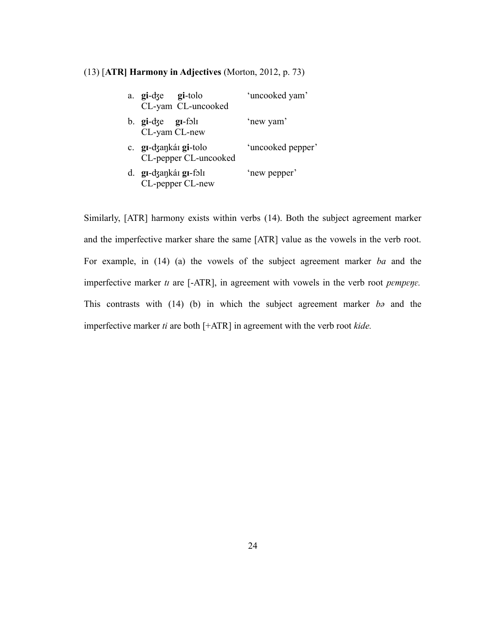#### <span id="page-31-1"></span>(13) [**ATR] Harmony in Adjectives** (Morton, 2012, p. 73)

<span id="page-31-0"></span>

| a. gi-dze gi-tolo<br>CL-yam CL-uncooked                            | 'uncooked yam'    |
|--------------------------------------------------------------------|-------------------|
| b. $\boldsymbol{g}$ i-dze $\boldsymbol{g}$ i-foli<br>CL-yam CL-new | 'new yam'         |
| c. gr-dzankár gi-tolo<br>CL-pepper CL-uncooked                     | 'uncooked pepper' |
| d. gi-dzankái gi-fəli<br>CL-pepper CL-new                          | 'new pepper'      |

Similarly, [ATR] harmony exists within verbs [\(14\)](#page-32-1). Both the subject agreement marker and the imperfective marker share the same [ATR] value as the vowels in the verb root. For example, in [\(14\)](#page-32-1) ([a](#page-32-2)) the vowels of the subject agreement marker *ba* and the imperfective marker *tɪ* are [-ATR], in agreement with vowels in the verb root *pɛmpɛŋɛ.* This contrasts with [\(14\)](#page-32-1) ([b\)](#page-32-0) in which the subject agreement marker *b*<sub>2</sub> and the imperfective marker *ti* are both [+ATR] in agreement with the verb root *kide.*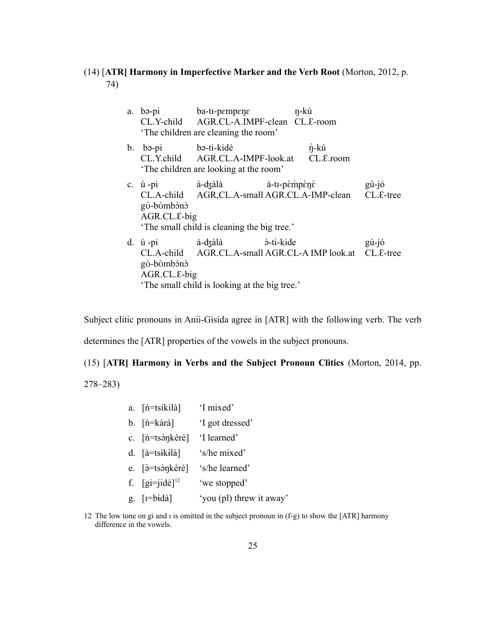# <span id="page-32-1"></span>(14) [**ATR] Harmony in Imperfective Marker and the Verb Root** (Morton, 2012, p. 74)

<span id="page-32-2"></span><span id="page-32-0"></span>

|                                                  | a. bə-pi ba-ti-pempene n-ku<br>'The children are cleaning the room'        | CL.Y-child AGR.CL-A.IMPF-clean CL.E-room                  |                |
|--------------------------------------------------|----------------------------------------------------------------------------|-----------------------------------------------------------|----------------|
| b. bə-pi bə-ti-kidé                              | 'The children are looking at the room'                                     | <i>n-kú</i><br>CL.Y.child AGR.CL.A-IMPF-look.at CL.E.room |                |
| c. $\dot{u}$ -pi<br>gò-bòmbònò<br>$AGR.CL.E-big$ | 'The small child is cleaning the big tree.'                                | CL.A-child AGR,CL.A-small AGR.CL.A-IMP-clean CL.E-tree    | $g\dot{u}$ -jó |
| gò-bòmbònò<br>$AGR.CL.E-big$                     | d. ù-pi à-dzàlà à-ti-kide<br>'The small child is looking at the big tree.' | CL.A-child AGR.CL.A-small AGR.CL-A IMP look.at CL.E-tree  | gù-jó          |

Subject clitic pronouns in Anii-Gisida agree in [ATR] with the following verb. The verb determines the [ATR] properties of the vowels in the subject pronouns.

<span id="page-32-7"></span>(15) [**ATR] Harmony in Verbs and the Subject Pronoun Clitics** (Morton, 2014, pp.

278–283)

- <span id="page-32-9"></span>a. [ń=tsikilà] 'I mixed'
- b. [ń=kàrà] 'I got dressed'
- <span id="page-32-8"></span>c. [ń=tsə̀ŋkèrè] 'I learned'
- <span id="page-32-6"></span> $d.$   $\left[ \hat{a} = t s i k i \right]$ 's/he mixed'
- e. [ə̀=tsə̀ŋkèrè] 's/he learned'
- <span id="page-32-4"></span>f.  $[gi=jid\dot{e}]^{12}$  $[gi=jid\dot{e}]^{12}$  $[gi=jid\dot{e}]^{12}$  'we stopped'
- <span id="page-32-3"></span>g.  $[i=b \cdot d\hat{a}]$ 'you (pl) threw it away'
- <span id="page-32-5"></span>12 The low tone on gi and ɪ is omitted in the subject pronoun in ([f](#page-32-4)[-g](#page-32-3)) to show the [ATR] harmony difference in the vowels.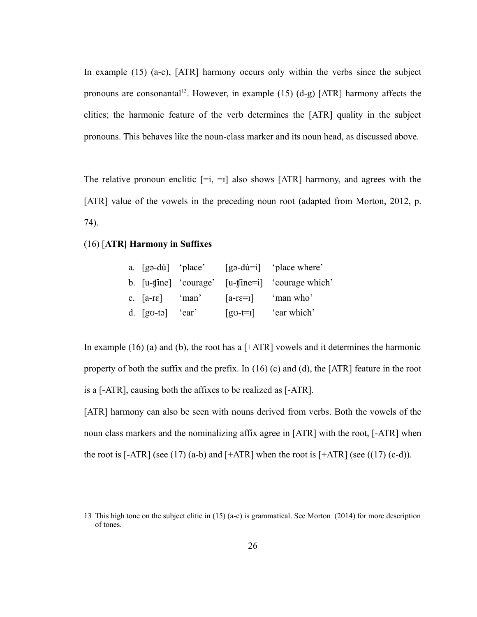In example [\(15\)](#page-32-7) ([a](#page-32-9)[-c](#page-32-8)), [ATR] harmony occurs only within the verbs since the subject pronouns are consonantal<sup>[13](#page-33-4)</sup>. However, in example  $(15)$   $(d-g)$  $(d-g)$  $(d-g)$  [ATR] harmony affects the clitics; the harmonic feature of the verb determines the [ATR] quality in the subject pronouns. This behaves like the noun-class marker and its noun head, as discussed above.

The relative pronoun enclitic  $[-i, -1]$  also shows  $[ATR]$  harmony, and agrees with the [ATR] value of the vowels in the preceding noun root (adapted from Morton, 2012, p. 74).

# <span id="page-33-2"></span>(16) [**ATR] Harmony in Suffixes**

<span id="page-33-3"></span><span id="page-33-1"></span><span id="page-33-0"></span>

|                    |                   | a. $[$ gə-dú $]$ 'place' $[$ gə-dú $=$ i $]$ 'place where'                       |
|--------------------|-------------------|----------------------------------------------------------------------------------|
|                    |                   | b. $[u\text{-}f\text{ine}]$ 'courage' $[u\text{-}f\text{ine}=i]$ 'courage which' |
|                    | c. $[a-re]$ 'man' | $[a-re=1]$ 'man who'                                                             |
| d. $[gv-to]$ 'ear' |                   | $\left[\text{go-t=1}\right]$ 'ear which'                                         |

In example [\(16\)](#page-33-2) [\(a](#page-36-0)) and [\(b](#page-33-3)), the root has a  $[+ATR]$  vowels and it determines the harmonic property of both the suffix and the prefix. In  $(16)$  ([c](#page-33-1)) and  $(d)$  $(d)$ , the [ATR] feature in the root is a [-ATR], causing both the affixes to be realized as [-ATR].

[ATR] harmony can also be seen with nouns derived from verbs. Both the vowels of the noun class markers and the nominalizing affix agree in [ATR] with the root, [-ATR] when the root is  $[-ATR]$  (see [\(17\)](#page-34-3) ([a](#page-34-5)[-b](#page-34-4)) an[d](#page-34-1)  $[+ATR]$  when the root is  $[+ATR]$  (see ((17) ([c](#page-34-2)-d)).

<span id="page-33-4"></span><sup>13</sup> This high tone on the subject clitic in [\(15\)](#page-32-7) [\(a](#page-32-9)[-c\)](#page-32-8) is grammatical. See Morton (2014) for more description of tones.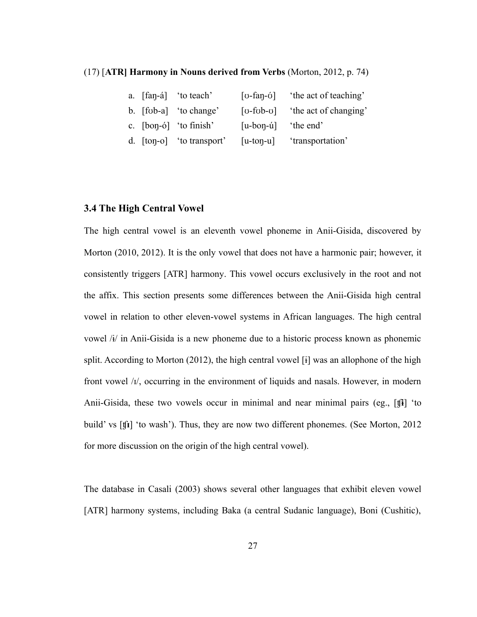#### <span id="page-34-3"></span>(17) [**ATR] Harmony in Nouns derived from Verbs** (Morton, 2012, p. 74)

<span id="page-34-5"></span><span id="page-34-4"></span><span id="page-34-2"></span><span id="page-34-1"></span>

|  | a. [fan-á] 'to teach'     | $\lceil$ 0-fan- $\sigma$ ]  | 'the act of teaching' |
|--|---------------------------|-----------------------------|-----------------------|
|  | b. [fob-a] 'to change'    | $\lceil$ v-fvb-v $\rceil$   | 'the act of changing' |
|  | c. $[bon-6]$ 'to finish'  | $[u-bon-u]$                 | 'the end'             |
|  | d. [ton-o] 'to transport' | $\lceil u$ -ton- $u \rceil$ | 'transportation'      |

#### <span id="page-34-0"></span>**3.4 The High Central Vowel**

The high central vowel is an eleventh vowel phoneme in Anii-Gisida, discovered by Morton (2010, 2012). It is the only vowel that does not have a harmonic pair; however, it consistently triggers [ATR] harmony. This vowel occurs exclusively in the root and not the affix. This section presents some differences between the Anii-Gisida high central vowel in relation to other eleven-vowel systems in African languages. The high central vowel /ɨ/ in Anii-Gisida is a new phoneme due to a historic process known as phonemic split. According to Morton (2012), the high central vowel [ɨ] was an allophone of the high front vowel /ɪ/, occurring in the environment of liquids and nasals. However, in modern Anii-Gisida, these two vowels occur in minimal and near minimal pairs (eg., [ʧ**ɨ**] 'to build' vs [ʧ**ɪ**] 'to wash'). Thus, they are now two different phonemes. (See Morton, 2012 for more discussion on the origin of the high central vowel).

The database in Casali (2003) shows several other languages that exhibit eleven vowel [ATR] harmony systems, including Baka (a central Sudanic language), Boni (Cushitic),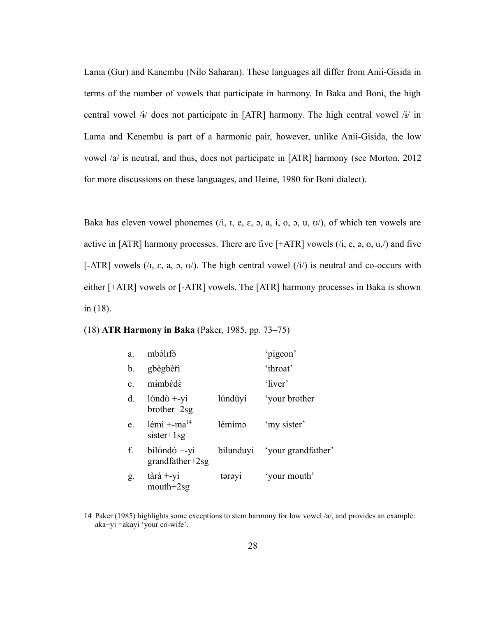Lama (Gur) and Kanembu (Nilo Saharan). These languages all differ from Anii-Gisida in terms of the number of vowels that participate in harmony. In Baka and Boni, the high central vowel /ɨ/ does not participate in [ATR] harmony. The high central vowel /ɨ/ in Lama and Kenembu is part of a harmonic pair, however, unlike Anii-Gisida, the low vowel /a/ is neutral, and thus, does not participate in [ATR] harmony (see Morton, 2012 for more discussions on these languages, and Heine, 1980 for Boni dialect).

Baka has eleven vowel phonemes (/i,  $I$ ,  $e$ ,  $\varepsilon$ ,  $\varphi$ ,  $a$ ,  $\varphi$ ,  $b$ ,  $a$ ,  $\psi$ ), of which ten vowels are active in [ATR] harmony processes. There are five  $[+ATR]$  vowels  $(i, e, a, o, u, j)$  and five [-ATR] vowels ( $\Lambda$ ,  $\varepsilon$ ,  $a$ ,  $a$ ,  $v$ ). The high central vowel ( $\Lambda$ ) is neutral and co-occurs with either [+ATR] vowels or [-ATR] vowels. The [ATR] harmony processes in Baka is shown in [\(18\)](#page-35-0).

#### <span id="page-35-0"></span>(18) **ATR Harmony in Baka** (Paker, 1985, pp. 73–75)

| a.             | mbólifó                                                               |         | 'pigeon'                     |
|----------------|-----------------------------------------------------------------------|---------|------------------------------|
| b.             | gbègbéři                                                              |         | 'throat'                     |
| $\mathbf{c}$ . | mimbédè                                                               |         | 'liver'                      |
| d.             | $1$ <i>i</i> $\text{and}$ $\dot{\text{o}}$ +-yi<br>$b$ rother+ $2$ sg | lúndùyi | 'your brother                |
| e.             | $l$ émì +-ma <sup>14</sup><br>$sister+1sg$                            | lémìmə  | 'my sister'                  |
| f.             | $b$ ilóndò $+$ -yi<br>$grandfather+2sg$                               |         | bilunduyi 'your grandfather' |
| g.             | $\hat{\ar{a}}$ +-yi<br>$mouth+2sg$                                    | tərəyi  | 'your mouth'                 |

<span id="page-35-1"></span><sup>14</sup> Paker (1985) highlights some exceptions to stem harmony for low vowel /a/, and provides an example: aka+yi =akayi 'your co-wife'.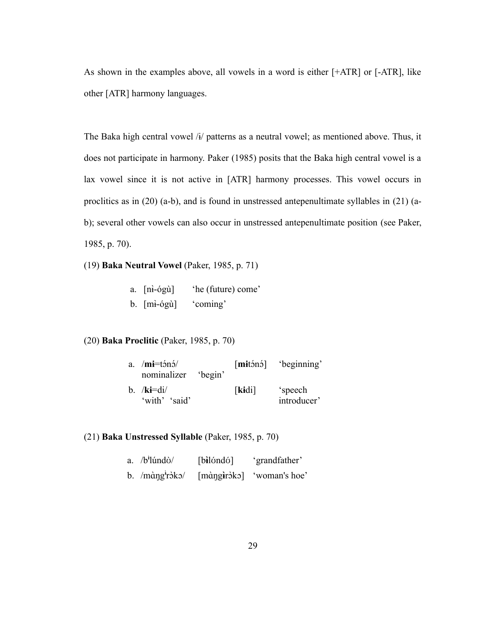As shown in the examples above, all vowels in a word is either [+ATR] or [-ATR], like other [ATR] harmony languages.

The Baka high central vowel /ɨ/ patterns as a neutral vowel; as mentioned above. Thus, it does not participate in harmony. Paker (1985) posits that the Baka high central vowel is a lax vowel since it is not active in [ATR] harmony processes. This vowel occurs in proclitics as in [\(20\)](#page-36-5) ([a](#page-36-4)[-b](#page-36-3)), and is found in unstressed antepenultimate syllables in [\(21\)](#page-36-2) ([a](#page-36-1)[b\)](#page-36-0); several other vowels can also occur in unstressed antepenultimate position (see Paker, 1985, p. 70).

(19) **Baka Neutral Vowel** (Paker, 1985, p. 71)

| $a. \quad [n\cdot \text{log}u]$ | 'he (future) come' |
|---------------------------------|--------------------|
| $b.$ [m $\frac{1}{2}$ -ógù]     | 'coming'           |

<span id="page-36-5"></span>(20) **Baka Proclitic** (Paker, 1985, p. 70)

<span id="page-36-4"></span><span id="page-36-3"></span>

| a. $/mi=tóno/$<br>nominalizer 'begin' |       |                        |
|---------------------------------------|-------|------------------------|
| b. $/ki = di/$<br>'with' 'said'       | [kid] | 'speech<br>introducer' |

# <span id="page-36-2"></span>(21) **Baka Unstressed Syllable** (Paker, 1985, p. 70)

<span id="page-36-1"></span><span id="page-36-0"></span>

| a. $/b^i$ lúndò/                                                  | $[b]$ ilóndó $]$ | 'grandfather'             |
|-------------------------------------------------------------------|------------------|---------------------------|
| b. $/m\hat{\alpha}$ ng <sup><math>\hat{\alpha}</math></sup> ròko/ |                  | [màngiròko] 'woman's hoe' |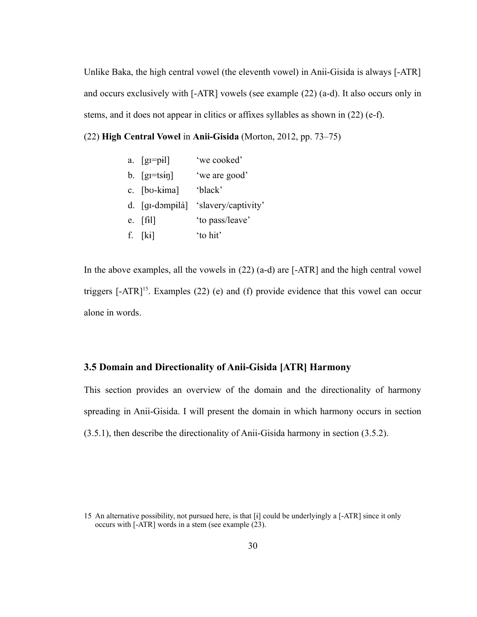Unlike Baka, the high central vowel (the eleventh vowel) in Anii-Gisida is always [-ATR] and occurs exclusively with [-ATR] vowels (see example [\(22\)](#page-37-2) [\(a](#page-37-4)[-d](#page-37-3)). It also occurs only in stems, and it does not appear in clitics or affixes syllables as shown in [\(22\)](#page-37-2) [\(e-](#page-37-1)[f\)](#page-37-0).

```
(22) High Central Vowel in Anii-Gisida (Morton, 2012, pp. 73–75)
```
<span id="page-37-4"></span><span id="page-37-3"></span><span id="page-37-1"></span>

| a. $[g = p_i]$                   | 'we cooked'                         |
|----------------------------------|-------------------------------------|
| b. $\left[\text{gr=tsin}\right]$ | 'we are good'                       |
| c. [bo-kima]                     | 'black'                             |
|                                  | d. [gi-dompilá] 'slavery/captivity' |
| e. $[f_1]$                       | 'to pass/leave'                     |
| f. $[k]$                         | 'to hit'                            |

<span id="page-37-0"></span>In the above examples, all the vowels in [\(22\)](#page-37-2) ([a](#page-37-4)[-d](#page-37-3)) are [-ATR] and the high central vowel triggers  $[-ATR]^{15}$  $[-ATR]^{15}$  $[-ATR]^{15}$ . Examples [\(22\)](#page-37-2) [\(e\)](#page-37-1) and [\(f](#page-37-0)) provide evidence that this vowel can occur alone in words.

# **3.5 Domain and Directionality of Anii-Gisida [ATR] Harmony**

This section provides an overview of the domain and the directionality of harmony spreading in Anii-Gisida. I will present the domain in which harmony occurs in section ([3.5.1\)](#page-38-0), then describe the directionality of Anii-Gisida harmony in section [\(3.5.2](#page-40-0)).

<span id="page-37-5"></span><sup>15</sup> An alternative possibility, not pursued here, is that [ɨ] could be underlyingly a [-ATR] since it only occurs with [-ATR] words in a stem (see example [\(23\)](#page-38-1).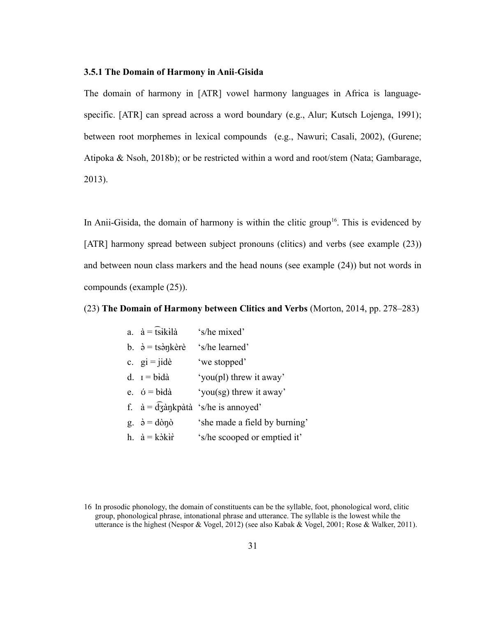#### <span id="page-38-0"></span>**3.5.1 The Domain of Harmony in Anii**-**Gisida**

The domain of harmony in [ATR] vowel harmony languages in Africa is languagespecific. [ATR] can spread across a word boundary (e.g., Alur; Kutsch Lojenga, 1991); between root morphemes in lexical compounds (e.g., Nawuri; Casali, 2002), (Gurene; Atipoka & Nsoh, 2018b); or be restricted within a word and root/stem (Nata; Gambarage, 2013).

In Anii-Gisida, the domain of harmony is within the clitic group<sup>[16](#page-38-2)</sup>. This is evidenced by [ATR] harmony spread between subject pronouns (clitics) and verbs (see example [\(23\)](#page-38-1)) and between noun class markers and the head nouns (see example [\(24\)\)](#page-39-0) but not words in compounds (example [\(25\)\)](#page-40-1).

#### <span id="page-38-1"></span>(23) **The Domain of Harmony between Clitics and Verbs** (Morton, 2014, pp. 278–283)

<span id="page-38-4"></span><span id="page-38-3"></span>

| a. $\dot{a} = \hat{t} s i k i \hat{a}$              | 's/he mixed'                                         |
|-----------------------------------------------------|------------------------------------------------------|
| b. $\dot{\theta} = t \sin k \dot{\theta}$           | 's/he learned'                                       |
| c. $qi = jide$                                      | 'we stopped'                                         |
| d. $I = b \hat{i} d \hat{a}$                        | 'you(pl) threw it away'                              |
| e. $\acute{o}$ = bidà                               | 'you(sg) threw it away'                              |
|                                                     | f. $\dot{a} = \frac{d}{d}$ ankpàtà 's/he is annoyed' |
| g. $\dot{\theta} = d\dot{\theta} \eta \dot{\theta}$ | 'she made a field by burning'                        |
| h. $\dot{a} = k \dot{\delta} k \dot{r}$             | 's/he scooped or emptied it'                         |

<span id="page-38-2"></span><sup>16</sup> In prosodic phonology, the domain of constituents can be the syllable, foot, phonological word, clitic group, phonological phrase, intonational phrase and utterance. The syllable is the lowest while the utterance is the highest (Nespor & Vogel, 2012) (see also Kabak & Vogel, 2001; Rose & Walker, 2011).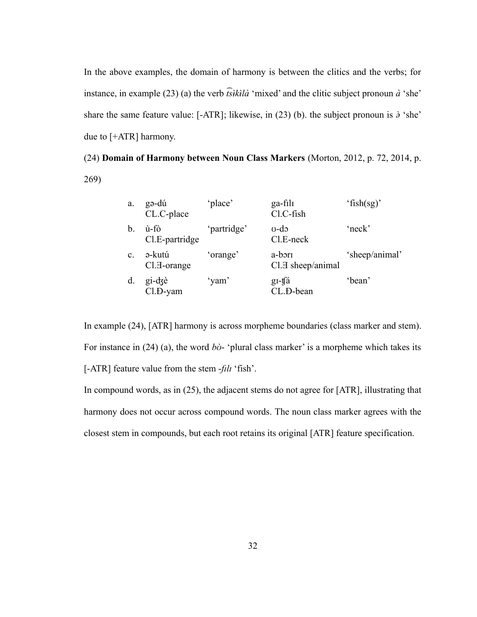In the above examples, the domain of harmony is between the clitics and the verbs; for instance, in example [\(23\)](#page-38-1) [\(a](#page-38-4)) the verb *͡tsɨ̀kɨ̀ là* 'mixed' and the clitic subject pronoun *à* 'she' share the same feature value: [-ATR]; likewise, in [\(23\)](#page-38-1) [\(b](#page-38-3)). the subject pronoun is *ə̀* 'she' due to [+ATR] harmony.

<span id="page-39-0"></span>(24) **Domain of Harmony between Noun Class Markers** (Morton, 2012, p. 72, 2014, p. 269)

<span id="page-39-1"></span>

| a.             | gə-dú<br>CL.C-place                 | 'place'     | ga-fili<br>Cl.C-fish                    | 'fish $(sg)$ ' |
|----------------|-------------------------------------|-------------|-----------------------------------------|----------------|
| b.             | ù-fò<br>Cl.E-partridge              | 'partridge' | $\sigma$ -do<br>$Cl.E-neck$             | $'$ neck'      |
| $\mathbf{c}$ . | ə-kutú<br>$Cl.\overline{d}$ -orange | 'orange'    | a-bori<br>Cl. <sub>H</sub> sheep/animal | 'sheep/animal' |
| d.             | gi-dzè<br>Cl.D-yam                  | 'yam'       | gi-ta<br>CL.D-bean                      | 'bean'         |

In example [\(24\)](#page-39-0), [ATR] harmony is across morpheme boundaries (class marker and stem). For instance in [\(24\)](#page-39-0) [\(a\)](#page-39-1), the word *b* $\dot{\sigma}$ - 'plural class marker' is a morpheme which takes its [-ATR] feature value from the stem -*fɪlɪ* 'fish'.

In compound words, as in [\(25\)](#page-40-1), the adjacent stems do not agree for [ATR], illustrating that harmony does not occur across compound words. The noun class marker agrees with the closest stem in compounds, but each root retains its original [ATR] feature specification.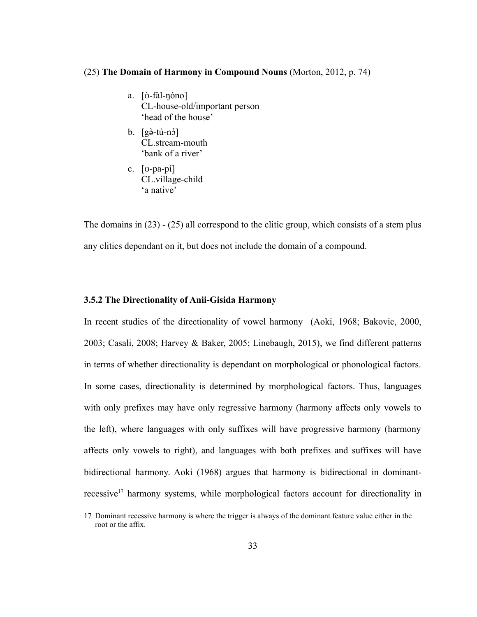#### <span id="page-40-1"></span>(25) **The Domain of Harmony in Compound Nouns** (Morton, 2012, p. 74)

- a. [ʊ̀ -fàl-ŋóno] CL-house-old/important person 'head of the house'
- b. [gə̀-tú-nɔ́] CL.stream-mouth 'bank of a river'
- c. [ʊ-pa-pí] CL.village-child 'a native'

The domains in [\(23\)](#page-38-1) - [\(25\)](#page-40-1) all correspond to the clitic group, which consists of a stem plus any clitics dependant on it, but does not include the domain of a compound.

## <span id="page-40-0"></span>**3.5.2 The Directionality of Anii-Gisida Harmony**

In recent studies of the directionality of vowel harmony (Aoki, 1968; Bakovic, 2000, 2003; Casali, 2008; Harvey & Baker, 2005; Linebaugh, 2015), we find different patterns in terms of whether directionality is dependant on morphological or phonological factors. In some cases, directionality is determined by morphological factors. Thus, languages with only prefixes may have only regressive harmony (harmony affects only vowels to the left), where languages with only suffixes will have progressive harmony (harmony affects only vowels to right), and languages with both prefixes and suffixes will have bidirectional harmony. Aoki (1968) argues that harmony is bidirectional in dominant-recessive<sup>[17](#page-40-2)</sup> harmony systems, while morphological factors account for directionality in

<span id="page-40-2"></span><sup>17</sup> Dominant recessive harmony is where the trigger is always of the dominant feature value either in the root or the affix.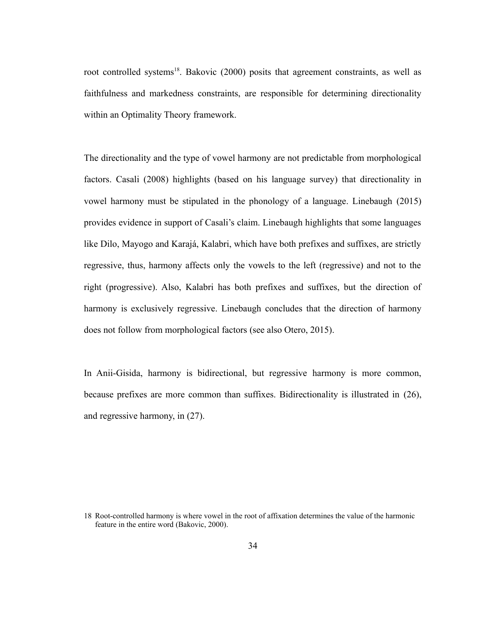root controlled systems<sup>[18](#page-41-0)</sup>. Bakovic (2000) posits that agreement constraints, as well as faithfulness and markedness constraints, are responsible for determining directionality within an Optimality Theory framework.

The directionality and the type of vowel harmony are not predictable from morphological factors. Casali (2008) highlights (based on his language survey) that directionality in vowel harmony must be stipulated in the phonology of a language. Linebaugh (2015) provides evidence in support of Casali's claim. Linebaugh highlights that some languages like Dilo, Mayogo and Karajá, Kalabri, which have both prefixes and suffixes, are strictly regressive, thus, harmony affects only the vowels to the left (regressive) and not to the right (progressive). Also, Kalabri has both prefixes and suffixes, but the direction of harmony is exclusively regressive. Linebaugh concludes that the direction of harmony does not follow from morphological factors (see also Otero, 2015).

In Anii-Gisida, harmony is bidirectional, but regressive harmony is more common, because prefixes are more common than suffixes. Bidirectionality is illustrated in [\(26\)](#page-42-1), and regressive harmony, in [\(27\)](#page-42-0).

<span id="page-41-0"></span><sup>18</sup> Root-controlled harmony is where vowel in the root of affixation determines the value of the harmonic feature in the entire word (Bakovic, 2000).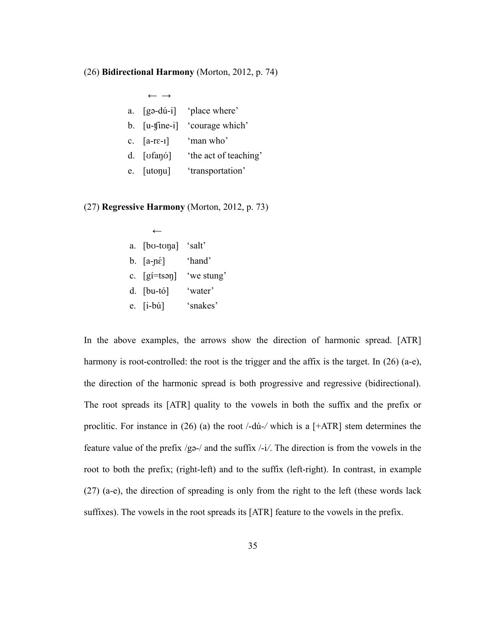#### <span id="page-42-1"></span>(26) **Bidirectional Harmony** (Morton, 2012, p. 74)

<span id="page-42-4"></span>

| $\leftarrow$ $\rightarrow$ |                            |
|----------------------------|----------------------------|
|                            | a. [gə-dú-i] 'place where' |
| b. $[u\text{-}time-i]$     | 'courage which'            |
| c. $[a-r\varepsilon-1]$    | 'man who'                  |
| $d.$ [ $vfanó$ ]           | 'the act of teaching'      |
| e. [utonu]                 | 'transportation'           |
|                            |                            |

## <span id="page-42-0"></span>(27) **Regressive Harmony** (Morton, 2012, p. 73)

<span id="page-42-5"></span><span id="page-42-3"></span>

| a. [bo-tona] 'salt'                      |        |
|------------------------------------------|--------|
| b. $[a-p\epsilon]$                       | 'hand' |
| c. $[g_i = ts \rightarrow s]$ 'we stung' |        |

- d. [bu-tó] 'water'
- <span id="page-42-2"></span>e. [i-bú] 'snakes'

In the above examples, the arrows show the direction of harmonic spread. [ATR] harmony is root-controlled: the root is the trigger and the affix is the target. In [\(26\)](#page-42-1) [\(a](#page-42-4)-[e](#page-42-5)), the direction of the harmonic spread is both progressive and regressive (bidirectional). The root spreads its [ATR] quality to the vowels in both the suffix and the prefix or proclitic. For instance in [\(26\)](#page-42-1) [\(a\)](#page-42-4) the root /-dú*-/* which is a [+ATR] stem determines the feature value of the prefix /gǝ-/ and the suffix /-i*/*. The direction is from the vowels in the root to both the prefix; (right-left) and to the suffix (left-right). In contrast, in example [\(27\)](#page-42-0) ([a](#page-42-3)[-e\)](#page-42-2), the direction of spreading is only from the right to the left (these words lack suffixes). The vowels in the root spreads its [ATR] feature to the vowels in the prefix.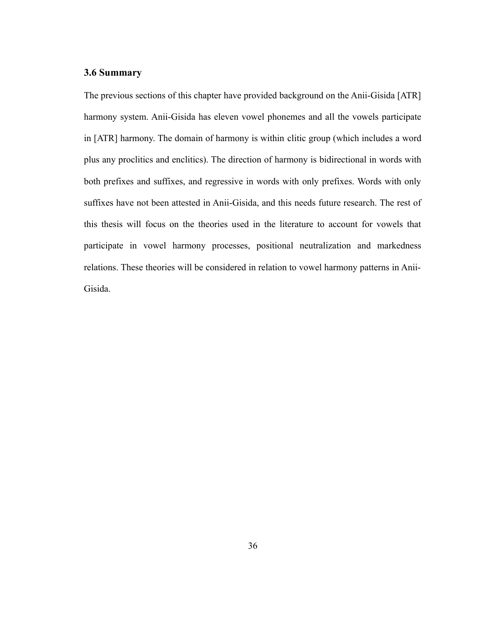# **3.6 Summary**

The previous sections of this chapter have provided background on the Anii-Gisida [ATR] harmony system. Anii-Gisida has eleven vowel phonemes and all the vowels participate in [ATR] harmony. The domain of harmony is within clitic group (which includes a word plus any proclitics and enclitics). The direction of harmony is bidirectional in words with both prefixes and suffixes, and regressive in words with only prefixes. Words with only suffixes have not been attested in Anii-Gisida, and this needs future research. The rest of this thesis will focus on the theories used in the literature to account for vowels that participate in vowel harmony processes, positional neutralization and markedness relations. These theories will be considered in relation to vowel harmony patterns in Anii-Gisida.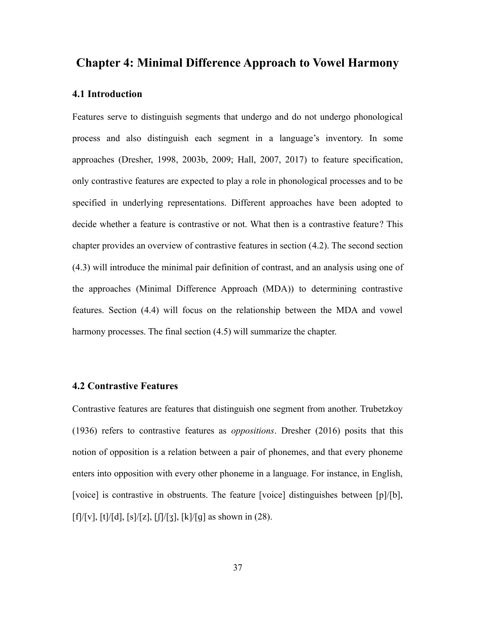# **Chapter 4: Minimal Difference Approach to Vowel Harmony**

# **4.1 Introduction**

Features serve to distinguish segments that undergo and do not undergo phonological process and also distinguish each segment in a language's inventory. In some approaches (Dresher, 1998, 2003b, 2009; Hall, 2007, 2017) to feature specification, only contrastive features are expected to play a role in phonological processes and to be specified in underlying representations. Different approaches have been adopted to decide whether a feature is contrastive or not. What then is a contrastive feature? This chapter provides an overview of contrastive features in section ([4.2\)](#page-44-0). The second section ([4.3\)](#page-45-1) will introduce the minimal pair definition of contrast, and an analysis using one of the approaches (Minimal Difference Approach (MDA)) to determining contrastive features. Section [\(4.4](#page-47-0)) will focus on the relationship between the MDA and vowel harmony processes. The final section ([4.5\)](#page-52-0) will summarize the chapter.

# <span id="page-44-0"></span>**4.2 Contrastive Features**

Contrastive features are features that distinguish one segment from another. Trubetzkoy (1936) refers to contrastive features as *oppositions*. Dresher (2016) posits that this notion of opposition is a relation between a pair of phonemes, and that every phoneme enters into opposition with every other phoneme in a language. For instance, in English, [voice] is contrastive in obstruents. The feature [voice] distinguishes between [p]/[b],  $[f]/[v]$ ,  $[t]/[d]$ ,  $[s]/[z]$ ,  $[f]/[g]$  as shown in [\(28\).](#page-45-0)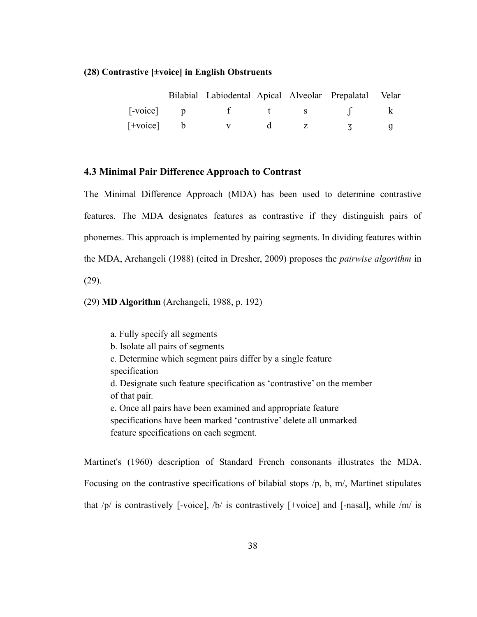#### <span id="page-45-0"></span>**(28) Contrastive [±voice] in English Obstruents**

|                                      | Bilabial Labiodental Apical Alveolar Prepalatal Velar |  |  |
|--------------------------------------|-------------------------------------------------------|--|--|
| $\lceil\text{-}\text{voice}\rceil$ p |                                                       |  |  |
| $[+voice]$ b                         |                                                       |  |  |

# <span id="page-45-1"></span>**4.3 Minimal Pair Difference Approach to Contrast**

The Minimal Difference Approach (MDA) has been used to determine contrastive features. The MDA designates features as contrastive if they distinguish pairs of phonemes. This approach is implemented by pairing segments. In dividing features within the MDA, Archangeli (1988) (cited in Dresher, 2009) proposes the *pairwise algorithm* in [\(29\).](#page-45-2)

<span id="page-45-2"></span>(29) **MD Algorithm** (Archangeli, 1988, p. 192)

a. Fully specify all segments b. Isolate all pairs of segments c. Determine which segment pairs differ by a single feature specification d. Designate such feature specification as 'contrastive' on the member of that pair. e. Once all pairs have been examined and appropriate feature specifications have been marked 'contrastive' delete all unmarked feature specifications on each segment.

Martinet's (1960) description of Standard French consonants illustrates the MDA. Focusing on the contrastive specifications of bilabial stops /p, b, m/, Martinet stipulates that  $/p/$  is contrastively [-voice],  $/b/$  is contrastively [+voice] and [-nasal], while  $/m/$  is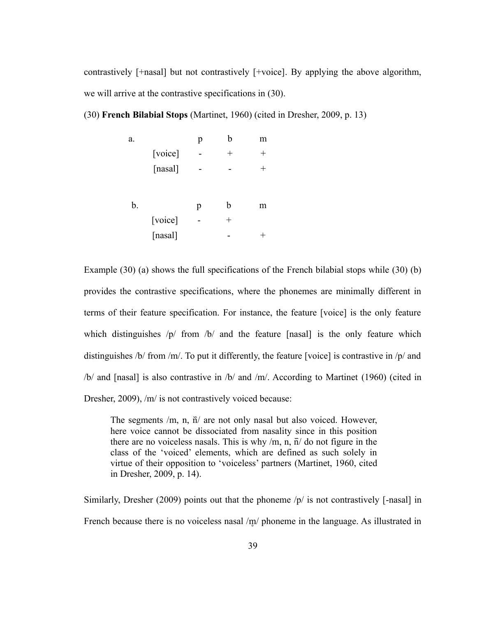contrastively [+nasal] but not contrastively [+voice]. By applying the above algorithm, we will arrive at the contrastive specifications in [\(30\).](#page-46-1)

<span id="page-46-1"></span>(30) **French Bilabial Stops** (Martinet, 1960) (cited in Dresher, 2009, p. 13)

<span id="page-46-2"></span><span id="page-46-0"></span>

| a. |         | p | b      | m      |
|----|---------|---|--------|--------|
|    | [voice] |   | $^{+}$ | $^{+}$ |
|    | [nasal] |   |        | $^{+}$ |
|    |         |   |        |        |
| b. |         | p | b      | m      |
|    | [voice] |   | $^{+}$ |        |
|    | [nasal] |   |        |        |

Example [\(30\)](#page-46-1) ([a](#page-46-2)) shows the full specifications of the French bilabial stops while [\(30\)](#page-46-1) [\(b](#page-46-0)) provides the contrastive specifications, where the phonemes are minimally different in terms of their feature specification. For instance, the feature [voice] is the only feature which distinguishes /p/ from /b/ and the feature [nasal] is the only feature which distinguishes /b/ from /m/. To put it differently, the feature [voice] is contrastive in /p/ and /b/ and [nasal] is also contrastive in /b/ and /m/. According to Martinet (1960) (cited in Dresher, 2009), /m/ is not contrastively voiced because:

The segments  $/m$ , n,  $\tilde{n}/$  are not only nasal but also voiced. However, here voice cannot be dissociated from nasality since in this position there are no voiceless nasals. This is why  $/m$ , n,  $\hat{n}/$  do not figure in the class of the 'voiced' elements, which are defined as such solely in virtue of their opposition to 'voiceless' partners (Martinet, 1960, cited in Dresher, 2009, p. 14).

Similarly, Dresher (2009) points out that the phoneme  $/p/$  is not contrastively [-nasal] in French because there is no voiceless nasal /m/ phoneme in the language. As illustrated in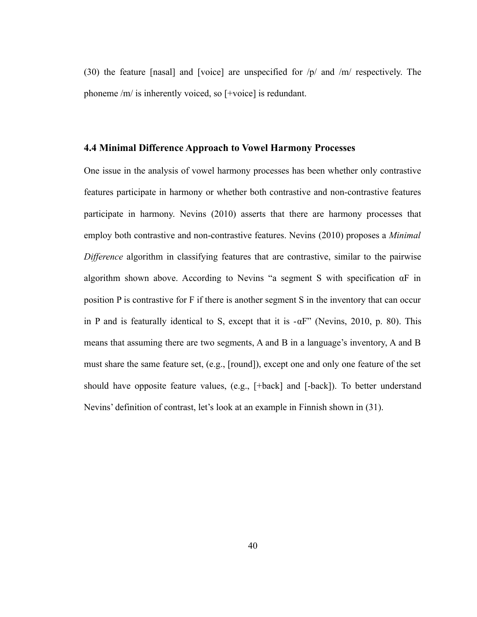[\(30\)](#page-46-1) the feature [nasal] and [voice] are unspecified for /p/ and /m/ respectively. The phoneme /m/ is inherently voiced, so [+voice] is redundant.

#### <span id="page-47-0"></span>**4.4 Minimal Difference Approach to Vowel Harmony Processes**

One issue in the analysis of vowel harmony processes has been whether only contrastive features participate in harmony or whether both contrastive and non-contrastive features participate in harmony. Nevins (2010) asserts that there are harmony processes that employ both contrastive and non-contrastive features. Nevins (2010) proposes a *Minimal Difference* algorithm in classifying features that are contrastive, similar to the pairwise algorithm shown above. According to Nevins "a segment S with specification αF in position P is contrastive for F if there is another segment S in the inventory that can occur in P and is featurally identical to S, except that it is  $-\alpha F$ " (Nevins, 2010, p. 80). This means that assuming there are two segments, A and B in a language's inventory, A and B must share the same feature set, (e.g., [round]), except one and only one feature of the set should have opposite feature values, (e.g., [+back] and [-back]). To better understand Nevins' definition of contrast, let's look at an example in Finnish shown in [\(31\)](#page-48-0).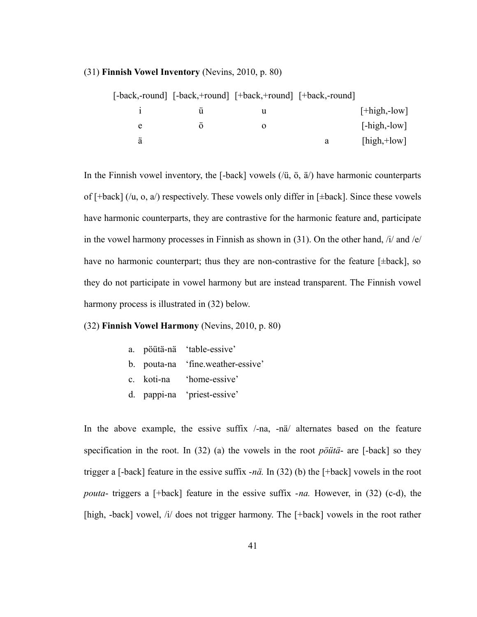#### <span id="page-48-0"></span>(31) **Finnish Vowel Inventory** (Nevins, 2010, p. 80)

|   | [-back,-round] [-back,+round] [+back,+round] [+back,-round] |   |                              |
|---|-------------------------------------------------------------|---|------------------------------|
|   |                                                             |   | $[+high,-low]$               |
| e |                                                             |   | $[-high, -low]$              |
| ä |                                                             | a | $[\text{high}, +\text{low}]$ |

In the Finnish vowel inventory, the  $[-back]$  vowels  $(\overline{u}, \overline{v}, \overline{a})$  have harmonic counterparts of  $[\text{+back}]$  (/u, o, a/) respectively. These vowels only differ in  $[\text{+back}]$ . Since these vowels have harmonic counterparts, they are contrastive for the harmonic feature and, participate in the vowel harmony processes in Finnish as shown in [\(31\).](#page-48-0) On the other hand, /i/ and /e/ have no harmonic counterpart; thus they are non-contrastive for the feature [ $\pm$ back], so they do not participate in vowel harmony but are instead transparent. The Finnish vowel harmony process is illustrated in [\(32\)](#page-48-3) below.

#### <span id="page-48-3"></span>(32) **Finnish Vowel Harmony** (Nevins, 2010, p. 80)

- <span id="page-48-5"></span>a. pöütä-nä 'table-essive'
- <span id="page-48-4"></span>b. pouta-na 'fine.weather-essive'
- <span id="page-48-2"></span>c. koti-na 'home-essive'
- <span id="page-48-1"></span>d. pappi-na 'priest-essive'

In the above example, the essive suffix /-na, -nä/ alternates based on the feature specification in the root. In [\(32\)](#page-48-3) ([a](#page-48-5)) the vowels in the root *pöütä*- are [-back] so they trigger a [-back] feature in the essive suffix -*nä.* In [\(32\)](#page-48-3) [\(b](#page-48-4)) the [+back] vowels in the root *pouta*- triggers a [+back] feature in the essive suffix -*na.* However, in [\(32\)](#page-48-3) [\(c](#page-48-2)[-d](#page-48-1)), the [high, -back] vowel, /i/ does not trigger harmony. The [+back] vowels in the root rather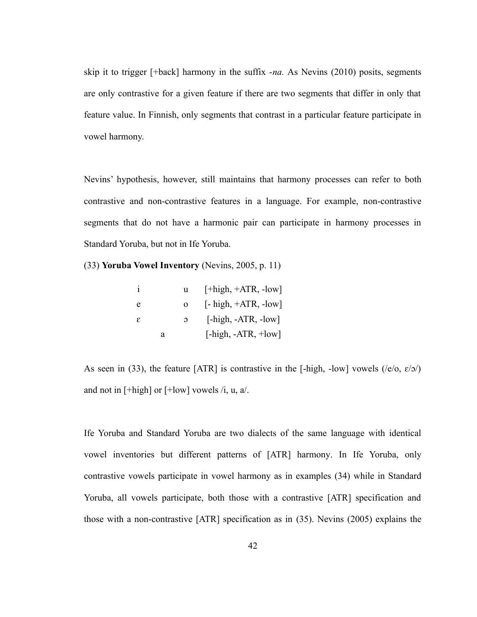skip it to trigger [+back] harmony in the suffix -*na.* As Nevins (2010) posits, segments are only contrastive for a given feature if there are two segments that differ in only that feature value. In Finnish, only segments that contrast in a particular feature participate in vowel harmony.

Nevins' hypothesis, however, still maintains that harmony processes can refer to both contrastive and non-contrastive features in a language. For example, non-contrastive segments that do not have a harmonic pair can participate in harmony processes in Standard Yoruba, but not in Ife Yoruba.

<span id="page-49-0"></span>(33) **Yoruba Vowel Inventory** (Nevins, 2005, p. 11)

|     |   | u        | $[+high, +ATR, -low]$                      |
|-----|---|----------|--------------------------------------------|
| e   |   | 0        | $[-\text{high}, +\text{ATR}, -\text{low}]$ |
| - 8 |   | $\Omega$ | $[-high, -ATR, -low]$                      |
|     | a |          | $[-high, -ATR, +low]$                      |

As seen in [\(33\),](#page-49-0) the feature [ATR] is contrastive in the [-high, -low] vowels ( $/e/o$ ,  $e/o$ ) and not in  $[\text{+high}]$  or  $[\text{+low}]$  vowels /i, u, a/.

Ife Yoruba and Standard Yoruba are two dialects of the same language with identical vowel inventories but different patterns of [ATR] harmony. In Ife Yoruba, only contrastive vowels participate in vowel harmony as in examples [\(34\)](#page-50-0) while in Standard Yoruba, all vowels participate, both those with a contrastive [ATR] specification and those with a non-contrastive [ATR] specification as in [\(35\)](#page-51-0). Nevins (2005) explains the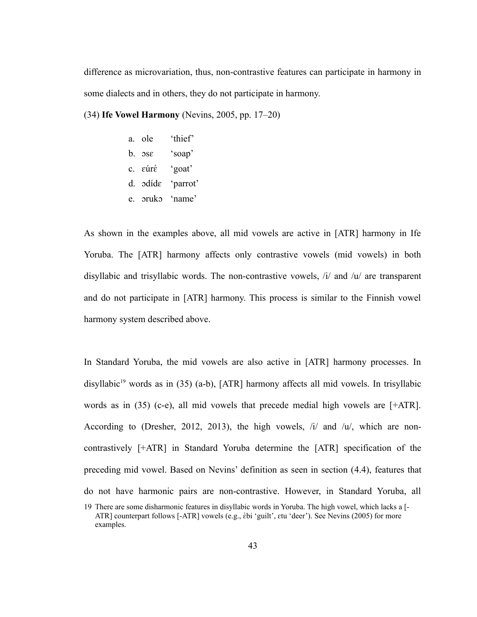difference as microvariation, thus, non-contrastive features can participate in harmony in some dialects and in others, they do not participate in harmony.

<span id="page-50-0"></span>(34) **Ife Vowel Harmony** (Nevins, 2005, pp. 17–20)

- a. ole 'thief'
- b. ɔsɛ 'soap'
- c. ɛúrɛ́ 'goat'
- d. ɔdídɛ 'parrot'
- e. ɔrukɔ 'name'

As shown in the examples above, all mid vowels are active in [ATR] harmony in Ife Yoruba. The [ATR] harmony affects only contrastive vowels (mid vowels) in both disyllabic and trisyllabic words. The non-contrastive vowels,  $\lambda i / \Delta t$  and  $\lambda u / \Delta t$  are transparent and do not participate in [ATR] harmony. This process is similar to the Finnish vowel harmony system described above.

In Standard Yoruba, the mid vowels are also active in [ATR] harmony processes. In disyllabic<sup>[19](#page-50-1)</sup> words as in [\(35\)](#page-51-0) ([a](#page-51-4)[-b](#page-51-3)), [ATR] harmony affects all mid vowels. In trisyllabic words as in [\(35\)](#page-51-0) [\(c](#page-51-2)[-e\)](#page-51-1), all mid vowels that precede medial high vowels are [+ATR]. According to (Dresher, 2012, 2013), the high vowels, /i/ and /u/, which are noncontrastively [+ATR] in Standard Yoruba determine the [ATR] specification of the preceding mid vowel. Based on Nevins' definition as seen in section ([4.4](#page-47-0)), features that do not have harmonic pairs are non-contrastive. However, in Standard Yoruba, all

<span id="page-50-1"></span><sup>19</sup> There are some disharmonic features in disyllabic words in Yoruba. The high vowel, which lacks a [- ATR] counterpart follows [-ATR] vowels (e.g., *èbi 'guilt', etu 'deer')*. See Nevins (2005) for more examples.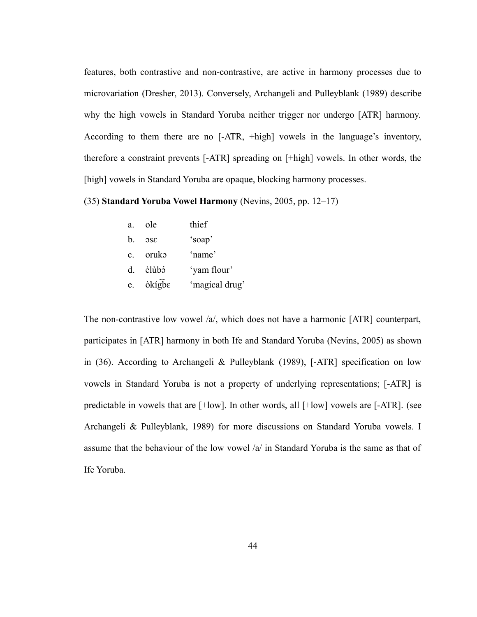features, both contrastive and non-contrastive, are active in harmony processes due to microvariation (Dresher, 2013). Conversely, Archangeli and Pulleyblank (1989) describe why the high vowels in Standard Yoruba neither trigger nor undergo [ATR] harmony. According to them there are no [-ATR, +high] vowels in the language's inventory, therefore a constraint prevents [-ATR] spreading on [+high] vowels. In other words, the [high] vowels in Standard Yoruba are opaque, blocking harmony processes.

<span id="page-51-0"></span>(35) **Standard Yoruba Vowel Harmony** (Nevins, 2005, pp. 12–17)

<span id="page-51-4"></span><span id="page-51-3"></span><span id="page-51-2"></span><span id="page-51-1"></span>

| a. | ole                      | thief          |
|----|--------------------------|----------------|
| b. | 38C                      | 'soap'         |
|    | c. oruko                 | 'name'         |
|    | d. èlùbó                 | 'yam flour'    |
| e. | $\delta$ kígb $\epsilon$ | 'magical drug' |

The non-contrastive low vowel /a/, which does not have a harmonic [ATR] counterpart, participates in [ATR] harmony in both Ife and Standard Yoruba (Nevins, 2005) as shown in [\(36\).](#page-52-1) According to Archangeli & Pulleyblank (1989), [-ATR] specification on low vowels in Standard Yoruba is not a property of underlying representations; [-ATR] is predictable in vowels that are [+low]. In other words, all [+low] vowels are [-ATR]. (see Archangeli & Pulleyblank, 1989) for more discussions on Standard Yoruba vowels. I assume that the behaviour of the low vowel /a/ in Standard Yoruba is the same as that of Ife Yoruba.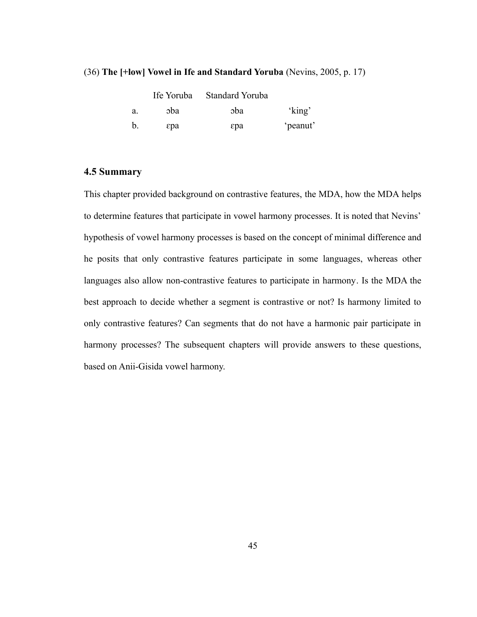#### <span id="page-52-1"></span>(36) **The [+low] Vowel in Ife and Standard Yoruba** (Nevins, 2005, p. 17)

|    |      | Ife Yoruba Standard Yoruba |          |
|----|------|----------------------------|----------|
| a. | oba. | coba                       | 'king'   |
| b. | εpa  | εpa                        | 'peanut' |

# <span id="page-52-0"></span>**4.5 Summary**

This chapter provided background on contrastive features, the MDA, how the MDA helps to determine features that participate in vowel harmony processes. It is noted that Nevins' hypothesis of vowel harmony processes is based on the concept of minimal difference and he posits that only contrastive features participate in some languages, whereas other languages also allow non-contrastive features to participate in harmony. Is the MDA the best approach to decide whether a segment is contrastive or not? Is harmony limited to only contrastive features? Can segments that do not have a harmonic pair participate in harmony processes? The subsequent chapters will provide answers to these questions, based on Anii-Gisida vowel harmony.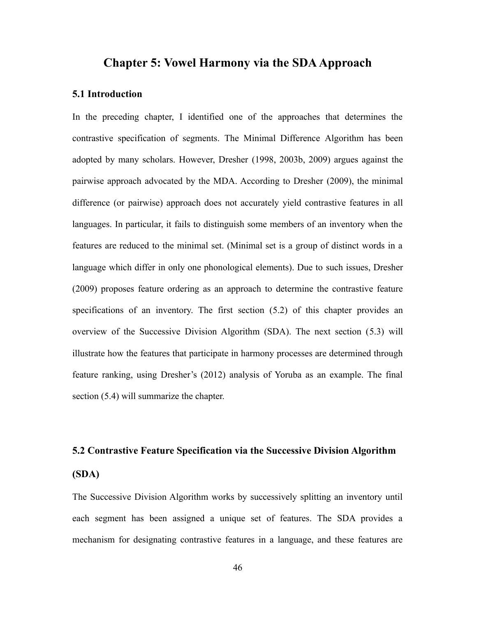# **Chapter 5: Vowel Harmony via the SDA Approach**

# **5.1 Introduction**

In the preceding chapter, I identified one of the approaches that determines the contrastive specification of segments. The Minimal Difference Algorithm has been adopted by many scholars. However, Dresher (1998, 2003b, 2009) argues against the pairwise approach advocated by the MDA. According to Dresher (2009), the minimal difference (or pairwise) approach does not accurately yield contrastive features in all languages. In particular, it fails to distinguish some members of an inventory when the features are reduced to the minimal set. (Minimal set is a group of distinct words in a language which differ in only one phonological elements). Due to such issues, Dresher (2009) proposes feature ordering as an approach to determine the contrastive feature specifications of an inventory. The first section [\(5.2](#page-53-0)) of this chapter provides an overview of the Successive Division Algorithm (SDA). The next section ([5.3](#page-56-0)) will illustrate how the features that participate in harmony processes are determined through feature ranking, using Dresher's (2012) analysis of Yoruba as an example. The final section ([5.4\)](#page-60-0) will summarize the chapter.

# <span id="page-53-0"></span>**5.2 Contrastive Feature Specification via the Successive Division Algorithm (SDA)**

The Successive Division Algorithm works by successively splitting an inventory until each segment has been assigned a unique set of features. The SDA provides a mechanism for designating contrastive features in a language, and these features are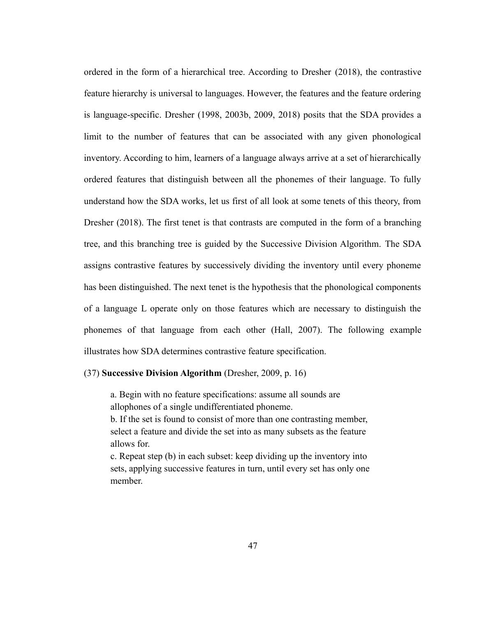ordered in the form of a hierarchical tree. According to Dresher (2018), the contrastive feature hierarchy is universal to languages. However, the features and the feature ordering is language-specific. Dresher (1998, 2003b, 2009, 2018) posits that the SDA provides a limit to the number of features that can be associated with any given phonological inventory. According to him, learners of a language always arrive at a set of hierarchically ordered features that distinguish between all the phonemes of their language. To fully understand how the SDA works, let us first of all look at some tenets of this theory, from Dresher (2018). The first tenet is that contrasts are computed in the form of a branching tree, and this branching tree is guided by the Successive Division Algorithm. The SDA assigns contrastive features by successively dividing the inventory until every phoneme has been distinguished. The next tenet is the hypothesis that the phonological components of a language L operate only on those features which are necessary to distinguish the phonemes of that language from each other (Hall, 2007). The following example illustrates how SDA determines contrastive feature specification.

#### <span id="page-54-0"></span>(37) **Successive Division Algorithm** (Dresher, 2009, p. 16)

a. Begin with no feature specifications: assume all sounds are allophones of a single undifferentiated phoneme.

b. If the set is found to consist of more than one contrasting member, select a feature and divide the set into as many subsets as the feature allows for.

c. Repeat step (b) in each subset: keep dividing up the inventory into sets, applying successive features in turn, until every set has only one member.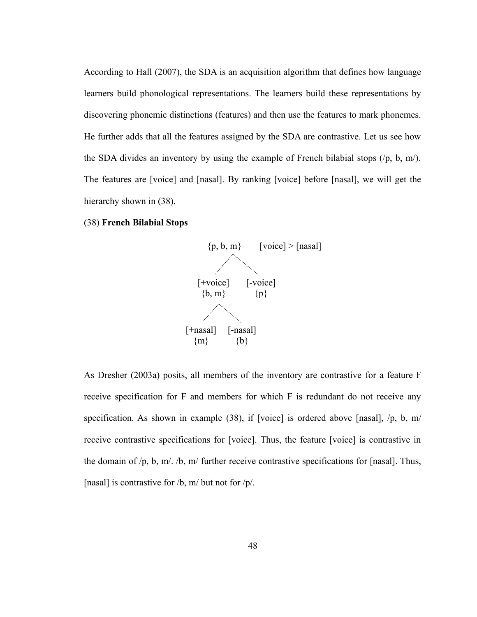According to Hall (2007), the SDA is an acquisition algorithm that defines how language learners build phonological representations. The learners build these representations by discovering phonemic distinctions (features) and then use the features to mark phonemes. He further adds that all the features assigned by the SDA are contrastive. Let us see how the SDA divides an inventory by using the example of French bilabial stops  $(\frac{p}{p}, b, m)$ . The features are [voice] and [nasal]. By ranking [voice] before [nasal], we will get the hierarchy shown in [\(38\).](#page-55-0)

#### <span id="page-55-0"></span>(38) **French Bilabial Stops**



As Dresher (2003a) posits, all members of the inventory are contrastive for a feature F receive specification for F and members for which F is redundant do not receive any specification. As shown in example [\(38\)](#page-55-0), if [voice] is ordered above [nasal], /p, b, m/ receive contrastive specifications for [voice]. Thus, the feature [voice] is contrastive in the domain of /p, b, m/. /b, m/ further receive contrastive specifications for [nasal]. Thus, [nasal] is contrastive for  $/b$ , m/ but not for  $/p/$ .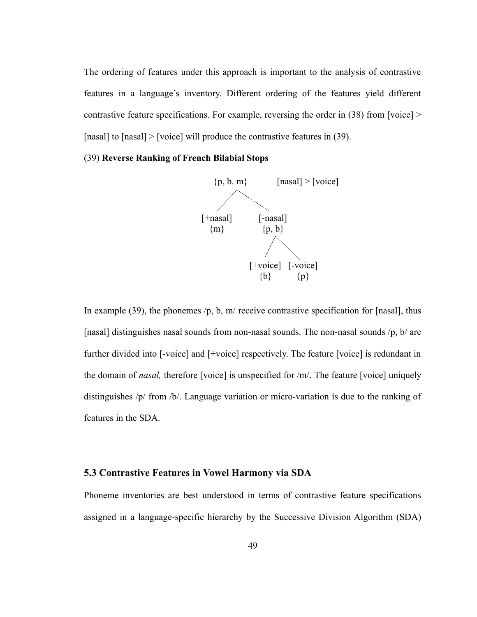The ordering of features under this approach is important to the analysis of contrastive features in a language's inventory. Different ordering of the features yield different contrastive feature specifications. For example, reversing the order in [\(38\)](#page-55-0) from [voice] > [nasal] to [nasal] > [voice] will produce the contrastive features in [\(39\)](#page-56-1).

# <span id="page-56-1"></span>(39) **Reverse Ranking of French Bilabial Stops**



In example [\(39\)](#page-56-1), the phonemes  $/p$ , b, m/ receive contrastive specification for [nasal], thus [nasal] distinguishes nasal sounds from non-nasal sounds. The non-nasal sounds  $/p$ , b/ are further divided into [-voice] and [+voice] respectively. The feature [voice] is redundant in the domain of *nasal,* therefore [voice] is unspecified for /m/. The feature [voice] uniquely distinguishes /p/ from /b/. Language variation or micro-variation is due to the ranking of features in the SDA.

#### <span id="page-56-0"></span>**5.3 Contrastive Features in Vowel Harmony via SDA**

Phoneme inventories are best understood in terms of contrastive feature specifications assigned in a language-specific hierarchy by the Successive Division Algorithm (SDA)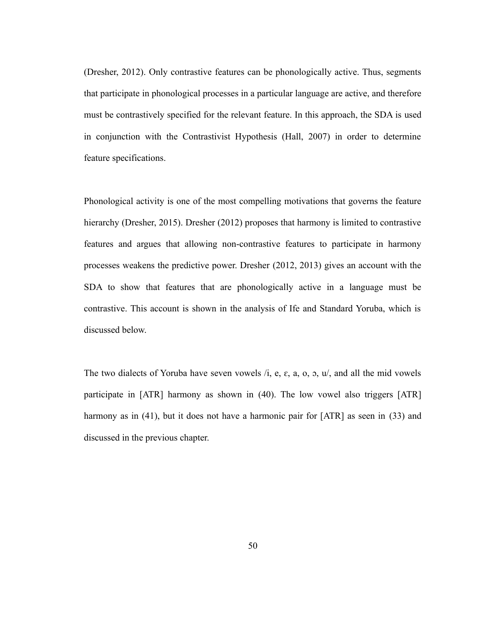(Dresher, 2012). Only contrastive features can be phonologically active. Thus, segments that participate in phonological processes in a particular language are active, and therefore must be contrastively specified for the relevant feature. In this approach, the SDA is used in conjunction with the Contrastivist Hypothesis (Hall, 2007) in order to determine feature specifications.

Phonological activity is one of the most compelling motivations that governs the feature hierarchy (Dresher, 2015). Dresher (2012) proposes that harmony is limited to contrastive features and argues that allowing non-contrastive features to participate in harmony processes weakens the predictive power. Dresher (2012, 2013) gives an account with the SDA to show that features that are phonologically active in a language must be contrastive. This account is shown in the analysis of Ife and Standard Yoruba, which is discussed below.

The two dialects of Yoruba have seven vowels  $\lambda$ , e, e, a, o,  $\lambda$ ,  $\mu$ , and all the mid vowels participate in [ATR] harmony as shown in [\(40\).](#page-58-1) The low vowel also triggers [ATR] harmony as in [\(41\)](#page-58-0), but it does not have a harmonic pair for [ATR] as seen in [\(33\)](#page-49-0) and discussed in the previous chapter.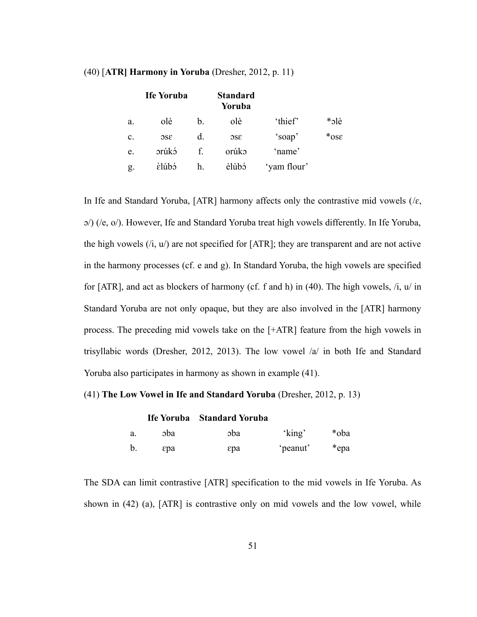<span id="page-58-5"></span><span id="page-58-3"></span><span id="page-58-2"></span>

|                | <b>Ife Yoruba</b> |                | <b>Standard</b><br>Yoruba |             |         |
|----------------|-------------------|----------------|---------------------------|-------------|---------|
| a.             | olè               | $\mathbf{b}$ . | olè                       | 'thief'     | *olè    |
| $\mathbf{c}$ . | 38c               | d.             | 38c                       | 'soap'      | $*$ ose |
| e.             | orúkó             | f.             | orúko                     | 'name'      |         |
| g.             | <i>Elùbó</i>      | h.             | elùbó                     | 'yam flour' |         |

#### <span id="page-58-1"></span>(40) [**ATR] Harmony in Yoruba** (Dresher, 2012, p. 11)

<span id="page-58-4"></span>In Ife and Standard Yoruba, [ATR] harmony affects only the contrastive mid vowels ( $/\varepsilon$ , ɔ/) (/e, o/). However, Ife and Standard Yoruba treat high vowels differently. In Ife Yoruba, the high vowels  $(i, u)$  are not specified for [ATR]; they are transparent and are not active in the harmony processes (cf. [e](#page-58-5) and [g](#page-58-4)). In Standard Yoruba, the high vowels are specified for [ATR], and act as blockers of harmony (cf. [f](#page-58-3) and [h](#page-58-2)) in [\(40\)](#page-58-1). The high vowels, /i, u/ in Standard Yoruba are not only opaque, but they are also involved in the [ATR] harmony process. The preceding mid vowels take on the [+ATR] feature from the high vowels in trisyllabic words (Dresher, 2012, 2013). The low vowel /a/ in both Ife and Standard Yoruba also participates in harmony as shown in example [\(41\)](#page-58-0).

#### <span id="page-58-0"></span>(41) **The Low Vowel in Ife and Standard Yoruba** (Dresher, 2012, p. 13)

|    |     | Ife Yoruba Standard Yoruba |          |      |
|----|-----|----------------------------|----------|------|
| а. | sba | coba                       | 'king'   | *oba |
| b. | εpa | εpa                        | 'peanut' | *epa |

The SDA can limit contrastive [ATR] specification to the mid vowels in Ife Yoruba. As shown in [\(42\)](#page-59-1) [\(a\)](#page-59-0), [ATR] is contrastive only on mid vowels and the low vowel, while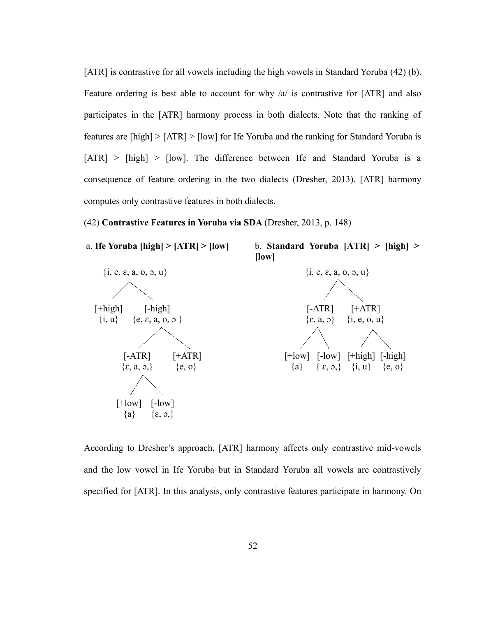[ATR] is contrastive for all vowels including the high vowels in Standard Yoruba [\(42\)](#page-59-1) [\(b](#page-59-2)). Feature ordering is best able to account for why /a/ is contrastive for [ATR] and also participates in the [ATR] harmony process in both dialects. Note that the ranking of features are [high] > [ATR] > [low] for Ife Yoruba and the ranking for Standard Yoruba is [ATR] > [high] > [low]. The difference between Ife and Standard Yoruba is a consequence of feature ordering in the two dialects (Dresher, 2013). [ATR] harmony computes only contrastive features in both dialects.

<span id="page-59-2"></span><span id="page-59-1"></span>(42) **Contrastive Features in Yoruba via SDA** (Dresher, 2013, p. 148)

<span id="page-59-0"></span>

According to Dresher's approach, [ATR] harmony affects only contrastive mid-vowels and the low vowel in Ife Yoruba but in Standard Yoruba all vowels are contrastively specified for [ATR]. In this analysis, only contrastive features participate in harmony. On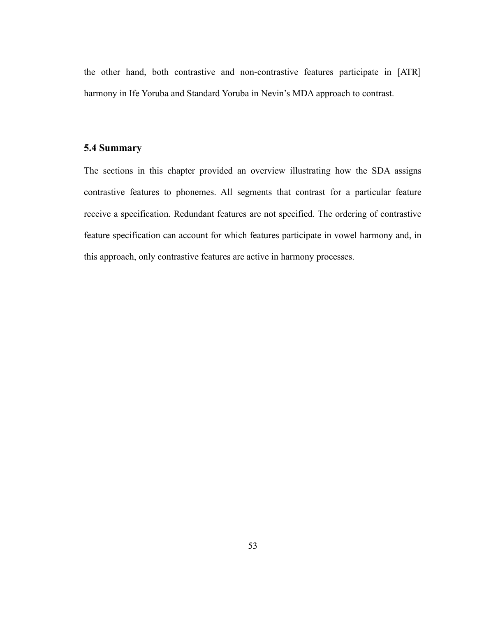the other hand, both contrastive and non-contrastive features participate in [ATR] harmony in Ife Yoruba and Standard Yoruba in Nevin's MDA approach to contrast.

# <span id="page-60-0"></span>**5.4 Summary**

The sections in this chapter provided an overview illustrating how the SDA assigns contrastive features to phonemes. All segments that contrast for a particular feature receive a specification. Redundant features are not specified. The ordering of contrastive feature specification can account for which features participate in vowel harmony and, in this approach, only contrastive features are active in harmony processes.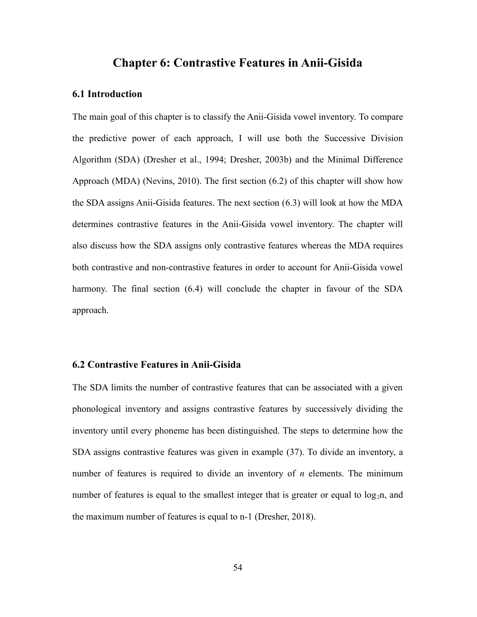# **Chapter 6: Contrastive Features in Anii-Gisida**

#### **6.1 Introduction**

The main goal of this chapter is to classify the Anii-Gisida vowel inventory. To compare the predictive power of each approach, I will use both the Successive Division Algorithm (SDA) (Dresher et al., 1994; Dresher, 2003b) and the Minimal Difference Approach (MDA) (Nevins, 2010). The first section [\(6.2](#page-61-0)) of this chapter will show how the SDA assigns Anii-Gisida features. The next section [\(6.3](#page-64-0)) will look at how the MDA determines contrastive features in the Anii-Gisida vowel inventory. The chapter will also discuss how the SDA assigns only contrastive features whereas the MDA requires both contrastive and non-contrastive features in order to account for Anii-Gisida vowel harmony. The final section [\(6.4](#page-66-0)) will conclude the chapter in favour of the SDA approach.

## <span id="page-61-0"></span>**6.2 Contrastive Features in Anii-Gisida**

The SDA limits the number of contrastive features that can be associated with a given phonological inventory and assigns contrastive features by successively dividing the inventory until every phoneme has been distinguished. The steps to determine how the SDA assigns contrastive features was given in example [\(37\)](#page-54-0). To divide an inventory, a number of features is required to divide an inventory of *n* elements. The minimum number of features is equal to the smallest integer that is greater or equal to  $log_2n$ , and the maximum number of features is equal to n-1 (Dresher, 2018).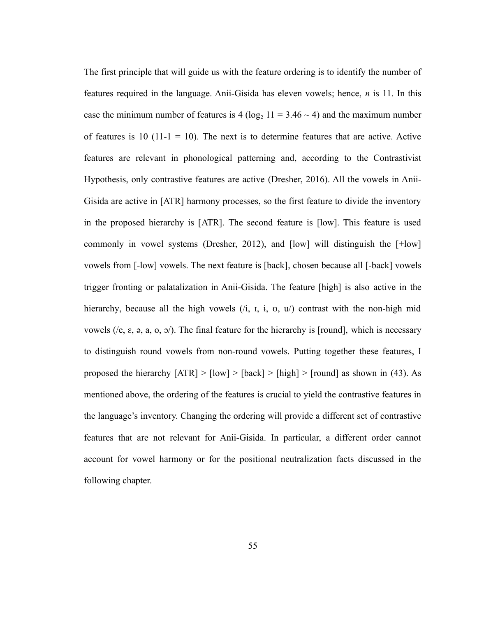The first principle that will guide us with the feature ordering is to identify the number of features required in the language. Anii-Gisida has eleven vowels; hence, *n* is 11. In this case the minimum number of features is 4 ( $log_2 11 = 3.46 \sim 4$ ) and the maximum number of features is 10 (11-1 = 10). The next is to determine features that are active. Active features are relevant in phonological patterning and, according to the Contrastivist Hypothesis, only contrastive features are active (Dresher, 2016). All the vowels in Anii-Gisida are active in [ATR] harmony processes, so the first feature to divide the inventory in the proposed hierarchy is [ATR]. The second feature is [low]. This feature is used commonly in vowel systems (Dresher, 2012), and [low] will distinguish the [+low] vowels from [-low] vowels. The next feature is [back], chosen because all [-back] vowels trigger fronting or palatalization in Anii-Gisida. The feature [high] is also active in the hierarchy, because all the high vowels  $(i, i, i, v, u)$  contrast with the non-high mid vowels (/e,  $\varepsilon$ ,  $\varphi$ ,  $a$ ,  $o$ ,  $o$ ). The final feature for the hierarchy is [round], which is necessary to distinguish round vowels from non-round vowels. Putting together these features, I proposed the hierarchy  $[ATR] > [low] > [back] > [high] > [round]$  as shown in [\(43\).](#page-63-0) As mentioned above, the ordering of the features is crucial to yield the contrastive features in the language's inventory. Changing the ordering will provide a different set of contrastive features that are not relevant for Anii-Gisida. In particular, a different order cannot account for vowel harmony or for the positional neutralization facts discussed in the following chapter.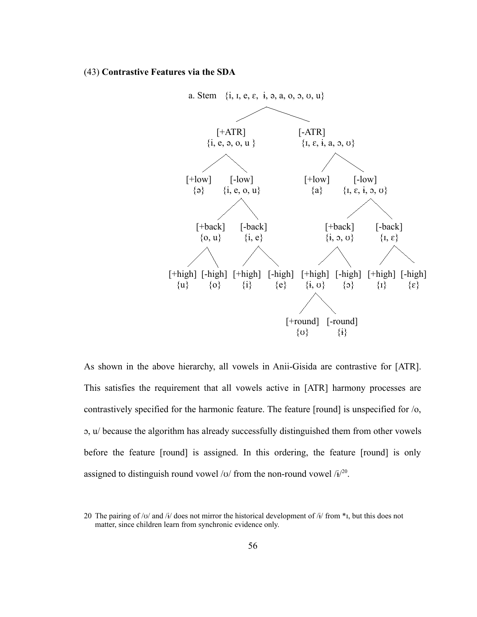#### <span id="page-63-0"></span>(43) **Contrastive Features via the SDA**



As shown in the above hierarchy, all vowels in Anii-Gisida are contrastive for [ATR]. This satisfies the requirement that all vowels active in [ATR] harmony processes are contrastively specified for the harmonic feature. The feature [round] is unspecified for /o, ɔ, u/ because the algorithm has already successfully distinguished them from other vowels before the feature [round] is assigned. In this ordering, the feature [round] is only assigned to distinguish round vowel / $v$ / from the non-round vowel / $i^{20}$  $i^{20}$  $i^{20}$ .

<span id="page-63-1"></span><sup>20</sup> The pairing of /v/ and /i/ does not mirror the historical development of /i/ from  $*_1$ , but this does not matter, since children learn from synchronic evidence only.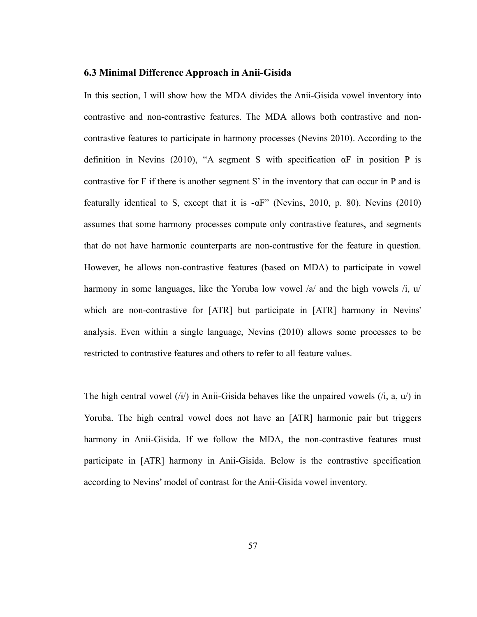# <span id="page-64-0"></span>**6.3 Minimal Difference Approach in Anii-Gisida**

In this section, I will show how the MDA divides the Anii-Gisida vowel inventory into contrastive and non-contrastive features. The MDA allows both contrastive and noncontrastive features to participate in harmony processes (Nevins 2010). According to the definition in Nevins (2010), "A segment S with specification  $\alpha F$  in position P is contrastive for F if there is another segment S' in the inventory that can occur in P and is featurally identical to S, except that it is  $-\alpha F$ " (Nevins, 2010, p. 80). Nevins (2010) assumes that some harmony processes compute only contrastive features, and segments that do not have harmonic counterparts are non-contrastive for the feature in question. However, he allows non-contrastive features (based on MDA) to participate in vowel harmony in some languages, like the Yoruba low vowel /a/ and the high vowels /i, u/ which are non-contrastive for [ATR] but participate in [ATR] harmony in Nevins' analysis. Even within a single language, Nevins (2010) allows some processes to be restricted to contrastive features and others to refer to all feature values.

The high central vowel  $(i)$  in Anii-Gisida behaves like the unpaired vowels  $(i, a, u)$  in Yoruba. The high central vowel does not have an [ATR] harmonic pair but triggers harmony in Anii-Gisida. If we follow the MDA, the non-contrastive features must participate in [ATR] harmony in Anii-Gisida. Below is the contrastive specification according to Nevins' model of contrast for the Anii-Gisida vowel inventory.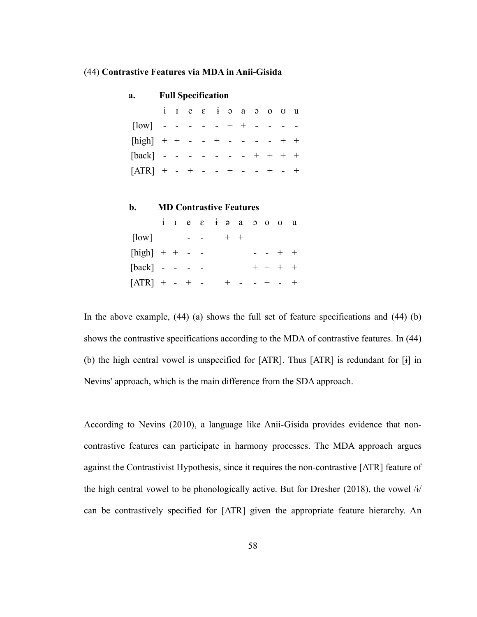#### <span id="page-65-1"></span>(44) **Contrastive Features via MDA in Anii-Gisida**

<span id="page-65-3"></span><span id="page-65-0"></span>

| a.                             |  | <b>Full Specification</b>             |  |       |                                         |                     |           |        |  |
|--------------------------------|--|---------------------------------------|--|-------|-----------------------------------------|---------------------|-----------|--------|--|
|                                |  |                                       |  |       | $i$ $i$ $e$ $f$ $g$ $a$ $b$ $o$ $u$ $u$ |                     |           |        |  |
| $[low]$ - - - - - + + -        |  |                                       |  |       |                                         |                     |           |        |  |
| [high] + + - - + - - - - + +   |  |                                       |  |       |                                         |                     |           |        |  |
| $[back]$ - - - - - - - + + + + |  |                                       |  |       |                                         |                     |           |        |  |
| $[ATR]$ + - + - - + - - + - +  |  |                                       |  |       |                                         |                     |           |        |  |
|                                |  |                                       |  |       |                                         |                     |           |        |  |
| b.                             |  |                                       |  |       | <b>MD Contrastive Features</b>          |                     |           |        |  |
|                                |  | $i$ $i$ $e$ $\epsilon$ $i$ $\epsilon$ |  |       |                                         | $a \quad o \quad o$ | $\sigma$  | u      |  |
| $\lceil \text{low} \rceil$     |  | <b>Contract Contract</b>              |  | $+ +$ |                                         |                     |           |        |  |
| $[high]$ + + - -               |  |                                       |  |       |                                         |                     | $  +$ $+$ |        |  |
| $[back] - - - -$               |  |                                       |  |       |                                         |                     | $+ + + +$ |        |  |
| $[ATR] + - + -$                |  |                                       |  |       | $+$ - - + -                             |                     |           | $^{+}$ |  |

<span id="page-65-2"></span>In the above example, [\(44\)](#page-65-1) [\(a\)](#page-65-3) shows the full set of feature specifications and [\(44\)](#page-65-1) [\(b](#page-65-0)[\)](#page-65-2) shows the contrastive specifications according to the MDA of contrastive features. In [\(44\)](#page-65-1) ([b\)](#page-65-0) the high central vowel is unspecified for [ATR]. Thus [ATR] is redundant for [ɨ] in Nevins' approach, which is the main difference from the SDA approach.

According to Nevins (2010), a language like Anii-Gisida provides evidence that noncontrastive features can participate in harmony processes. The MDA approach argues against the Contrastivist Hypothesis, since it requires the non-contrastive [ATR] feature of the high central vowel to be phonologically active. But for Dresher (2018), the vowel  $\hat{H}$ can be contrastively specified for [ATR] given the appropriate feature hierarchy. An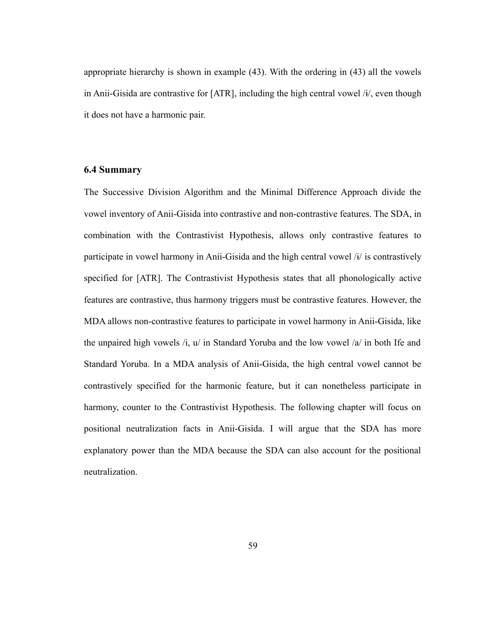appropriate hierarchy is shown in example [\(43\)](#page-63-0). With the ordering in [\(43\)](#page-63-0) all the vowels in Anii-Gisida are contrastive for [ATR], including the high central vowel /ɨ/, even though it does not have a harmonic pair.

# <span id="page-66-0"></span>**6.4 Summary**

The Successive Division Algorithm and the Minimal Difference Approach divide the vowel inventory of Anii-Gisida into contrastive and non-contrastive features. The SDA, in combination with the Contrastivist Hypothesis, allows only contrastive features to participate in vowel harmony in Anii-Gisida and the high central vowel /ɨ/ is contrastively specified for [ATR]. The Contrastivist Hypothesis states that all phonologically active features are contrastive, thus harmony triggers must be contrastive features. However, the MDA allows non-contrastive features to participate in vowel harmony in Anii-Gisida, like the unpaired high vowels  $\lambda i$ ,  $u /$  in Standard Yoruba and the low vowel  $\lambda a /$  in both Ife and Standard Yoruba. In a MDA analysis of Anii-Gisida, the high central vowel cannot be contrastively specified for the harmonic feature, but it can nonetheless participate in harmony, counter to the Contrastivist Hypothesis. The following chapter will focus on positional neutralization facts in Anii-Gisida. I will argue that the SDA has more explanatory power than the MDA because the SDA can also account for the positional neutralization.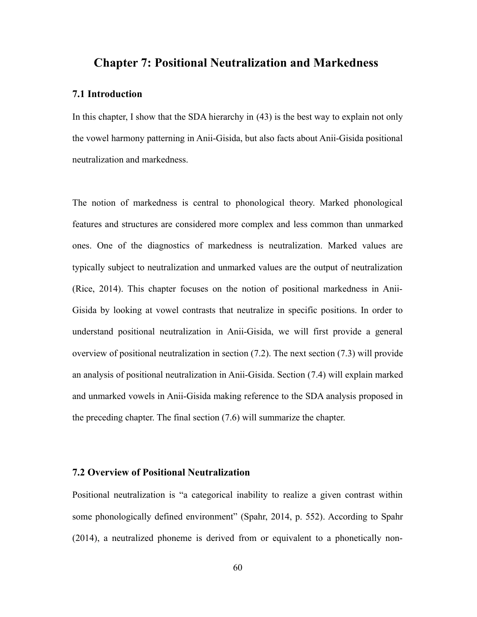# **Chapter 7: Positional Neutralization and Markedness**

# **7.1 Introduction**

In this chapter, I show that the SDA hierarchy in [\(43\)](#page-63-0) is the best way to explain not only the vowel harmony patterning in Anii-Gisida, but also facts about Anii-Gisida positional neutralization and markedness.

The notion of markedness is central to phonological theory. Marked phonological features and structures are considered more complex and less common than unmarked ones. One of the diagnostics of markedness is neutralization. Marked values are typically subject to neutralization and unmarked values are the output of neutralization (Rice, 2014). This chapter focuses on the notion of positional markedness in Anii-Gisida by looking at vowel contrasts that neutralize in specific positions. In order to understand positional neutralization in Anii-Gisida, we will first provide a general overview of positional neutralization in section ([7.2](#page-67-0)). The next section [\(7.3](#page-70-0)) will provide an analysis of positional neutralization in Anii-Gisida. Section [\(7.4](#page-73-0)) will explain marked and unmarked vowels in Anii-Gisida making reference to the SDA analysis proposed in the preceding chapter. The final section ([7.6\)](#page-79-0) will summarize the chapter.

# <span id="page-67-0"></span>**7.2 Overview of Positional Neutralization**

Positional neutralization is "a categorical inability to realize a given contrast within some phonologically defined environment" (Spahr, 2014, p. 552). According to Spahr (2014), a neutralized phoneme is derived from or equivalent to a phonetically non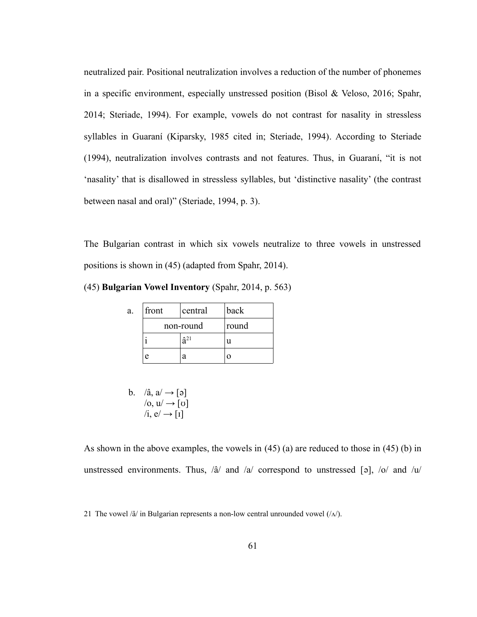neutralized pair. Positional neutralization involves a reduction of the number of phonemes in a specific environment, especially unstressed position (Bisol & Veloso, 2016; Spahr, 2014; Steriade, 1994). For example, vowels do not contrast for nasality in stressless syllables in Guaraní (Kiparsky, 1985 cited in; Steriade, 1994). According to Steriade (1994), neutralization involves contrasts and not features. Thus, in Guaraní, "it is not 'nasality' that is disallowed in stressless syllables, but 'distinctive nasality' (the contrast between nasal and oral)" (Steriade, 1994, p. 3).

The Bulgarian contrast in which six vowels neutralize to three vowels in unstressed positions is shown in [\(45\)](#page-68-1) (adapted from Spahr, 2014).

<span id="page-68-1"></span>(45) **Bulgarian Vowel Inventory** (Spahr, 2014, p. 563)

<span id="page-68-2"></span>

| a. | front     | central        | back |
|----|-----------|----------------|------|
|    | non-round | round          |      |
|    |           | $\hat{a}^{21}$ |      |
|    | e         | я              |      |

<span id="page-68-0"></span>b. 
$$
\langle \hat{\mathbf{a}}, \mathbf{a} \rangle \rightarrow [\mathbf{a}]
$$
  
 $\langle \mathbf{0}, \mathbf{u} \rangle \rightarrow [\mathbf{0}]$   
 $\langle \mathbf{i}, \mathbf{e} \rangle \rightarrow [\mathbf{1}]$ 

As shown in the above examples, the vowels in [\(45\)](#page-68-1) ([a](#page-68-2)) are reduced to those in [\(45\)](#page-68-1) ([b\)](#page-68-0) in unstressed environments. Thus,  $\langle \hat{a} \rangle$  and  $\langle a \rangle$  correspond to unstressed [ə],  $\langle o \rangle$  and  $\langle u \rangle$ 

<span id="page-68-3"></span><sup>21</sup> The vowel / $\hat{a}$ / in Bulgarian represents a non-low central unrounded vowel ( $/\Lambda$ ).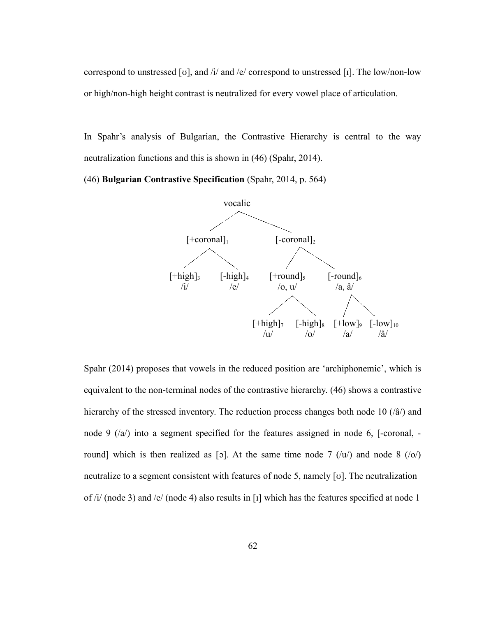correspond to unstressed [ʊ], and /i/ and /e/ correspond to unstressed [ɪ]. The low/non-low or high/non-high height contrast is neutralized for every vowel place of articulation.

In Spahr's analysis of Bulgarian, the Contrastive Hierarchy is central to the way neutralization functions and this is shown in [\(46\)](#page-69-0) (Spahr, 2014).

<span id="page-69-0"></span>(46) **Bulgarian Contrastive Specification** (Spahr, 2014, p. 564)



Spahr (2014) proposes that vowels in the reduced position are 'archiphonemic', which is equivalent to the non-terminal nodes of the contrastive hierarchy. [\(46\)](#page-69-0) shows a contrastive hierarchy of the stressed inventory. The reduction process changes both node 10 ( $\hat{a}$ ) and node 9 (/a/) into a segment specified for the features assigned in node 6, [-coronal, round] which is then realized as [a]. At the same time node 7  $(\nu)$  and node 8  $(\nu)$ neutralize to a segment consistent with features of node 5, namely [ʊ]. The neutralization of /i/ (node 3) and /e/ (node 4) also results in [1] which has the features specified at node 1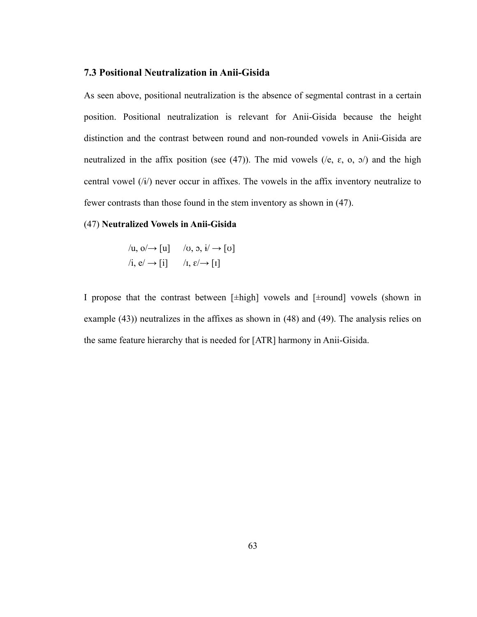# <span id="page-70-0"></span>**7.3 Positional Neutralization in Anii-Gisida**

As seen above, positional neutralization is the absence of segmental contrast in a certain position. Positional neutralization is relevant for Anii-Gisida because the height distinction and the contrast between round and non-rounded vowels in Anii-Gisida are neutralized in the affix position (see [\(47\)](#page-70-1)). The mid vowels ( $/e$ ,  $\varepsilon$ ,  $o$ ,  $o$ ) and the high central vowel  $(i)$  never occur in affixes. The vowels in the affix inventory neutralize to fewer contrasts than those found in the stem inventory as shown in [\(47\)](#page-70-1).

#### <span id="page-70-1"></span>(47) **Neutralized Vowels in Anii-Gisida**

$$
\begin{aligned}\n\langle \mathbf{u}, \mathbf{o} \rangle &\rightarrow [\mathbf{u}] & \langle \mathbf{v}, \mathbf{o}, \mathbf{i} \rangle &\rightarrow [\mathbf{v}] \\
\langle \mathbf{i}, \mathbf{e} \rangle &\rightarrow [\mathbf{i}] & \langle \mathbf{I}, \mathbf{e} \rangle &\rightarrow [\mathbf{I}] \n\end{aligned}
$$

I propose that the contrast between [±high] vowels and [±round] vowels (shown in example [\(43\)](#page-63-0)) neutralizes in the affixes as shown in [\(48\)](#page-71-0) and [\(49\).](#page-72-0) The analysis relies on the same feature hierarchy that is needed for [ATR] harmony in Anii-Gisida.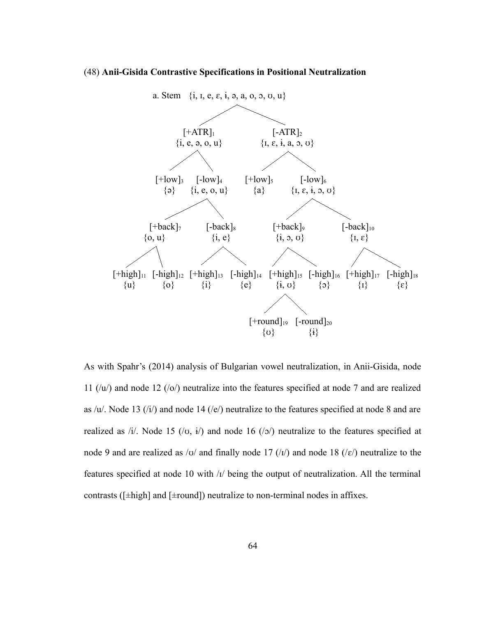#### (48) **Anii-Gisida Contrastive Specifications in Positional Neutralization**

<span id="page-71-0"></span>

As with Spahr's (2014) analysis of Bulgarian vowel neutralization, in Anii-Gisida, node 11 (/u/) and node 12 (/o/) neutralize into the features specified at node 7 and are realized as /u/. Node 13 (/i/) and node 14 (/e/) neutralize to the features specified at node 8 and are realized as /i/. Node 15 (/v, i/) and node 16 (/b) neutralize to the features specified at node 9 and are realized as /o/ and finally node 17 ( $\ell$ I) and node 18 ( $\ell$  $\epsilon$ ) neutralize to the features specified at node 10 with /ɪ/ being the output of neutralization. All the terminal contrasts ( $[\pm high]$  and  $[\pm round]$ ) neutralize to non-terminal nodes in affixes.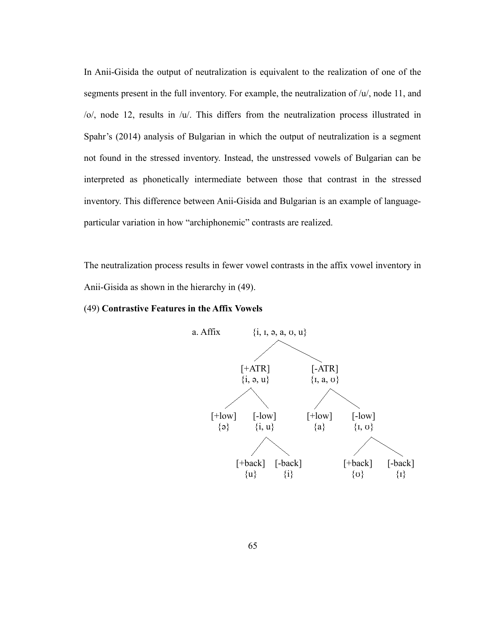In Anii-Gisida the output of neutralization is equivalent to the realization of one of the segments present in the full inventory. For example, the neutralization of  $/u/$ , node 11, and /o/, node 12, results in /u/. This differs from the neutralization process illustrated in Spahr's (2014) analysis of Bulgarian in which the output of neutralization is a segment not found in the stressed inventory. Instead, the unstressed vowels of Bulgarian can be interpreted as phonetically intermediate between those that contrast in the stressed inventory. This difference between Anii-Gisida and Bulgarian is an example of languageparticular variation in how "archiphonemic" contrasts are realized.

The neutralization process results in fewer vowel contrasts in the affix vowel inventory in Anii-Gisida as shown in the hierarchy in [\(49\)](#page-72-0).

## <span id="page-72-0"></span>(49) **Contrastive Features in the Affix Vowels**

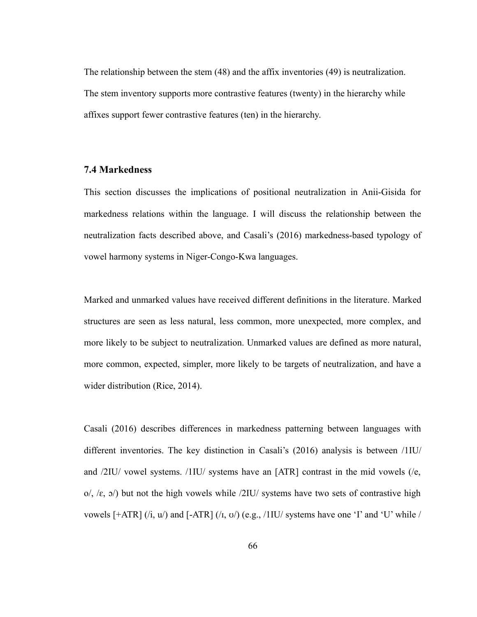The relationship between the stem [\(48\)](#page-71-0) and the affix inventories [\(49\)](#page-72-0) is neutralization. The stem inventory supports more contrastive features (twenty) in the hierarchy while affixes support fewer contrastive features (ten) in the hierarchy.

## **7.4 Markedness**

This section discusses the implications of positional neutralization in Anii-Gisida for markedness relations within the language. I will discuss the relationship between the neutralization facts described above, and Casali's (2016) markedness-based typology of vowel harmony systems in Niger-Congo-Kwa languages.

Marked and unmarked values have received different definitions in the literature. Marked structures are seen as less natural, less common, more unexpected, more complex, and more likely to be subject to neutralization. Unmarked values are defined as more natural, more common, expected, simpler, more likely to be targets of neutralization, and have a wider distribution (Rice, 2014).

Casali (2016) describes differences in markedness patterning between languages with different inventories. The key distinction in Casali's (2016) analysis is between /1IU/ and /2IU/ vowel systems. /1IU/ systems have an [ATR] contrast in the mid vowels (/e, o/,  $\langle \varepsilon, \, \mathfrak{s} \rangle$  but not the high vowels while  $\langle 2IU/$  systems have two sets of contrastive high vowels  $\left[\pm \text{ATR}\right]$  (/i, u/) and  $\left[\pm \text{ATR}\right]$  (/i, v/) (e.g., /1IU/ systems have one 'I' and 'U' while /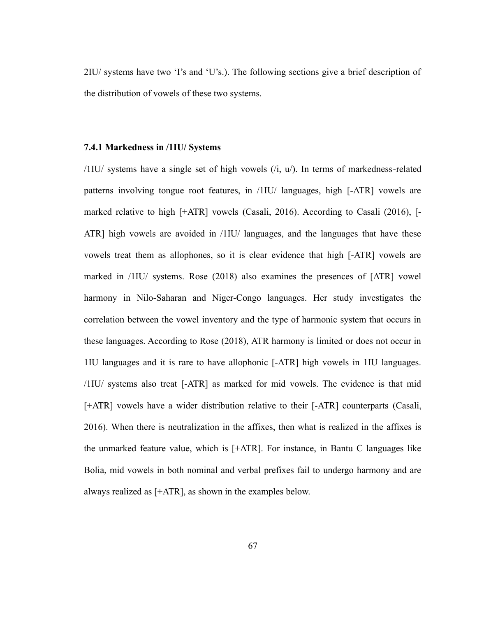2IU/ systems have two 'I's and 'U's.). The following sections give a brief description of the distribution of vowels of these two systems.

## **7.4.1 Markedness in /1IU/ Systems**

/1IU/ systems have a single set of high vowels (/i, u/). In terms of markedness-related patterns involving tongue root features, in /1IU/ languages, high [-ATR] vowels are marked relative to high [+ATR] vowels (Casali, 2016). According to Casali (2016), [- ATR] high vowels are avoided in /1IU/ languages, and the languages that have these vowels treat them as allophones, so it is clear evidence that high [-ATR] vowels are marked in /1IU/ systems. Rose (2018) also examines the presences of [ATR] vowel harmony in Nilo-Saharan and Niger-Congo languages. Her study investigates the correlation between the vowel inventory and the type of harmonic system that occurs in these languages. According to Rose (2018), ATR harmony is limited or does not occur in 1IU languages and it is rare to have allophonic [-ATR] high vowels in 1IU languages. /1IU/ systems also treat [-ATR] as marked for mid vowels. The evidence is that mid [+ATR] vowels have a wider distribution relative to their [-ATR] counterparts (Casali, 2016). When there is neutralization in the affixes, then what is realized in the affixes is the unmarked feature value, which is [+ATR]. For instance, in Bantu C languages like Bolia, mid vowels in both nominal and verbal prefixes fail to undergo harmony and are always realized as [+ATR], as shown in the examples below.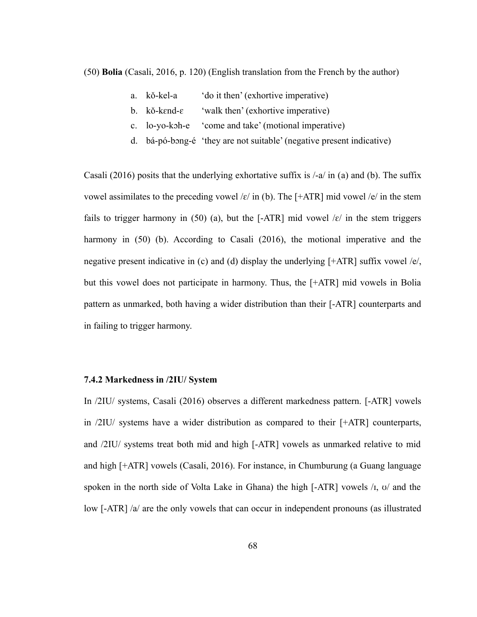<span id="page-75-3"></span>(50) **Bolia** (Casali, 2016, p. 120) (English translation from the French by the author)

- <span id="page-75-4"></span>a. kǒ-kel-a 'do it then' (exhortive imperative)
- <span id="page-75-2"></span>b. kŏ-kɛnd-ɛ 'walk then' (exhortive imperative)
- <span id="page-75-1"></span>c. lo-yo-kɔh-e 'come and take' (motional imperative)
- <span id="page-75-0"></span>d. bá-pó-bɔng-é 'they are not suitable' (negative present indicative)

C[a](#page-75-4)sali (2016) posits that the underlying exhortative suffix is  $\ell$ -a $\ell$  in (a) and [\(b](#page-75-2)). The suffix vowel assimilates to the preceding vowel / $\varepsilon$ / in [\(b\)](#page-75-2). The [+ATR] mid vowel / $\varepsilon$ / in the stem fails to trigger harmony in [\(50\)](#page-75-3) [\(a](#page-75-4)), but the [-ATR] mid vowel  $\kappa$  in the stem triggers harmony in [\(50\)](#page-75-3) ([b\)](#page-75-2). According to Casali (2016), the motional imperative and the negative present indicative in ([c](#page-75-1)) and ([d\)](#page-75-0) display the underlying [+ATR] suffix vowel /e/, but this vowel does not participate in harmony. Thus, the [+ATR] mid vowels in Bolia pattern as unmarked, both having a wider distribution than their [-ATR] counterparts and in failing to trigger harmony.

#### **7.4.2 Markedness in /2IU/ System**

In /2IU/ systems, Casali (2016) observes a different markedness pattern. [-ATR] vowels in /2IU/ systems have a wider distribution as compared to their [+ATR] counterparts, and /2IU/ systems treat both mid and high [-ATR] vowels as unmarked relative to mid and high [+ATR] vowels (Casali, 2016). For instance, in Chumburung (a Guang language spoken in the north side of Volta Lake in Ghana) the high  $[-ATR]$  vowels  $\pi$ ,  $\sigma$  and the low [-ATR] /a/ are the only vowels that can occur in independent pronouns (as illustrated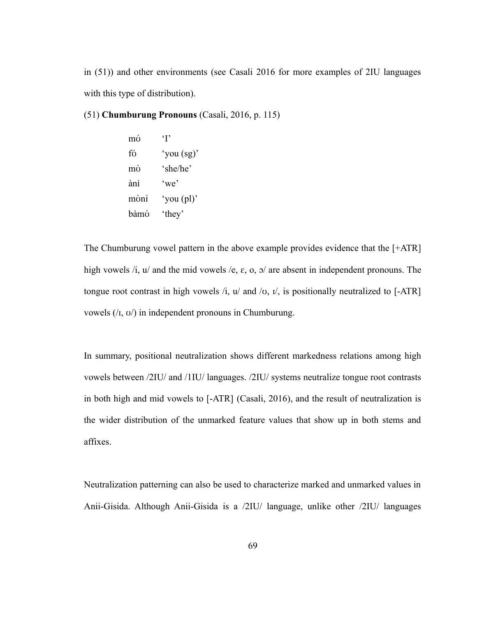in [\(51\)\)](#page-76-0) and other environments (see Casali 2016 for more examples of 2IU languages with this type of distribution).

## <span id="page-76-0"></span>(51) **Chumburung Pronouns** (Casali, 2016, p. 115)

mʊ́ 'I' fʊ́ 'you (sg)' mʊ̀ 'she/he' ànɪ́ 'we' mʊ̀nɪ́ 'you (pl)' bàmʊ́ 'they'

The Chumburung vowel pattern in the above example provides evidence that the [+ATR] high vowels  $\lambda i$ ,  $u'$  and the mid vowels  $\lambda e$ ,  $\varepsilon$ ,  $\delta$ ,  $\varepsilon$ ,  $\delta$  are absent in independent pronouns. The tongue root contrast in high vowels  $\lambda$ ,  $\mu$  and  $\lambda$ ,  $\mu$ , is positionally neutralized to [-ATR] vowels  $($ / $I$ ,  $)$  *in independent pronouns in Chumburung.* 

In summary, positional neutralization shows different markedness relations among high vowels between /2IU/ and /1IU/ languages. /2IU/ systems neutralize tongue root contrasts in both high and mid vowels to [-ATR] (Casali, 2016), and the result of neutralization is the wider distribution of the unmarked feature values that show up in both stems and affixes.

Neutralization patterning can also be used to characterize marked and unmarked values in Anii-Gisida. Although Anii-Gisida is a /2IU/ language, unlike other /2IU/ languages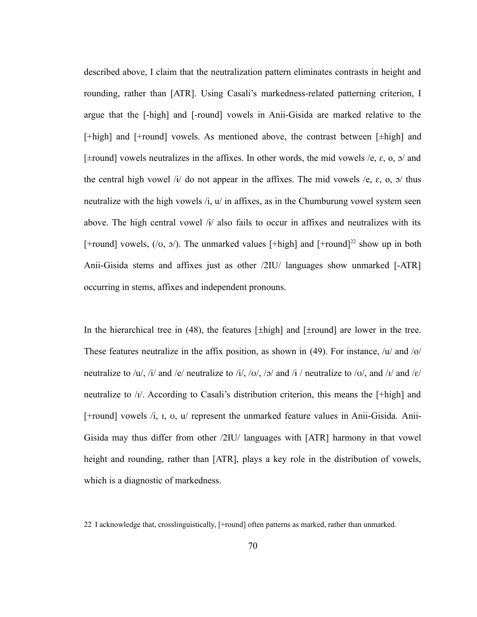described above, I claim that the neutralization pattern eliminates contrasts in height and rounding, rather than [ATR]. Using Casali's markedness-related patterning criterion, I argue that the [-high] and [-round] vowels in Anii-Gisida are marked relative to the [+high] and [+round] vowels. As mentioned above, the contrast between [±high] and  $[\pm$ round] vowels neutralizes in the affixes. In other words, the mid vowels /e,  $\varepsilon$ , o,  $\sigma$  and the central high vowel /i/ do not appear in the affixes. The mid vowels /e,  $\varepsilon$ , o,  $\sigma$ / thus neutralize with the high vowels  $\lambda$ ,  $\mu$  in affixes, as in the Chumburung vowel system seen above. The high central vowel  $\hat{H}$  also fails to occur in affixes and neutralizes with its [+round] vowels,  $($ / $\sigma$ ,  $\sigma$  $)$ . The unmarked values [+high] and [+round]<sup>[22](#page-77-0)</sup> show up in both Anii-Gisida stems and affixes just as other /2IU/ languages show unmarked [-ATR] occurring in stems, affixes and independent pronouns.

In the hierarchical tree in  $(48)$ , the features [ $\pm$ high] and [ $\pm$ round] are lower in the tree. These features neutralize in the affix position, as shown in [\(49\).](#page-72-0) For instance,  $\sqrt{u}$  and  $\sqrt{o}$ neutralize to /u/, /i/ and /e/ neutralize to /i/, /o/, /o/ and /i/ neutralize to /v/, and /i/ and / $\varepsilon$ / neutralize to /ɪ/. According to Casali's distribution criterion, this means the [+high] and [+round] vowels /i, ɪ, ʊ, u/ represent the unmarked feature values in Anii-Gisida. Anii-Gisida may thus differ from other /2IU/ languages with [ATR] harmony in that vowel height and rounding, rather than [ATR], plays a key role in the distribution of vowels, which is a diagnostic of markedness.

<span id="page-77-0"></span><sup>22</sup> I acknowledge that, crosslinguistically, [+round] often patterns as marked, rather than unmarked.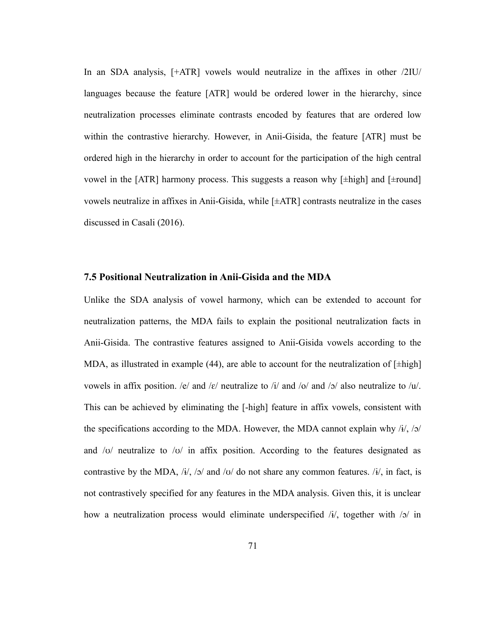In an SDA analysis, [+ATR] vowels would neutralize in the affixes in other /2IU/ languages because the feature [ATR] would be ordered lower in the hierarchy, since neutralization processes eliminate contrasts encoded by features that are ordered low within the contrastive hierarchy. However, in Anii-Gisida, the feature [ATR] must be ordered high in the hierarchy in order to account for the participation of the high central vowel in the [ATR] harmony process. This suggests a reason why  $[\pm \text{high}]$  and  $[\pm \text{round}]$ vowels neutralize in affixes in Anii-Gisida, while [±ATR] contrasts neutralize in the cases discussed in Casali (2016).

#### **7.5 Positional Neutralization in Anii-Gisida and the MDA**

Unlike the SDA analysis of vowel harmony, which can be extended to account for neutralization patterns, the MDA fails to explain the positional neutralization facts in Anii-Gisida. The contrastive features assigned to Anii-Gisida vowels according to the MDA, as illustrated in example [\(44\)](#page-65-0), are able to account for the neutralization of  $[\pm \text{high}]$ vowels in affix position. /e/ and / $\varepsilon$ / neutralize to /i/ and /o/ and /o/ also neutralize to /u/. This can be achieved by eliminating the [-high] feature in affix vowels, consistent with the specifications according to the MDA. However, the MDA cannot explain why  $\frac{i}{i}$ ,  $\frac{j}{\sqrt{2}}$ and / $\sigma$ / neutralize to / $\sigma$ / in affix position. According to the features designated as contrastive by the MDA, /i/, /o/ and /v/ do not share any common features. /i/, in fact, is not contrastively specified for any features in the MDA analysis. Given this, it is unclear how a neutralization process would eliminate underspecified /i/, together with /o/ in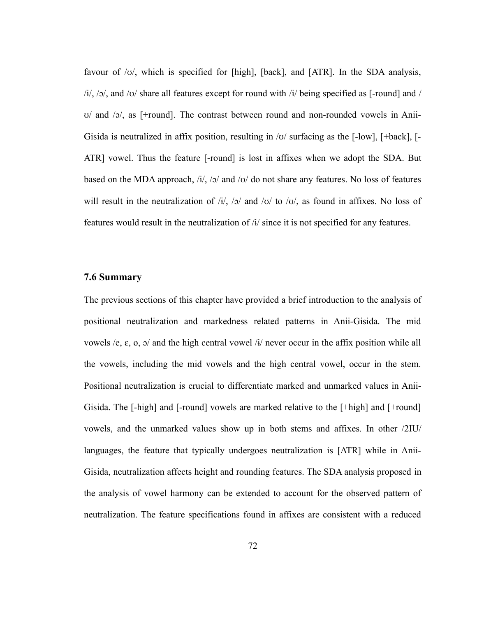favour of /ʊ/, which is specified for [high], [back], and [ATR]. In the SDA analysis,  $\frac{1}{i}$ ,  $\frac{1}{2}$ , and  $\frac{1}{0}$  share all features except for round with  $\frac{1}{i}$  being specified as [-round] and / ʊ/ and /ɔ/, as [+round]. The contrast between round and non-rounded vowels in Anii-Gisida is neutralized in affix position, resulting in /ʊ/ surfacing as the [-low], [+back], [- ATR] vowel. Thus the feature [-round] is lost in affixes when we adopt the SDA. But based on the MDA approach, /i/, /o/ and /v/ do not share any features. No loss of features will result in the neutralization of  $/i/$ ,  $/\gamma$  and  $/\upsilon/$  to  $/\upsilon/$ , as found in affixes. No loss of features would result in the neutralization of /ɨ/ since it is not specified for any features.

### **7.6 Summary**

The previous sections of this chapter have provided a brief introduction to the analysis of positional neutralization and markedness related patterns in Anii-Gisida. The mid vowels /e,  $\varepsilon$ ,  $\circ$ ,  $\circ$ / and the high central vowel /ɨ/ never occur in the affix position while all the vowels, including the mid vowels and the high central vowel, occur in the stem. Positional neutralization is crucial to differentiate marked and unmarked values in Anii-Gisida. The [-high] and [-round] vowels are marked relative to the [+high] and [+round] vowels, and the unmarked values show up in both stems and affixes. In other /2IU/ languages, the feature that typically undergoes neutralization is [ATR] while in Anii-Gisida, neutralization affects height and rounding features. The SDA analysis proposed in the analysis of vowel harmony can be extended to account for the observed pattern of neutralization. The feature specifications found in affixes are consistent with a reduced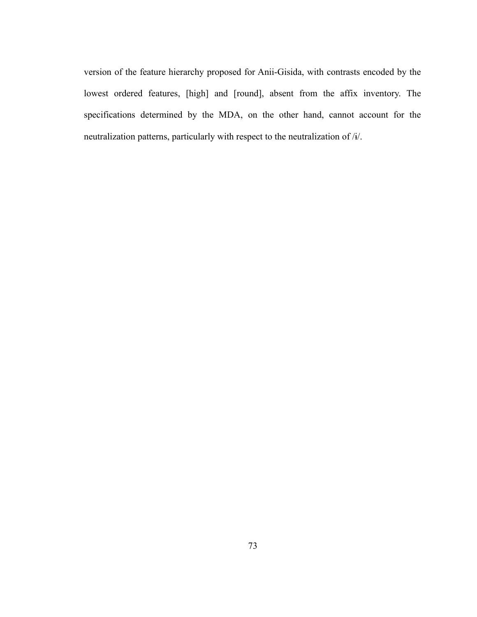version of the feature hierarchy proposed for Anii-Gisida, with contrasts encoded by the lowest ordered features, [high] and [round], absent from the affix inventory. The specifications determined by the MDA, on the other hand, cannot account for the neutralization patterns, particularly with respect to the neutralization of /ɨ/.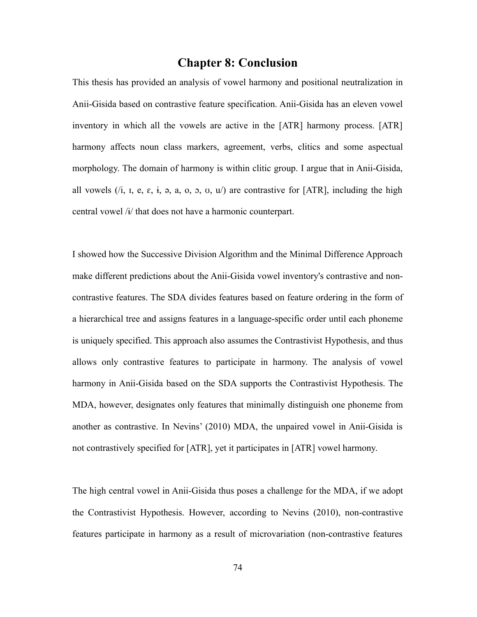# **Chapter 8: Conclusion**

This thesis has provided an analysis of vowel harmony and positional neutralization in Anii-Gisida based on contrastive feature specification. Anii-Gisida has an eleven vowel inventory in which all the vowels are active in the [ATR] harmony process. [ATR] harmony affects noun class markers, agreement, verbs, clitics and some aspectual morphology. The domain of harmony is within clitic group. I argue that in Anii-Gisida, all vowels  $(i, i, e, \varepsilon, i, \varepsilon, a, o, o, v, u)$  are contrastive for [ATR], including the high central vowel /ɨ/ that does not have a harmonic counterpart.

I showed how the Successive Division Algorithm and the Minimal Difference Approach make different predictions about the Anii-Gisida vowel inventory's contrastive and noncontrastive features. The SDA divides features based on feature ordering in the form of a hierarchical tree and assigns features in a language-specific order until each phoneme is uniquely specified. This approach also assumes the Contrastivist Hypothesis, and thus allows only contrastive features to participate in harmony. The analysis of vowel harmony in Anii-Gisida based on the SDA supports the Contrastivist Hypothesis. The MDA, however, designates only features that minimally distinguish one phoneme from another as contrastive. In Nevins' (2010) MDA, the unpaired vowel in Anii-Gisida is not contrastively specified for [ATR], yet it participates in [ATR] vowel harmony.

The high central vowel in Anii-Gisida thus poses a challenge for the MDA, if we adopt the Contrastivist Hypothesis. However, according to Nevins (2010), non-contrastive features participate in harmony as a result of microvariation (non-contrastive features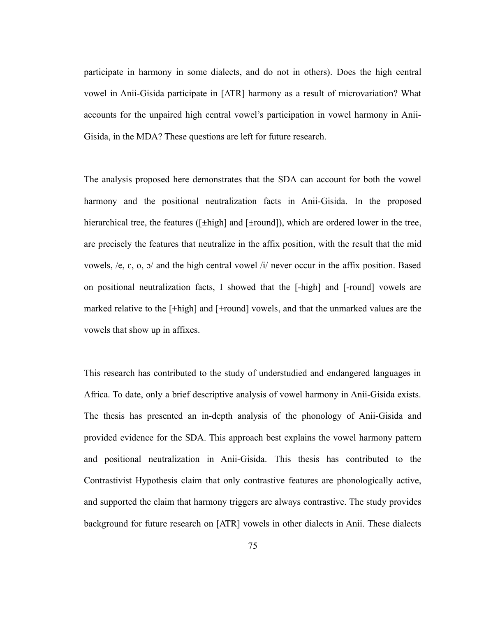participate in harmony in some dialects, and do not in others). Does the high central vowel in Anii-Gisida participate in [ATR] harmony as a result of microvariation? What accounts for the unpaired high central vowel's participation in vowel harmony in Anii-Gisida, in the MDA? These questions are left for future research.

The analysis proposed here demonstrates that the SDA can account for both the vowel harmony and the positional neutralization facts in Anii-Gisida. In the proposed hierarchical tree, the features ([ $\pm$ high] and [ $\pm$ round]), which are ordered lower in the tree, are precisely the features that neutralize in the affix position, with the result that the mid vowels, /e, ɛ, o, ɔ/ and the high central vowel /ɨ/ never occur in the affix position. Based on positional neutralization facts, I showed that the [-high] and [-round] vowels are marked relative to the [+high] and [+round] vowels, and that the unmarked values are the vowels that show up in affixes.

This research has contributed to the study of understudied and endangered languages in Africa. To date, only a brief descriptive analysis of vowel harmony in Anii-Gisida exists. The thesis has presented an in-depth analysis of the phonology of Anii-Gisida and provided evidence for the SDA. This approach best explains the vowel harmony pattern and positional neutralization in Anii-Gisida. This thesis has contributed to the Contrastivist Hypothesis claim that only contrastive features are phonologically active, and supported the claim that harmony triggers are always contrastive. The study provides background for future research on [ATR] vowels in other dialects in Anii. These dialects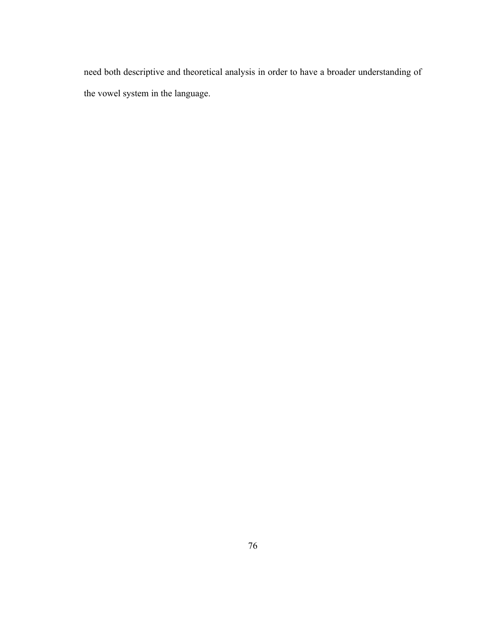need both descriptive and theoretical analysis in order to have a broader understanding of the vowel system in the language.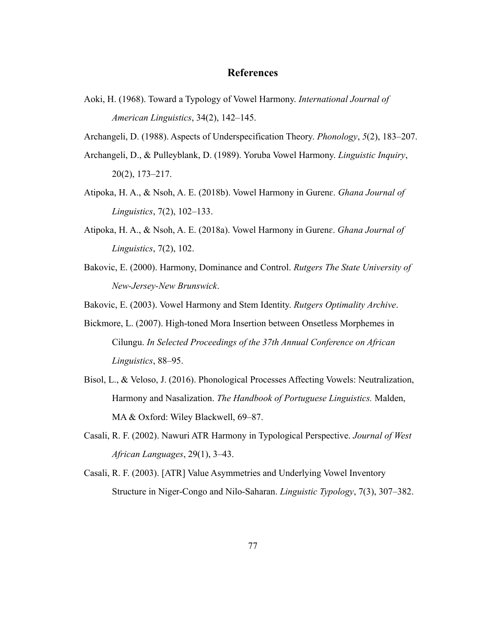## **References**

Aoki, H. (1968). Toward a Typology of Vowel Harmony. *International Journal of American Linguistics*, 34(2), 142–145.

Archangeli, D. (1988). Aspects of Underspecification Theory. *Phonology*, *5*(2), 183–207.

- Archangeli, D., & Pulleyblank, D. (1989). Yoruba Vowel Harmony. *Linguistic Inquiry*, 20(2), 173–217.
- Atipoka, H. A., & Nsoh, A. E. (2018b). Vowel Harmony in Gurenɛ. *Ghana Journal of Linguistics*, 7(2), 102–133.
- Atipoka, H. A., & Nsoh, A. E. (2018a). Vowel Harmony in Gurenɛ. *Ghana Journal of Linguistics*, 7(2), 102.
- Bakovic, E. (2000). Harmony, Dominance and Control. *Rutgers The State University of New-Jersey-New Brunswick*.

Bakovic, E. (2003). Vowel Harmony and Stem Identity. *Rutgers Optimality Archive*.

- Bickmore, L. (2007). High-toned Mora Insertion between Onsetless Morphemes in Cilungu. *In Selected Proceedings of the 37th Annual Conference on African Linguistics*, 88–95.
- Bisol, L., & Veloso, J. (2016). Phonological Processes Affecting Vowels: Neutralization, Harmony and Nasalization. *The Handbook of Portuguese Linguistics.* Malden, MA & Oxford: Wiley Blackwell, 69–87.
- Casali, R. F. (2002). Nawuri ATR Harmony in Typological Perspective. *Journal of West African Languages*, 29(1), 3–43.
- Casali, R. F. (2003). [ATR] Value Asymmetries and Underlying Vowel Inventory Structure in Niger-Congo and Nilo-Saharan. *Linguistic Typology*, 7(3), 307–382.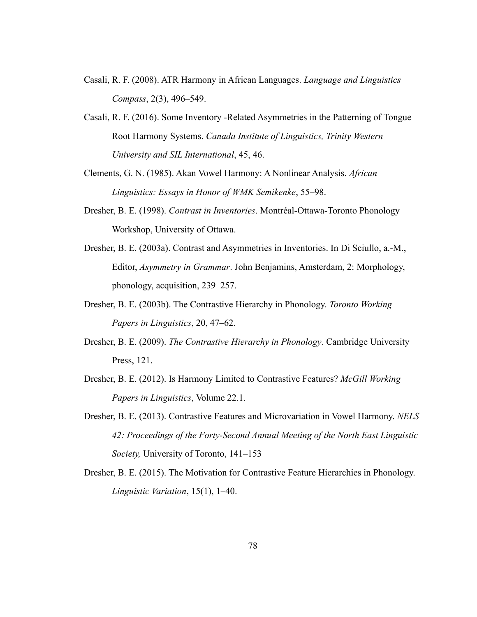- Casali, R. F. (2008). ATR Harmony in African Languages. *Language and Linguistics Compass*, 2(3), 496–549.
- Casali, R. F. (2016). Some Inventory -Related Asymmetries in the Patterning of Tongue Root Harmony Systems. *Canada Institute of Linguistics, Trinity Western University and SIL International*, 45, 46.
- Clements, G. N. (1985). Akan Vowel Harmony: A Nonlinear Analysis. *African Linguistics: Essays in Honor of WMK Semikenke*, 55–98.
- Dresher, B. E. (1998). *Contrast in Inventories*. Montréal-Ottawa-Toronto Phonology Workshop, University of Ottawa.
- Dresher, B. E. (2003a). Contrast and Asymmetries in Inventories. In Di Sciullo, a.-M., Editor, *Asymmetry in Grammar*. John Benjamins, Amsterdam, 2: Morphology, phonology, acquisition, 239–257.
- Dresher, B. E. (2003b). The Contrastive Hierarchy in Phonology. *Toronto Working Papers in Linguistics*, 20, 47–62.
- Dresher, B. E. (2009). *The Contrastive Hierarchy in Phonology*. Cambridge University Press, 121.
- Dresher, B. E. (2012). Is Harmony Limited to Contrastive Features? *McGill Working Papers in Linguistics*, Volume 22.1.
- Dresher, B. E. (2013). Contrastive Features and Microvariation in Vowel Harmony. *NELS 42: Proceedings of the Forty-Second Annual Meeting of the North East Linguistic Society,* University of Toronto, 141–153
- Dresher, B. E. (2015). The Motivation for Contrastive Feature Hierarchies in Phonology. *Linguistic Variation*, 15(1), 1–40.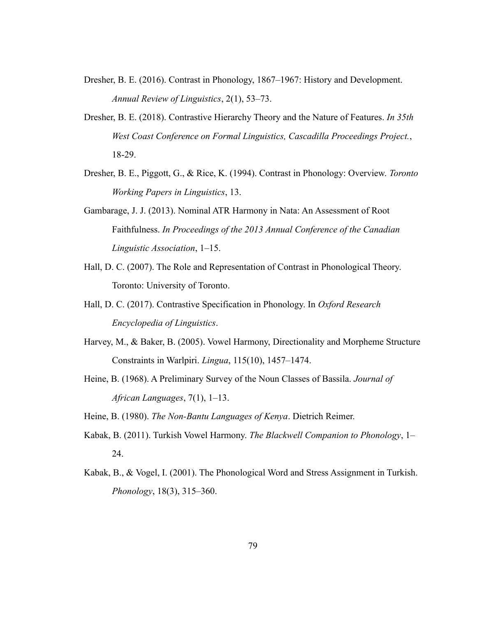- Dresher, B. E. (2016). Contrast in Phonology, 1867–1967: History and Development. *Annual Review of Linguistics*, 2(1), 53–73.
- Dresher, B. E. (2018). Contrastive Hierarchy Theory and the Nature of Features. *In 35th West Coast Conference on Formal Linguistics, Cascadilla Proceedings Project.*, 18-29.
- Dresher, B. E., Piggott, G., & Rice, K. (1994). Contrast in Phonology: Overview. *Toronto Working Papers in Linguistics*, 13.
- Gambarage, J. J. (2013). Nominal ATR Harmony in Nata: An Assessment of Root Faithfulness. *In Proceedings of the 2013 Annual Conference of the Canadian Linguistic Association*, 1–15.
- Hall, D. C. (2007). The Role and Representation of Contrast in Phonological Theory. Toronto: University of Toronto.
- Hall, D. C. (2017). Contrastive Specification in Phonology. In *Oxford Research Encyclopedia of Linguistics*.
- Harvey, M., & Baker, B. (2005). Vowel Harmony, Directionality and Morpheme Structure Constraints in Warlpiri. *Lingua*, 115(10), 1457–1474.
- Heine, B. (1968). A Preliminary Survey of the Noun Classes of Bassila. *Journal of African Languages*, 7(1), 1–13.

Heine, B. (1980). *The Non-Bantu Languages of Kenya*. Dietrich Reimer.

- Kabak, B. (2011). Turkish Vowel Harmony. *The Blackwell Companion to Phonology*, 1– 24.
- Kabak, B., & Vogel, I. (2001). The Phonological Word and Stress Assignment in Turkish. *Phonology*, 18(3), 315–360.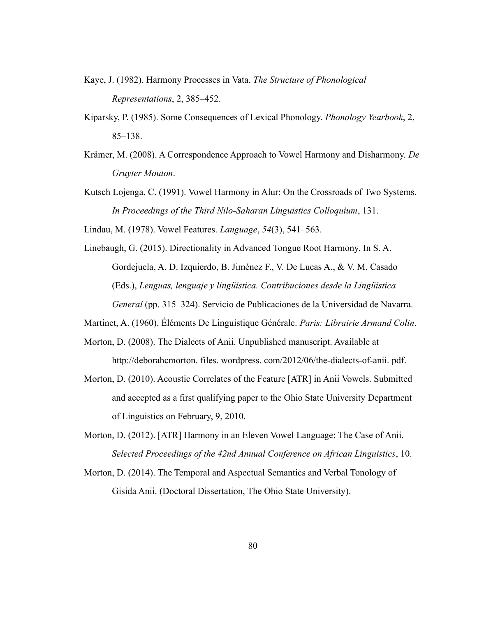- Kaye, J. (1982). Harmony Processes in Vata. *The Structure of Phonological Representations*, 2, 385–452.
- Kiparsky, P. (1985). Some Consequences of Lexical Phonology. *Phonology Yearbook*, 2, 85–138.
- Krämer, M. (2008). A Correspondence Approach to Vowel Harmony and Disharmony. *De Gruyter Mouton*.
- Kutsch Lojenga, C. (1991). Vowel Harmony in Alur: On the Crossroads of Two Systems. *In Proceedings of the Third Nilo-Saharan Linguistics Colloquium*, 131.
- Lindau, M. (1978). Vowel Features. *Language*, *54*(3), 541–563.
- Linebaugh, G. (2015). Directionality in Advanced Tongue Root Harmony. In S. A. Gordejuela, A. D. Izquierdo, B. Jiménez F., V. De Lucas A., & V. M. Casado (Eds.), *Lenguas, lenguaje y lingüística. Contribuciones desde la Lingüística General* (pp. 315–324). Servicio de Publicaciones de la Universidad de Navarra.
- Martinet, A. (1960). Éléments De Linguistique Générale. *Paris: Librairie Armand Colin*.
- Morton, D. (2008). The Dialects of Anii. Unpublished manuscript. Available at http://deborahcmorton. files. wordpress. com/2012/06/the-dialects-of-anii. pdf.
- Morton, D. (2010). Acoustic Correlates of the Feature [ATR] in Anii Vowels. Submitted and accepted as a first qualifying paper to the Ohio State University Department of Linguistics on February, 9, 2010.
- Morton, D. (2012). [ATR] Harmony in an Eleven Vowel Language: The Case of Anii. *Selected Proceedings of the 42nd Annual Conference on African Linguistics*, 10.
- Morton, D. (2014). The Temporal and Aspectual Semantics and Verbal Tonology of Gisida Anii. (Doctoral Dissertation, The Ohio State University).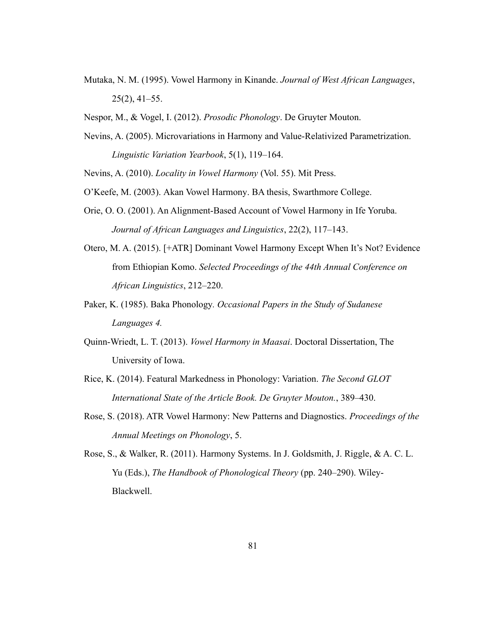- Mutaka, N. M. (1995). Vowel Harmony in Kinande. *Journal of West African Languages*,  $25(2)$ , 41–55.
- Nespor, M., & Vogel, I. (2012). *Prosodic Phonology*. De Gruyter Mouton.
- Nevins, A. (2005). Microvariations in Harmony and Value-Relativized Parametrization. *Linguistic Variation Yearbook*, 5(1), 119–164.
- Nevins, A. (2010). *Locality in Vowel Harmony* (Vol. 55). Mit Press.
- O'Keefe, M. (2003). Akan Vowel Harmony. BA thesis, Swarthmore College.
- Orie, O. O. (2001). An Alignment-Based Account of Vowel Harmony in Ife Yoruba. *Journal of African Languages and Linguistics*, 22(2), 117–143.
- Otero, M. A. (2015). [+ATR] Dominant Vowel Harmony Except When It's Not? Evidence from Ethiopian Komo. *Selected Proceedings of the 44th Annual Conference on African Linguistics*, 212–220.
- Paker, K. (1985). Baka Phonology*. Occasional Papers in the Study of Sudanese Languages 4.*
- Quinn-Wriedt, L. T. (2013). *Vowel Harmony in Maasai*. Doctoral Dissertation, The University of Iowa.
- Rice, K. (2014). Featural Markedness in Phonology: Variation. *The Second GLOT International State of the Article Book. De Gruyter Mouton.*, 389–430.
- Rose, S. (2018). ATR Vowel Harmony: New Patterns and Diagnostics. *Proceedings of the Annual Meetings on Phonology*, 5.
- Rose, S., & Walker, R. (2011). Harmony Systems. In J. Goldsmith, J. Riggle, & A. C. L. Yu (Eds.), *The Handbook of Phonological Theory* (pp. 240–290). Wiley-Blackwell.